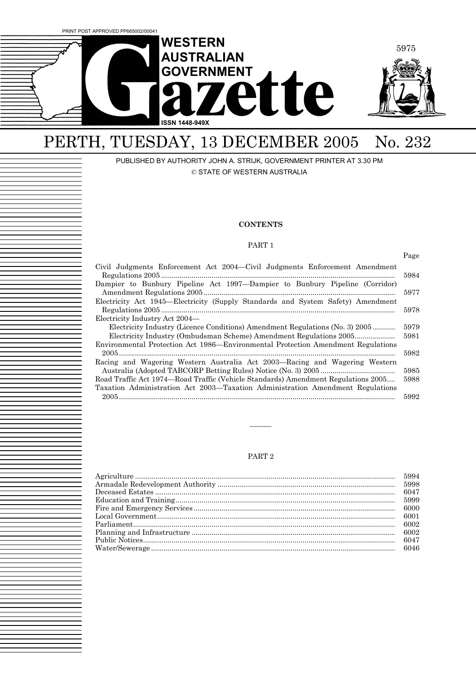

# PERTH, TUESDAY, 13 DECEMBER 2005 No. 232

PUBLISHED BY AUTHORITY JOHN A. STRIJK, GOVERNMENT PRINTER AT 3.30 PM © STATE OF WESTERN AUSTRALIA

#### **CONTENTS**

#### PART 1

|                                                                                                                                                        | Page         |
|--------------------------------------------------------------------------------------------------------------------------------------------------------|--------------|
| Civil Judgments Enforcement Act 2004—Civil Judgments Enforcement Amendment                                                                             | 5984         |
| Dampier to Bunbury Pipeline Act 1997—Dampier to Bunbury Pipeline (Corridor)                                                                            | 5977         |
| Electricity Act 1945-Electricity (Supply Standards and System Safety) Amendment                                                                        | 5978         |
| Electricity Industry Act 2004—<br>Electricity Industry (Licence Conditions) Amendment Regulations (No. 3) 2005                                         | 5979         |
| Electricity Industry (Ombudsman Scheme) Amendment Regulations 2005<br>Environmental Protection Act 1986—Environmental Protection Amendment Regulations | 5981         |
| Racing and Wagering Western Australia Act 2003—Racing and Wagering Western                                                                             | 5982         |
| Road Traffic Act 1974—Road Traffic (Vehicle Standards) Amendment Regulations 2005                                                                      | 5985<br>5988 |
| Taxation Administration Act 2003—Taxation Administration Amendment Regulations                                                                         | 5992         |
|                                                                                                                                                        |              |

#### PART 2

———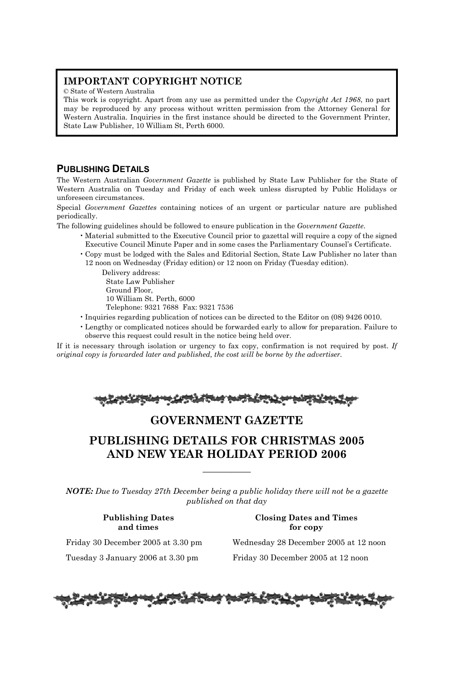## **IMPORTANT COPYRIGHT NOTICE**

© State of Western Australia

This work is copyright. Apart from any use as permitted under the *Copyright Act 1968*, no part may be reproduced by any process without written permission from the Attorney General for Western Australia. Inquiries in the first instance should be directed to the Government Printer, State Law Publisher, 10 William St, Perth 6000.

## **PUBLISHING DETAILS**

The Western Australian *Government Gazette* is published by State Law Publisher for the State of Western Australia on Tuesday and Friday of each week unless disrupted by Public Holidays or unforeseen circumstances.

Special *Government Gazettes* containing notices of an urgent or particular nature are published periodically.

The following guidelines should be followed to ensure publication in the *Government Gazette*.

- Material submitted to the Executive Council prior to gazettal will require a copy of the signed Executive Council Minute Paper and in some cases the Parliamentary Counsel's Certificate.
- Copy must be lodged with the Sales and Editorial Section, State Law Publisher no later than 12 noon on Wednesday (Friday edition) or 12 noon on Friday (Tuesday edition).

Delivery address: State Law Publisher Ground Floor, 10 William St. Perth, 6000 Telephone: 9321 7688 Fax: 9321 7536

- Inquiries regarding publication of notices can be directed to the Editor on (08) 9426 0010.
- Lengthy or complicated notices should be forwarded early to allow for preparation. Failure to observe this request could result in the notice being held over.

If it is necessary through isolation or urgency to fax copy, confirmation is not required by post. *If original copy is forwarded later and published, the cost will be borne by the advertiser.* 

|--|--|

## **GOVERNMENT GAZETTE**

## **PUBLISHING DETAILS FOR CHRISTMAS 2005 AND NEW YEAR HOLIDAY PERIOD 2006**

*NOTE: Due to Tuesday 27th December being a public holiday there will not be a gazette published on that day*

—————

### **Publishing Dates Closing Dates and Times and times** for copy

Friday 30 December 2005 at 3.30 pm Wednesday 28 December 2005 at 12 noon

Tuesday 3 January 2006 at 3.30 pm Friday 30 December 2005 at 12 noon

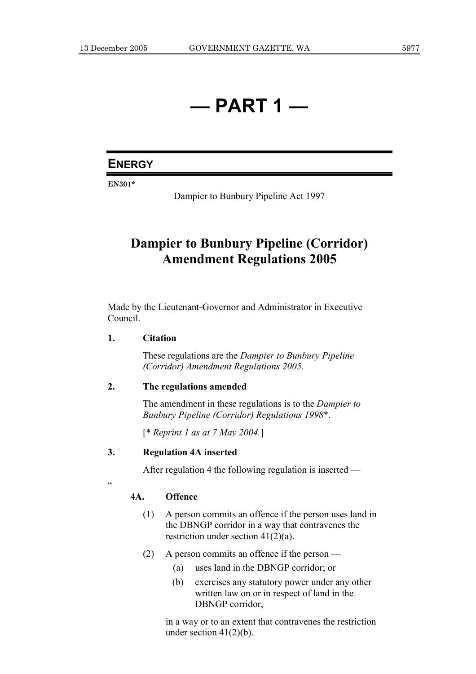# **— PART 1 —**

## **ENERGY**

**EN301\*** 

Dampier to Bunbury Pipeline Act 1997

## **Dampier to Bunbury Pipeline (Corridor) Amendment Regulations 2005**

Made by the Lieutenant-Governor and Administrator in Executive Council.

## **1. Citation**

 These regulations are the *Dampier to Bunbury Pipeline (Corridor) Amendment Regulations 2005*.

## **2. The regulations amended**

 The amendment in these regulations is to the *Dampier to Bunbury Pipeline (Corridor) Regulations 1998*\*.

[\* *Reprint 1 as at 7 May 2004.*]

## **3. Regulation 4A inserted**

After regulation 4 the following regulation is inserted —

### $\alpha$

## **4A. Offence**

- (1) A person commits an offence if the person uses land in the DBNGP corridor in a way that contravenes the restriction under section  $41(2)(a)$ .
- (2) A person commits an offence if the person
	- (a) uses land in the DBNGP corridor; or
	- (b) exercises any statutory power under any other written law on or in respect of land in the DBNGP corridor,

 in a way or to an extent that contravenes the restriction under section  $41(2)(b)$ .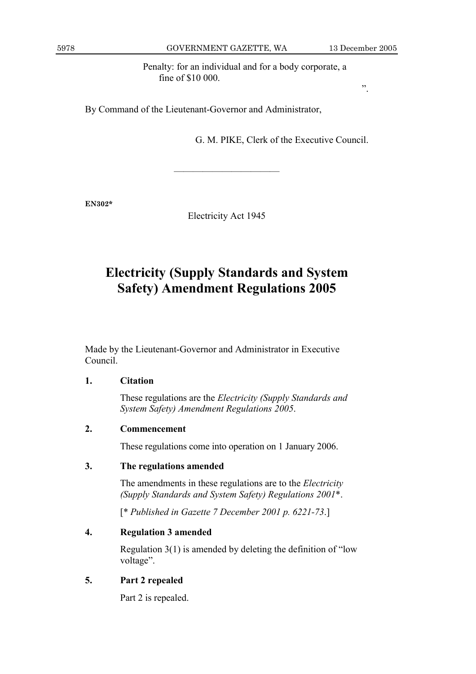Penalty: for an individual and for a body corporate, a fine of \$10 000.

By Command of the Lieutenant-Governor and Administrator,

G. M. PIKE, Clerk of the Executive Council.

**EN302\*** 

Electricity Act 1945

———————————

## **Electricity (Supply Standards and System Safety) Amendment Regulations 2005**

Made by the Lieutenant-Governor and Administrator in Executive Council.

## **1. Citation**

 These regulations are the *Electricity (Supply Standards and System Safety) Amendment Regulations 2005*.

## **2. Commencement**

These regulations come into operation on 1 January 2006.

## **3. The regulations amended**

 The amendments in these regulations are to the *Electricity (Supply Standards and System Safety) Regulations 2001*\*.

[\* *Published in Gazette 7 December 2001 p. 6221-73*.]

## **4. Regulation 3 amended**

 Regulation 3(1) is amended by deleting the definition of "low voltage".

## **5. Part 2 repealed**

Part 2 is repealed.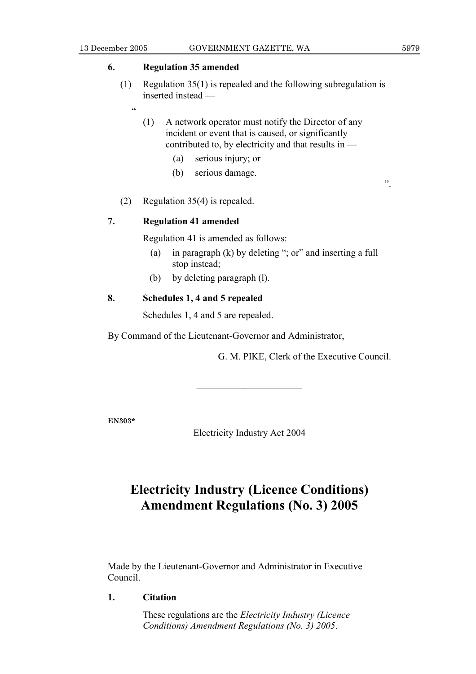.<br>44

## **6. Regulation 35 amended**

- (1) Regulation 35(1) is repealed and the following subregulation is inserted instead —
	- (1) A network operator must notify the Director of any incident or event that is caused, or significantly contributed to, by electricity and that results in —
		- (a) serious injury; or
		- (b) serious damage.
- (2) Regulation 35(4) is repealed.

## **7. Regulation 41 amended**

Regulation 41 is amended as follows:

- (a) in paragraph (k) by deleting "; or" and inserting a full stop instead;
- (b) by deleting paragraph (l).

## **8. Schedules 1, 4 and 5 repealed**

Schedules 1, 4 and 5 are repealed.

By Command of the Lieutenant-Governor and Administrator,

G. M. PIKE, Clerk of the Executive Council.

**EN303\*** 

Electricity Industry Act 2004

———————————

## **Electricity Industry (Licence Conditions) Amendment Regulations (No. 3) 2005**

Made by the Lieutenant-Governor and Administrator in Executive Council.

**1. Citation** 

 These regulations are the *Electricity Industry (Licence Conditions) Amendment Regulations (No. 3) 2005*.

".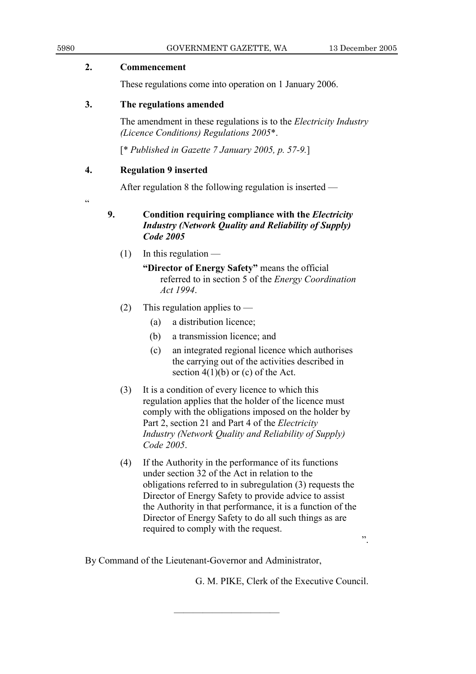| 2.             | <b>Commencement</b>                                                                                                 |
|----------------|---------------------------------------------------------------------------------------------------------------------|
|                | These regulations come into operation on 1 January 2006.                                                            |
| 3.             | The regulations amended                                                                                             |
|                | The amendment in these regulations is to the <i>Electricity Industry</i><br>(Licence Conditions) Regulations 2005*. |
|                | [* Published in Gazette 7 January 2005, p. 57-9.]                                                                   |
| 4.             | <b>Regulation 9 inserted</b>                                                                                        |
|                | After regulation 8 the following regulation is inserted —                                                           |
| $\zeta\,\zeta$ |                                                                                                                     |
|                | $\Gamma$ an ditian waanining aanuulianga ruith tha $\Gamma$ laatulaitu                                              |

5980 GOVERNMENT GAZETTE, WA 13 December 2005

## **9. Condition requiring compliance with the** *Electricity Industry (Network Quality and Reliability of Supply) Code 2005*

 $(1)$  In this regulation —

 **"Director of Energy Safety"** means the official referred to in section 5 of the *Energy Coordination Act 1994*.

- (2) This regulation applies to  $-$ 
	- (a) a distribution licence;
	- (b) a transmission licence; and
	- (c) an integrated regional licence which authorises the carrying out of the activities described in section  $4(1)(b)$  or (c) of the Act.
- (3) It is a condition of every licence to which this regulation applies that the holder of the licence must comply with the obligations imposed on the holder by Part 2, section 21 and Part 4 of the *Electricity Industry (Network Quality and Reliability of Supply) Code 2005*.
- (4) If the Authority in the performance of its functions under section 32 of the Act in relation to the obligations referred to in subregulation (3) requests the Director of Energy Safety to provide advice to assist the Authority in that performance, it is a function of the Director of Energy Safety to do all such things as are required to comply with the request.

———————————

".

By Command of the Lieutenant-Governor and Administrator,

G. M. PIKE, Clerk of the Executive Council.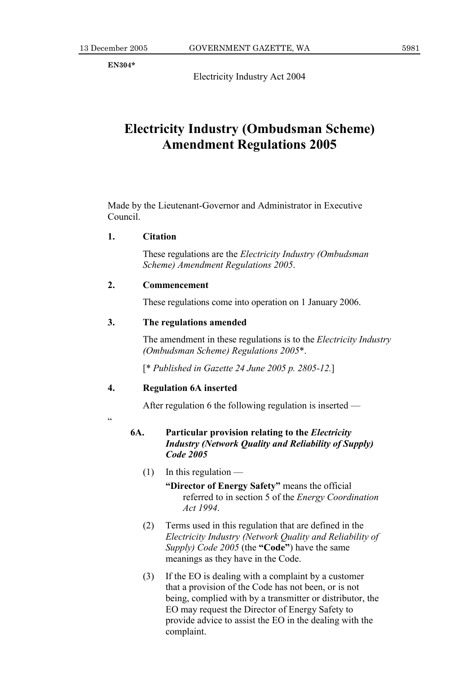**EN304\*** 

Electricity Industry Act 2004

## **Electricity Industry (Ombudsman Scheme) Amendment Regulations 2005**

Made by the Lieutenant-Governor and Administrator in Executive Council.

## **1. Citation**

 These regulations are the *Electricity Industry (Ombudsman Scheme) Amendment Regulations 2005*.

## **2. Commencement**

These regulations come into operation on 1 January 2006.

## **3. The regulations amended**

 The amendment in these regulations is to the *Electricity Industry (Ombudsman Scheme) Regulations 2005*\*.

[\* *Published in Gazette 24 June 2005 p. 2805-12.*]

### **4. Regulation 6A inserted**

After regulation 6 the following regulation is inserted —

.<br>"

## **6A. Particular provision relating to the** *Electricity Industry (Network Quality and Reliability of Supply) Code 2005*

 $(1)$  In this regulation —

 **"Director of Energy Safety"** means the official referred to in section 5 of the *Energy Coordination Act 1994*.

- (2) Terms used in this regulation that are defined in the *Electricity Industry (Network Quality and Reliability of Supply) Code 2005* (the **"Code"**) have the same meanings as they have in the Code.
- (3) If the EO is dealing with a complaint by a customer that a provision of the Code has not been, or is not being, complied with by a transmitter or distributor, the EO may request the Director of Energy Safety to provide advice to assist the EO in the dealing with the complaint.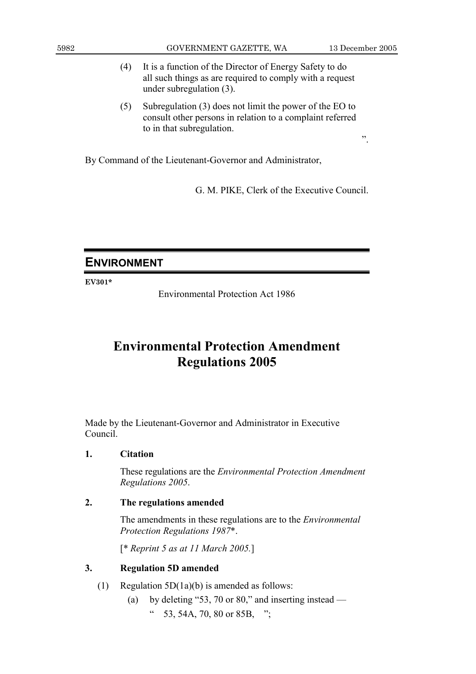- (4) It is a function of the Director of Energy Safety to do all such things as are required to comply with a request under subregulation (3).
- (5) Subregulation (3) does not limit the power of the EO to consult other persons in relation to a complaint referred to in that subregulation.

By Command of the Lieutenant-Governor and Administrator,

G. M. PIKE, Clerk of the Executive Council.

## **ENVIRONMENT**

**EV301\*** 

Environmental Protection Act 1986

## **Environmental Protection Amendment Regulations 2005**

Made by the Lieutenant-Governor and Administrator in Executive Council.

## **1. Citation**

 These regulations are the *Environmental Protection Amendment Regulations 2005*.

## **2. The regulations amended**

 The amendments in these regulations are to the *Environmental Protection Regulations 1987*\*.

[\* *Reprint 5 as at 11 March 2005.*]

## **3. Regulation 5D amended**

- (1) Regulation 5D(1a)(b) is amended as follows:
	- (a) by deleting "53, 70 or 80," and inserting instead  $\frac{1}{2}$  53, 54A, 70, 80 or 85B, ";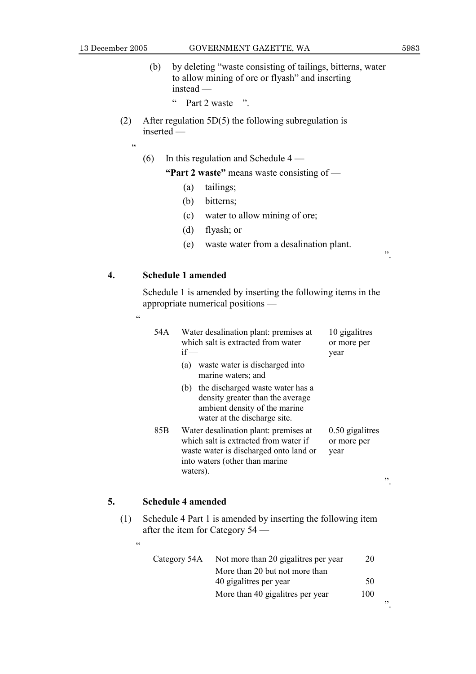13 December 2005 GOVERNMENT GAZETTE, WA 5983

".

".

- (b) by deleting "waste consisting of tailings, bitterns, water to allow mining of ore or flyash" and inserting instead —
	- " Part 2 waste ".
- (2) After regulation 5D(5) the following subregulation is inserted —
	- $\epsilon$

 $\overline{\mathbf{c}}$ 

(6) In this regulation and Schedule  $4 -$ 

 **"Part 2 waste"** means waste consisting of —

- (a) tailings;
- (b) bitterns;
- (c) water to allow mining of ore;
- (d) flyash; or
- (e) waste water from a desalination plant.

## **4. Schedule 1 amended**

 Schedule 1 is amended by inserting the following items in the appropriate numerical positions —

| 54 A | Water desalination plant: premises at<br>which salt is extracted from water<br>$if -$<br>waste water is discharged into<br>(a)<br>marine waters; and                   | 10 gigalitres<br>or more per<br>year     |
|------|------------------------------------------------------------------------------------------------------------------------------------------------------------------------|------------------------------------------|
|      | (b) the discharged waste water has a<br>density greater than the average<br>ambient density of the marine<br>water at the discharge site.                              |                                          |
| 85B  | Water desalination plant: premises at<br>which salt is extracted from water if<br>waste water is discharged onto land or<br>into waters (other than marine<br>waters). | $0.50$ gigalitres<br>or more per<br>year |

### **5. Schedule 4 amended**

 $\epsilon\,\epsilon$ 

 (1) Schedule 4 Part 1 is amended by inserting the following item after the item for Category 54 —

| Category 54A | Not more than 20 gigalities per year | 20  |    |
|--------------|--------------------------------------|-----|----|
|              | More than 20 but not more than       |     |    |
|              | 40 gigalitres per year               | 50  |    |
|              | More than 40 gigalitres per year     | 100 |    |
|              |                                      |     | ,, |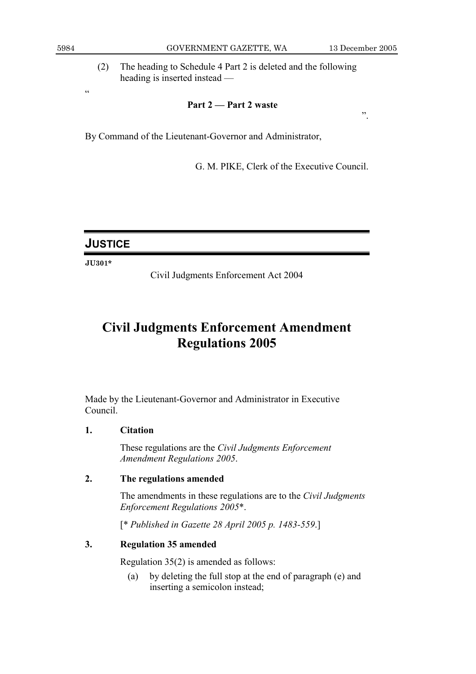.<br>cc

5984 GOVERNMENT GAZETTE, WA 13 December 2005

".

 (2) The heading to Schedule 4 Part 2 is deleted and the following heading is inserted instead —

## **Part 2 — Part 2 waste**

By Command of the Lieutenant-Governor and Administrator,

G. M. PIKE, Clerk of the Executive Council.

## **JUSTICE**

**JU301\*** 

Civil Judgments Enforcement Act 2004

## **Civil Judgments Enforcement Amendment Regulations 2005**

Made by the Lieutenant-Governor and Administrator in Executive Council.

## **1. Citation**

 These regulations are the *Civil Judgments Enforcement Amendment Regulations 2005*.

## **2. The regulations amended**

 The amendments in these regulations are to the *Civil Judgments Enforcement Regulations 2005*\*.

[\* *Published in Gazette 28 April 2005 p. 1483-559*.]

## **3. Regulation 35 amended**

Regulation 35(2) is amended as follows:

 (a) by deleting the full stop at the end of paragraph (e) and inserting a semicolon instead;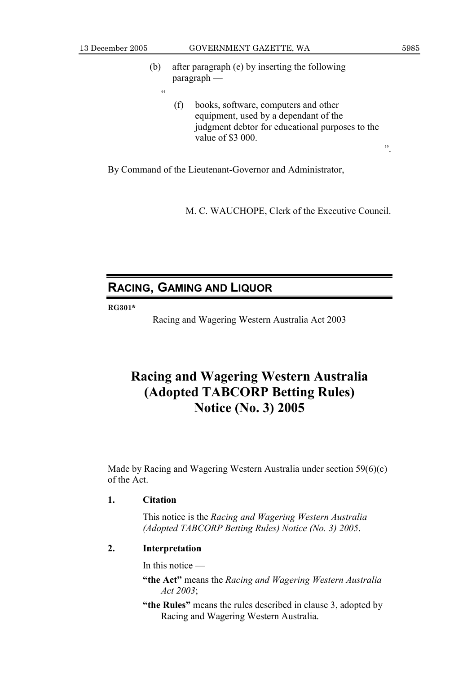<u>،</u>

13 December 2005 GOVERNMENT GAZETTE, WA 5985

".

- (b) after paragraph (e) by inserting the following paragraph —
	- (f) books, software, computers and other equipment, used by a dependant of the judgment debtor for educational purposes to the value of \$3 000.

By Command of the Lieutenant-Governor and Administrator,

M. C. WAUCHOPE, Clerk of the Executive Council.

## **RACING, GAMING AND LIQUOR**

#### **RG301\***

Racing and Wagering Western Australia Act 2003

## **Racing and Wagering Western Australia (Adopted TABCORP Betting Rules) Notice (No. 3) 2005**

Made by Racing and Wagering Western Australia under section 59(6)(c) of the Act.

## **1. Citation**

 This notice is the *Racing and Wagering Western Australia (Adopted TABCORP Betting Rules) Notice (No. 3) 2005*.

## **2. Interpretation**

In this notice —

- **"the Act"** means the *Racing and Wagering Western Australia Act 2003*;
- **"the Rules"** means the rules described in clause 3, adopted by Racing and Wagering Western Australia.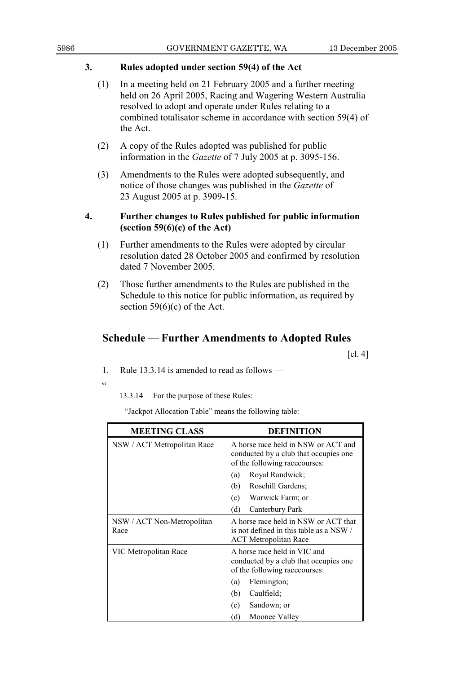## **3. Rules adopted under section 59(4) of the Act**

- (1) In a meeting held on 21 February 2005 and a further meeting held on 26 April 2005, Racing and Wagering Western Australia resolved to adopt and operate under Rules relating to a combined totalisator scheme in accordance with section 59(4) of the Act.
- (2) A copy of the Rules adopted was published for public information in the *Gazette* of 7 July 2005 at p. 3095-156.
- (3) Amendments to the Rules were adopted subsequently, and notice of those changes was published in the *Gazette* of 23 August 2005 at p. 3909-15.

## **4. Further changes to Rules published for public information (section 59(6)(c) of the Act)**

- (1) Further amendments to the Rules were adopted by circular resolution dated 28 October 2005 and confirmed by resolution dated 7 November 2005.
- (2) Those further amendments to the Rules are published in the Schedule to this notice for public information, as required by section 59(6)(c) of the Act.

## **Schedule — Further Amendments to Adopted Rules**

 $\lceil$ cl. 4 $\rceil$ 

1. Rule 13.3.14 is amended to read as follows —

.<br>د د

13.3.14 For the purpose of these Rules:

"Jackpot Allocation Table" means the following table:

| <b>MEETING CLASS</b>               | <b>DEFINITION</b>                                                                                               |  |
|------------------------------------|-----------------------------------------------------------------------------------------------------------------|--|
| NSW / ACT Metropolitan Race        | A horse race held in NSW or ACT and<br>conducted by a club that occupies one<br>of the following racecourses:   |  |
|                                    | Royal Randwick;<br>(a)                                                                                          |  |
|                                    | (b)<br>Rosehill Gardens;                                                                                        |  |
|                                    | (c)<br>Warwick Farm; or                                                                                         |  |
|                                    | (d)<br>Canterbury Park                                                                                          |  |
| NSW / ACT Non-Metropolitan<br>Race | A horse race held in NSW or ACT that<br>is not defined in this table as a NSW /<br><b>ACT</b> Metropolitan Race |  |
| VIC Metropolitan Race              | A horse race held in VIC and<br>conducted by a club that occupies one<br>of the following racecourses:          |  |
|                                    | Flemington;<br>(a)                                                                                              |  |
|                                    | (b)<br>Caulfield;                                                                                               |  |
|                                    | Sandown; or<br>(c)                                                                                              |  |
|                                    | (d)<br>Moonee Valley                                                                                            |  |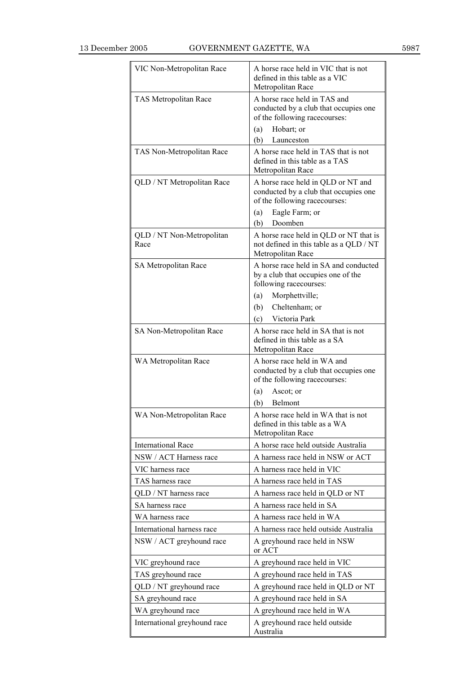| VIC Non-Metropolitan Race         | A horse race held in VIC that is not<br>defined in this table as a VIC<br>Metropolitan Race                                                                                  |
|-----------------------------------|------------------------------------------------------------------------------------------------------------------------------------------------------------------------------|
| TAS Metropolitan Race             | A horse race held in TAS and<br>conducted by a club that occupies one<br>of the following racecourses:<br>Hobart; or<br>(a)<br>(b)<br>Launceston                             |
| TAS Non-Metropolitan Race         | A horse race held in TAS that is not<br>defined in this table as a TAS<br>Metropolitan Race                                                                                  |
| QLD / NT Metropolitan Race        | A horse race held in QLD or NT and<br>conducted by a club that occupies one<br>of the following racecourses:<br>Eagle Farm; or<br>(a)<br>Doomben<br>(b)                      |
| QLD / NT Non-Metropolitan<br>Race | A horse race held in QLD or NT that is<br>not defined in this table as a QLD / NT<br>Metropolitan Race                                                                       |
| SA Metropolitan Race              | A horse race held in SA and conducted<br>by a club that occupies one of the<br>following racecourses:<br>Morphettville;<br>(a)<br>(b)<br>Cheltenham; or<br>(c) Victoria Park |
| SA Non-Metropolitan Race          | A horse race held in SA that is not<br>defined in this table as a SA<br>Metropolitan Race                                                                                    |
| WA Metropolitan Race              | A horse race held in WA and<br>conducted by a club that occupies one<br>of the following racecourses:<br>Ascot; or<br>(a)<br>Belmont<br>(b)                                  |
| WA Non-Metropolitan Race          | A horse race held in WA that is not<br>defined in this table as a WA<br>Metropolitan Race                                                                                    |
| <b>International Race</b>         | A horse race held outside Australia                                                                                                                                          |
| NSW / ACT Harness race            | A harness race held in NSW or ACT                                                                                                                                            |
| VIC harness race                  | A harness race held in VIC                                                                                                                                                   |
| TAS harness race                  | A harness race held in TAS                                                                                                                                                   |
| QLD / NT harness race             | A harness race held in QLD or NT                                                                                                                                             |
| SA harness race                   | A harness race held in SA                                                                                                                                                    |
| WA harness race                   | A harness race held in WA                                                                                                                                                    |
| International harness race        | A harness race held outside Australia                                                                                                                                        |
| NSW / ACT greyhound race          | A greyhound race held in NSW<br>or ACT                                                                                                                                       |
| VIC greyhound race                | A greyhound race held in VIC                                                                                                                                                 |
| TAS greyhound race                | A greyhound race held in TAS                                                                                                                                                 |
| QLD / NT greyhound race           | A greyhound race held in QLD or NT                                                                                                                                           |
| SA greyhound race                 | A greyhound race held in SA                                                                                                                                                  |
| WA greyhound race                 | A greyhound race held in WA                                                                                                                                                  |
| International greyhound race      | A greyhound race held outside<br>Australia                                                                                                                                   |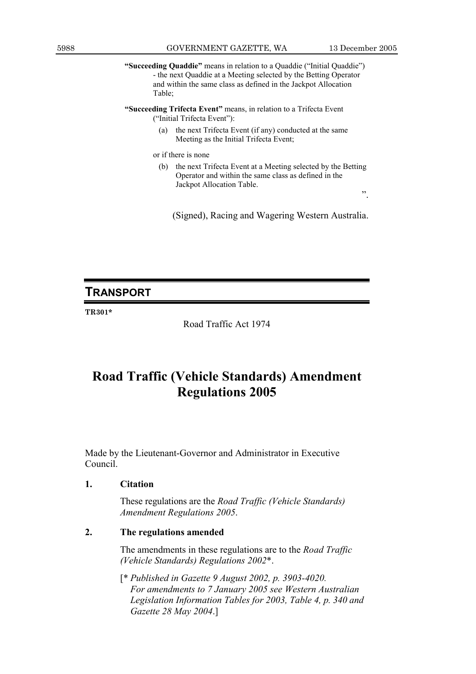**"Succeeding Quaddie"** means in relation to a Quaddie ("Initial Quaddie") - the next Quaddie at a Meeting selected by the Betting Operator and within the same class as defined in the Jackpot Allocation Table;

**"Succeeding Trifecta Event"** means, in relation to a Trifecta Event ("Initial Trifecta Event"):

> (a) the next Trifecta Event (if any) conducted at the same Meeting as the Initial Trifecta Event;

or if there is none

(b) the next Trifecta Event at a Meeting selected by the Betting Operator and within the same class as defined in the Jackpot Allocation Table.

(Signed), Racing and Wagering Western Australia.

## **TRANSPORT**

**TR301\*** 

Road Traffic Act 1974

## **Road Traffic (Vehicle Standards) Amendment Regulations 2005**

Made by the Lieutenant-Governor and Administrator in Executive Council.

### **1. Citation**

 These regulations are the *Road Traffic (Vehicle Standards) Amendment Regulations 2005*.

## **2. The regulations amended**

 The amendments in these regulations are to the *Road Traffic (Vehicle Standards) Regulations 2002*\*.

 [\* *Published in Gazette 9 August 2002, p. 3903-4020. For amendments to 7 January 2005 see Western Australian Legislation Information Tables for 2003, Table 4, p. 340 and Gazette 28 May 2004*.]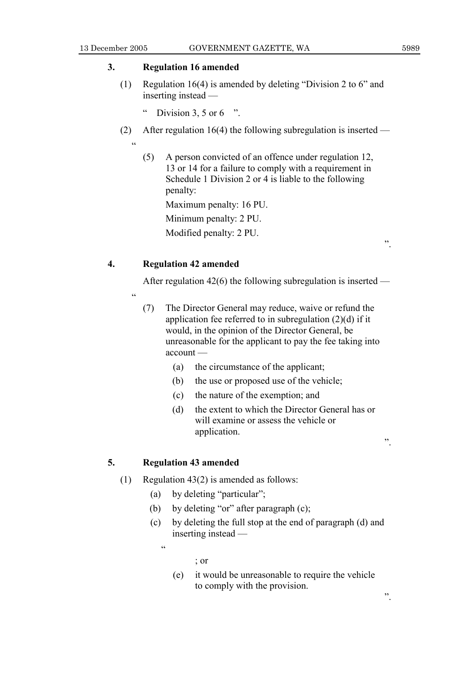## **3. Regulation 16 amended**

 (1) Regulation 16(4) is amended by deleting "Division 2 to 6" and inserting instead —

" Division 3, 5 or 6  $"$ .

- (2) After regulation 16(4) the following subregulation is inserted
	- $\epsilon$
- (5) A person convicted of an offence under regulation 12, 13 or 14 for a failure to comply with a requirement in Schedule 1 Division 2 or 4 is liable to the following penalty:

Maximum penalty: 16 PU.

Minimum penalty: 2 PU.

Modified penalty: 2 PU.

## **4. Regulation 42 amended**

After regulation 42(6) the following subregulation is inserted —

- .<br>.<br>.
	- (7) The Director General may reduce, waive or refund the application fee referred to in subregulation (2)(d) if it would, in the opinion of the Director General, be unreasonable for the applicant to pay the fee taking into account —
		- (a) the circumstance of the applicant;
		- (b) the use or proposed use of the vehicle;
		- (c) the nature of the exemption; and
		- (d) the extent to which the Director General has or will examine or assess the vehicle or application.

## **5. Regulation 43 amended**

- (1) Regulation 43(2) is amended as follows:
	- (a) by deleting "particular";
	- (b) by deleting "or" after paragraph (c);
	- (c) by deleting the full stop at the end of paragraph (d) and inserting instead —

.<br>44

; or

 (e) it would be unreasonable to require the vehicle to comply with the provision.

".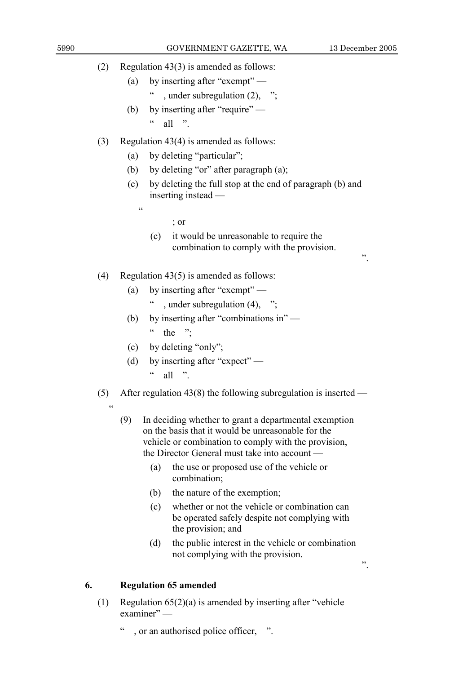".

- (2) Regulation 43(3) is amended as follows:
	- (a) by inserting after "exempt"
		- ", under subregulation  $(2)$ , ";
	- (b) by inserting after "require"  $\frac{a}{a}$  all "

## (3) Regulation 43(4) is amended as follows:

- (a) by deleting "particular";
- (b) by deleting "or" after paragraph (a);
- (c) by deleting the full stop at the end of paragraph (b) and inserting instead —
	-

 $\epsilon$ 

- ; or
- (c) it would be unreasonable to require the combination to comply with the provision.
- (4) Regulation 43(5) is amended as follows:
	- (a) by inserting after "exempt"
		- " , under subregulation  $(4)$ , ";
	- (b) by inserting after "combinations in"  $\cdot$  the ":
	- (c) by deleting "only";
	- (d) by inserting after "expect"  $\frac{a}{\text{all}}$  "
- (5) After regulation 43(8) the following subregulation is inserted
	- $\alpha$
- (9) In deciding whether to grant a departmental exemption on the basis that it would be unreasonable for the vehicle or combination to comply with the provision, the Director General must take into account —
	- (a) the use or proposed use of the vehicle or combination;
	- (b) the nature of the exemption;
	- (c) whether or not the vehicle or combination can be operated safely despite not complying with the provision; and
	- (d) the public interest in the vehicle or combination not complying with the provision.

## **6. Regulation 65 amended**

- (1) Regulation 65(2)(a) is amended by inserting after "vehicle examiner" —
	- , or an authorised police officer, ".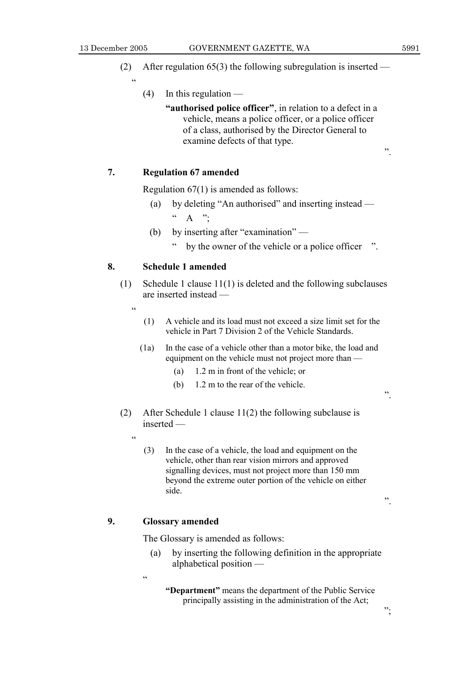.<br>44

".

- (2) After regulation 65(3) the following subregulation is inserted
	- $(4)$  In this regulation
		- **"authorised police officer"**, in relation to a defect in a vehicle, means a police officer, or a police officer of a class, authorised by the Director General to examine defects of that type.

## **7. Regulation 67 amended**

Regulation 67(1) is amended as follows:

- (a) by deleting "An authorised" and inserting instead  $\begin{matrix} \cdots & A \end{matrix}$  ".
- (b) by inserting after "examination"
	- " by the owner of the vehicle or a police officer ".

### **8. Schedule 1 amended**

- (1) Schedule 1 clause 11(1) is deleted and the following subclauses are inserted instead —
	- $\epsilon$ 
		- (1) A vehicle and its load must not exceed a size limit set for the vehicle in Part 7 Division 2 of the Vehicle Standards.
		- (1a) In the case of a vehicle other than a motor bike, the load and equipment on the vehicle must not project more than —
			- (a) 1.2 m in front of the vehicle; or
			- (b) 1.2 m to the rear of the vehicle.
- (2) After Schedule 1 clause 11(2) the following subclause is inserted —
	- "
		- (3) In the case of a vehicle, the load and equipment on the vehicle, other than rear vision mirrors and approved signalling devices, must not project more than 150 mm beyond the extreme outer portion of the vehicle on either side.

## **9. Glossary amended**

The Glossary is amended as follows:

 (a) by inserting the following definition in the appropriate alphabetical position —

<u>،</u>

**"Department"** means the department of the Public Service principally assisting in the administration of the Act;

".

".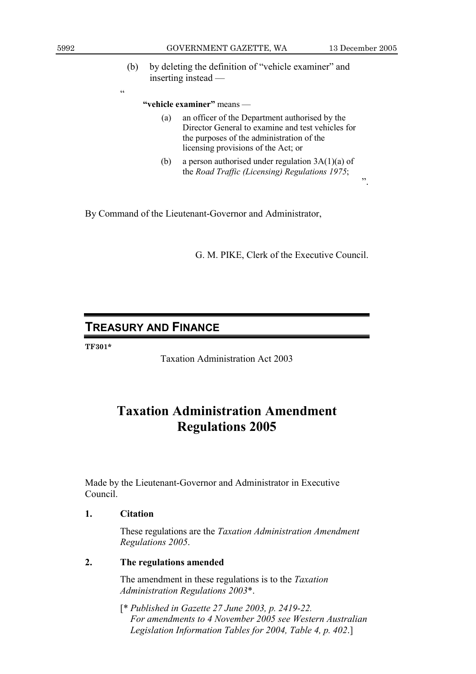.<br>cc

 $\cdot$ <sup>"</sup>.

 (b) by deleting the definition of "vehicle examiner" and inserting instead —

### **"vehicle examiner"** means —

- (a) an officer of the Department authorised by the Director General to examine and test vehicles for the purposes of the administration of the licensing provisions of the Act; or
- (b) a person authorised under regulation  $3A(1)(a)$  of the *Road Traffic (Licensing) Regulations 1975*;

By Command of the Lieutenant-Governor and Administrator,

G. M. PIKE, Clerk of the Executive Council.

## **TREASURY AND FINANCE**

**TF301\*** 

Taxation Administration Act 2003

## **Taxation Administration Amendment Regulations 2005**

Made by the Lieutenant-Governor and Administrator in Executive Council.

## **1. Citation**

 These regulations are the *Taxation Administration Amendment Regulations 2005*.

## **2. The regulations amended**

 The amendment in these regulations is to the *Taxation Administration Regulations 2003*\*.

 [\* *Published in Gazette 27 June 2003, p. 2419-22. For amendments to 4 November 2005 see Western Australian Legislation Information Tables for 2004, Table 4, p. 402*.]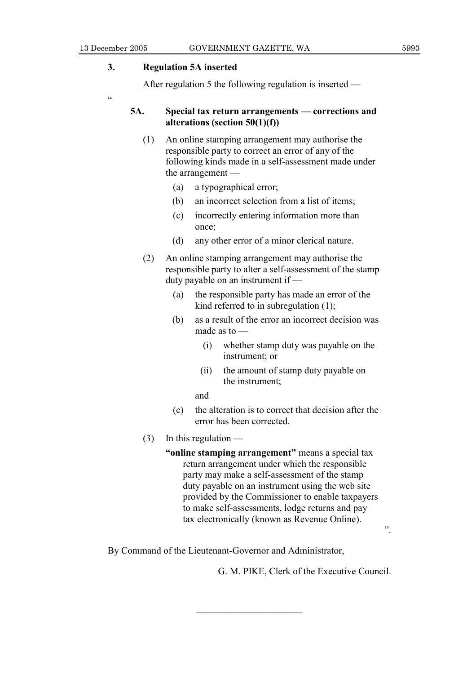## **3. Regulation 5A inserted**

After regulation 5 the following regulation is inserted —

.<br>C

## **5A. Special tax return arrangements — corrections and alterations (section 50(1)(f))**

- (1) An online stamping arrangement may authorise the responsible party to correct an error of any of the following kinds made in a self-assessment made under the arrangement —
	- (a) a typographical error;
	- (b) an incorrect selection from a list of items;
	- (c) incorrectly entering information more than once;
	- (d) any other error of a minor clerical nature.
- (2) An online stamping arrangement may authorise the responsible party to alter a self-assessment of the stamp duty payable on an instrument if —
	- (a) the responsible party has made an error of the kind referred to in subregulation (1);
	- (b) as a result of the error an incorrect decision was made as to —
		- (i) whether stamp duty was payable on the instrument; or
		- (ii) the amount of stamp duty payable on the instrument;
		- and
	- (c) the alteration is to correct that decision after the error has been corrected.
- (3) In this regulation
	- **"online stamping arrangement"** means a special tax return arrangement under which the responsible party may make a self-assessment of the stamp duty payable on an instrument using the web site provided by the Commissioner to enable taxpayers to make self-assessments, lodge returns and pay tax electronically (known as Revenue Online).

By Command of the Lieutenant-Governor and Administrator,

———————————

G. M. PIKE, Clerk of the Executive Council.

".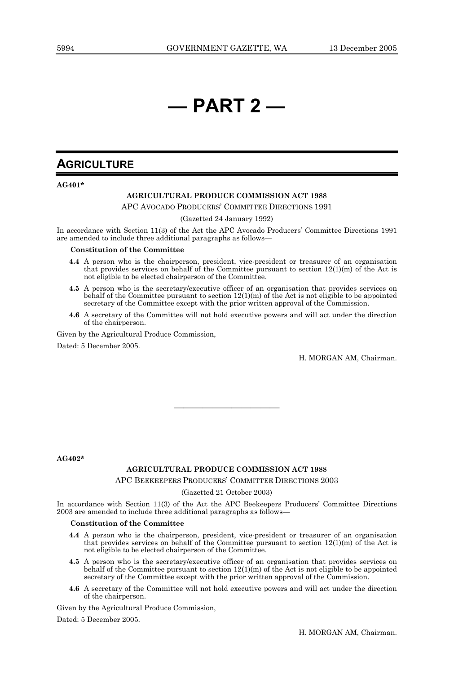## **— PART 2 —**

## **AGRICULTURE**

#### **AG401\***

#### **AGRICULTURAL PRODUCE COMMISSION ACT 1988**

APC AVOCADO PRODUCERS' COMMITTEE DIRECTIONS 1991

(Gazetted 24 January 1992)

In accordance with Section 11(3) of the Act the APC Avocado Producers' Committee Directions 1991 are amended to include three additional paragraphs as follows—

#### **Constitution of the Committee**

- **4.4** A person who is the chairperson, president, vice-president or treasurer of an organisation that provides services on behalf of the Committee pursuant to section  $12(1)(m)$  of the Act is not eligible to be elected chairperson of the Committee.
	- **4.5** A person who is the secretary/executive officer of an organisation that provides services on behalf of the Committee pursuant to section  $12(1)(m)$  of the Act is not eligible to be appointed secretary of the Committee except with the prior written approval of the Commission.
	- **4.6** A secretary of the Committee will not hold executive powers and will act under the direction of the chairperson.

Given by the Agricultural Produce Commission, Dated: 5 December 2005.

H. MORGAN AM, Chairman.

**AG402\*** 

#### **AGRICULTURAL PRODUCE COMMISSION ACT 1988**

———————————

#### APC BEEKEEPERS PRODUCERS' COMMITTEE DIRECTIONS 2003

#### (Gazetted 21 October 2003)

In accordance with Section 11(3) of the Act the APC Beekeepers Producers' Committee Directions 2003 are amended to include three additional paragraphs as follows—

#### **Constitution of the Committee**

- **4.4** A person who is the chairperson, president, vice-president or treasurer of an organisation that provides services on behalf of the Committee pursuant to section  $12(1)(m)$  of the Act is not eligible to be elected chairperson of the Committee.
	- **4.5** A person who is the secretary/executive officer of an organisation that provides services on behalf of the Committee pursuant to section  $12(1)(m)$  of the Act is not eligible to be appointed secretary of the Committee except with the prior written approval of the Commission.
	- **4.6** A secretary of the Committee will not hold executive powers and will act under the direction of the chairperson.

Given by the Agricultural Produce Commission,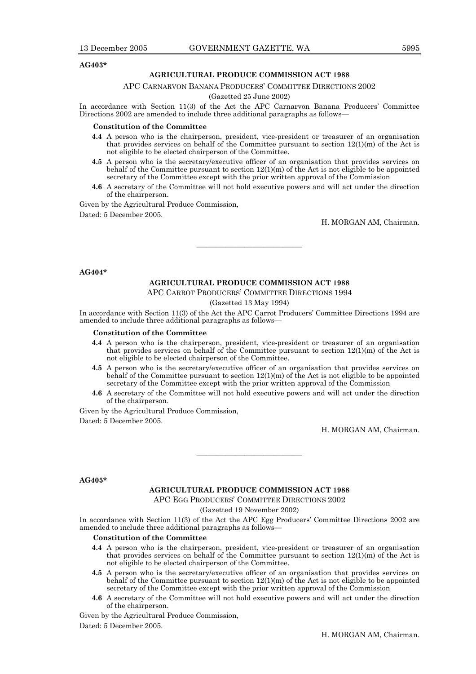#### **AG403\***

#### **AGRICULTURAL PRODUCE COMMISSION ACT 1988**

#### APC CARNARVON BANANA PRODUCERS' COMMITTEE DIRECTIONS 2002

#### (Gazetted 25 June 2002)

In accordance with Section 11(3) of the Act the APC Carnarvon Banana Producers' Committee Directions 2002 are amended to include three additional paragraphs as follows—

#### **Constitution of the Committee**

- **4.4** A person who is the chairperson, president, vice-president or treasurer of an organisation that provides services on behalf of the Committee pursuant to section 12(1)(m) of the Act is not eligible to be elected chairperson of the Committee.
	- **4.5** A person who is the secretary/executive officer of an organisation that provides services on behalf of the Committee pursuant to section 12(1)(m) of the Act is not eligible to be appointed secretary of the Committee except with the prior written approval of the Commission
	- **4.6** A secretary of the Committee will not hold executive powers and will act under the direction of the chairperson.

Given by the Agricultural Produce Commission,

Dated: 5 December 2005.

H. MORGAN AM, Chairman.

#### **AG404\***

#### **AGRICULTURAL PRODUCE COMMISSION ACT 1988**

———————————

APC CARROT PRODUCERS' COMMITTEE DIRECTIONS 1994

(Gazetted 13 May 1994)

In accordance with Section 11(3) of the Act the APC Carrot Producers' Committee Directions 1994 are amended to include three additional paragraphs as follows—

#### **Constitution of the Committee**

- **4.4** A person who is the chairperson, president, vice-president or treasurer of an organisation that provides services on behalf of the Committee pursuant to section  $12(1)(m)$  of the Act is not eligible to be elected chairperson of the Committee.
- **4.5** A person who is the secretary/executive officer of an organisation that provides services on behalf of the Committee pursuant to section  $12(1)(m)$  of the Act is not eligible to be appointed secretary of the Committee except with the prior written approval of the Commission
- **4.6** A secretary of the Committee will not hold executive powers and will act under the direction of the chairperson.

Given by the Agricultural Produce Commission,

Dated: 5 December 2005.

H. MORGAN AM, Chairman.

#### **AG405\***

#### **AGRICULTURAL PRODUCE COMMISSION ACT 1988**

———————————

APC EGG PRODUCERS' COMMITTEE DIRECTIONS 2002

#### (Gazetted 19 November 2002)

In accordance with Section 11(3) of the Act the APC Egg Producers' Committee Directions 2002 are amended to include three additional paragraphs as follows—

#### **Constitution of the Committee**

- **4.4** A person who is the chairperson, president, vice-president or treasurer of an organisation that provides services on behalf of the Committee pursuant to section  $12(1)(m)$  of the Act is not eligible to be elected chairperson of the Committee.
- **4.5** A person who is the secretary/executive officer of an organisation that provides services on behalf of the Committee pursuant to section  $12(1)(m)$  of the Act is not eligible to be appointed secretary of the Committee except with the prior written approval of the Commission
- **4.6** A secretary of the Committee will not hold executive powers and will act under the direction of the chairperson.

Given by the Agricultural Produce Commission,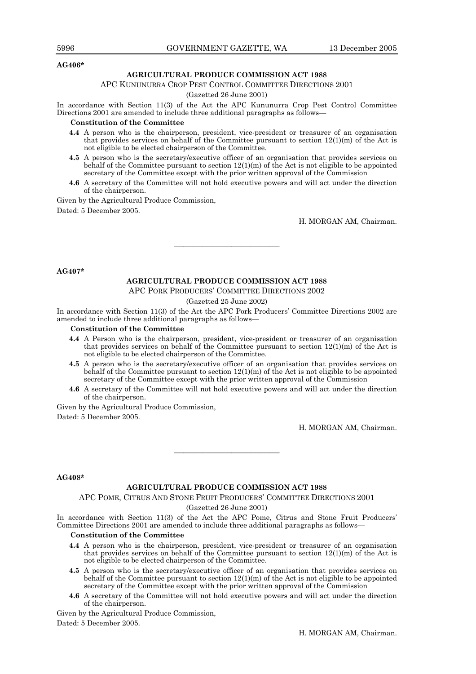#### **AG406\***

#### **AGRICULTURAL PRODUCE COMMISSION ACT 1988**

#### APC KUNUNURRA CROP PEST CONTROL COMMITTEE DIRECTIONS 2001

#### (Gazetted 26 June 2001)

In accordance with Section 11(3) of the Act the APC Kununurra Crop Pest Control Committee Directions 2001 are amended to include three additional paragraphs as follows—

#### **Constitution of the Committee**

- **4.4** A person who is the chairperson, president, vice-president or treasurer of an organisation that provides services on behalf of the Committee pursuant to section 12(1)(m) of the Act is not eligible to be elected chairperson of the Committee.
- **4.5** A person who is the secretary/executive officer of an organisation that provides services on behalf of the Committee pursuant to section  $12(1)(m)$  of the Act is not eligible to be appointed secretary of the Committee except with the prior written approval of the Commission
- **4.6** A secretary of the Committee will not hold executive powers and will act under the direction of the chairperson.

Given by the Agricultural Produce Commission,

Dated: 5 December 2005.

H. MORGAN AM, Chairman.

#### **AG407\***

#### **AGRICULTURAL PRODUCE COMMISSION ACT 1988**

———————————

APC PORK PRODUCERS' COMMITTEE DIRECTIONS 2002

#### (Gazetted 25 June 2002)

In accordance with Section 11(3) of the Act the APC Pork Producers' Committee Directions 2002 are amended to include three additional paragraphs as follows—

#### **Constitution of the Committee**

- **4.4** A Person who is the chairperson, president, vice-president or treasurer of an organisation that provides services on behalf of the Committee pursuant to section  $12(1)(m)$  of the Act is not eligible to be elected chairperson of the Committee.
- **4.5** A person who is the secretary/executive officer of an organisation that provides services on behalf of the Committee pursuant to section 12(1)(m) of the Act is not eligible to be appointed secretary of the Committee except with the prior written approval of the Commission
- **4.6** A secretary of the Committee will not hold executive powers and will act under the direction of the chairperson.

Given by the Agricultural Produce Commission,

Dated: 5 December 2005.

H. MORGAN AM, Chairman.

#### **AG408\***

#### **AGRICULTURAL PRODUCE COMMISSION ACT 1988**

———————————

APC POME, CITRUS AND STONE FRUIT PRODUCERS' COMMITTEE DIRECTIONS 2001

(Gazetted 26 June 2001)

In accordance with Section 11(3) of the Act the APC Pome, Citrus and Stone Fruit Producers' Committee Directions 2001 are amended to include three additional paragraphs as follows—

#### **Constitution of the Committee**

- **4.4** A person who is the chairperson, president, vice-president or treasurer of an organisation that provides services on behalf of the Committee pursuant to section  $12(1)(m)$  of the Act is not eligible to be elected chairperson of the Committee.
	- **4.5** A person who is the secretary/executive officer of an organisation that provides services on behalf of the Committee pursuant to section  $12(1)(m)$  of the Act is not eligible to be appointed secretary of the Committee except with the prior written approval of the Commission
	- **4.6** A secretary of the Committee will not hold executive powers and will act under the direction of the chairperson.

Given by the Agricultural Produce Commission,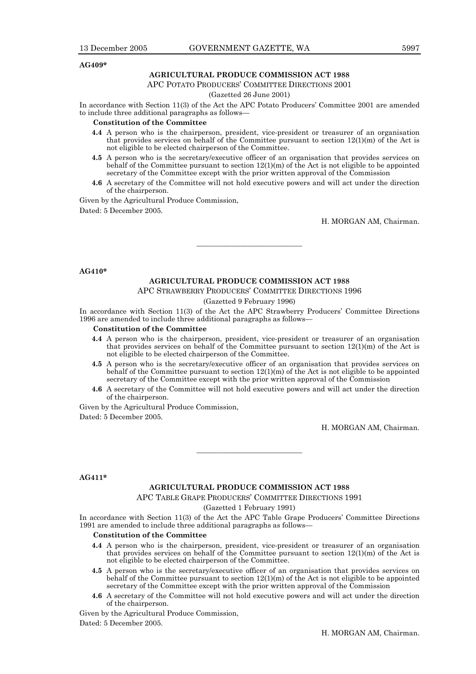#### **AG409\***

#### **AGRICULTURAL PRODUCE COMMISSION ACT 1988**

APC POTATO PRODUCERS' COMMITTEE DIRECTIONS 2001

#### (Gazetted 26 June 2001)

In accordance with Section 11(3) of the Act the APC Potato Producers' Committee 2001 are amended to include three additional paragraphs as follows—

#### **Constitution of the Committee**

- **4.4** A person who is the chairperson, president, vice-president or treasurer of an organisation that provides services on behalf of the Committee pursuant to section  $12(1)(m)$  of the Act is not eligible to be elected chairperson of the Committee.
- **4.5** A person who is the secretary/executive officer of an organisation that provides services on behalf of the Committee pursuant to section  $12(1)(m)$  of the Act is not eligible to be appointed secretary of the Committee except with the prior written approval of the Commission
- **4.6** A secretary of the Committee will not hold executive powers and will act under the direction of the chairperson.

Given by the Agricultural Produce Commission,

Dated: 5 December 2005.

H. MORGAN AM, Chairman.

#### **AG410\***

#### **AGRICULTURAL PRODUCE COMMISSION ACT 1988**

APC STRAWBERRY PRODUCERS' COMMITTEE DIRECTIONS 1996

———————————

#### (Gazetted 9 February 1996)

In accordance with Section 11(3) of the Act the APC Strawberry Producers' Committee Directions 1996 are amended to include three additional paragraphs as follows—

#### **Constitution of the Committee**

- **4.4** A person who is the chairperson, president, vice-president or treasurer of an organisation that provides services on behalf of the Committee pursuant to section  $12(1)(m)$  of the Act is not eligible to be elected chairperson of the Committee.
- **4.5** A person who is the secretary/executive officer of an organisation that provides services on behalf of the Committee pursuant to section 12(1)(m) of the Act is not eligible to be appointed secretary of the Committee except with the prior written approval of the Commission
- **4.6** A secretary of the Committee will not hold executive powers and will act under the direction of the chairperson.

Given by the Agricultural Produce Commission,

Dated: 5 December 2005.

H. MORGAN AM, Chairman.

#### **AG411\***

#### **AGRICULTURAL PRODUCE COMMISSION ACT 1988**

APC TABLE GRAPE PRODUCERS' COMMITTEE DIRECTIONS 1991

———————————

#### (Gazetted 1 February 1991)

In accordance with Section 11(3) of the Act the APC Table Grape Producers' Committee Directions 1991 are amended to include three additional paragraphs as follows—

#### **Constitution of the Committee**

- **4.4** A person who is the chairperson, president, vice-president or treasurer of an organisation that provides services on behalf of the Committee pursuant to section 12(1)(m) of the Act is not eligible to be elected chairperson of the Committee.
- **4.5** A person who is the secretary/executive officer of an organisation that provides services on behalf of the Committee pursuant to section  $12(1)(m)$  of the Act is not eligible to be appointed secretary of the Committee except with the prior written approval of the Commission
- **4.6** A secretary of the Committee will not hold executive powers and will act under the direction of the chairperson.

Given by the Agricultural Produce Commission,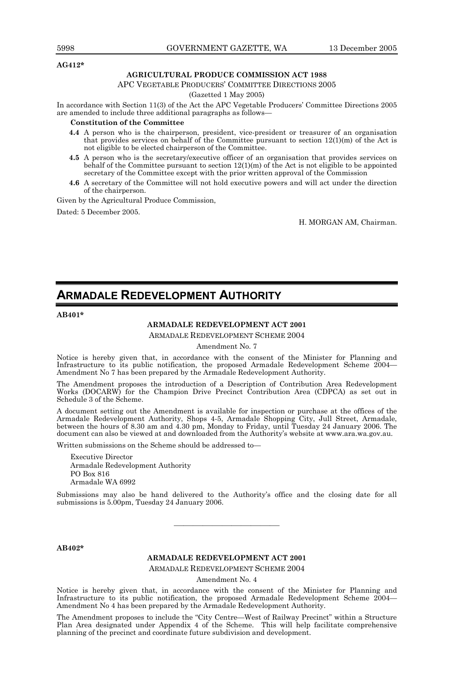#### **AG412\***

#### **AGRICULTURAL PRODUCE COMMISSION ACT 1988**

APC VEGETABLE PRODUCERS' COMMITTEE DIRECTIONS 2005

#### (Gazetted 1 May 2005)

In accordance with Section 11(3) of the Act the APC Vegetable Producers' Committee Directions 2005 are amended to include three additional paragraphs as follows—

#### **Constitution of the Committee**

- **4.4** A person who is the chairperson, president, vice-president or treasurer of an organisation that provides services on behalf of the Committee pursuant to section 12(1)(m) of the Act is not eligible to be elected chairperson of the Committee.
- **4.5** A person who is the secretary/executive officer of an organisation that provides services on behalf of the Committee pursuant to section  $12(1)(m)$  of the Act is not eligible to be appointed secretary of the Committee except with the prior written approval of the Commission
- **4.6** A secretary of the Committee will not hold executive powers and will act under the direction of the chairperson.

Given by the Agricultural Produce Commission,

Dated: 5 December 2005.

H. MORGAN AM, Chairman.

## **ARMADALE REDEVELOPMENT AUTHORITY**

#### **AB401\***

### **ARMADALE REDEVELOPMENT ACT 2001**

ARMADALE REDEVELOPMENT SCHEME 2004

Amendment No. 7

Notice is hereby given that, in accordance with the consent of the Minister for Planning and Infrastructure to its public notification, the proposed Armadale Redevelopment Scheme 2004— Amendment No 7 has been prepared by the Armadale Redevelopment Authority.

The Amendment proposes the introduction of a Description of Contribution Area Redevelopment Works (DOCARW) for the Champion Drive Precinct Contribution Area (CDPCA) as set out in Schedule 3 of the Scheme.

A document setting out the Amendment is available for inspection or purchase at the offices of the Armadale Redevelopment Authority, Shops 4-5, Armadale Shopping City, Jull Street, Armadale, between the hours of 8.30 am and 4.30 pm, Monday to Friday, until Tuesday 24 January 2006. The document can also be viewed at and downloaded from the Authority's website at www.ara.wa.gov.au.

Written submissions on the Scheme should be addressed to—

Executive Director Armadale Redevelopment Authority PO Box 816 Armadale WA 6992

Submissions may also be hand delivered to the Authority's office and the closing date for all submissions is 5.00pm, Tuesday 24 January 2006.

———————————

**AB402\*** 

#### **ARMADALE REDEVELOPMENT ACT 2001**

ARMADALE REDEVELOPMENT SCHEME 2004

Amendment No. 4

Notice is hereby given that, in accordance with the consent of the Minister for Planning and Infrastructure to its public notification, the proposed Armadale Redevelopment Scheme 2004— Amendment No 4 has been prepared by the Armadale Redevelopment Authority.

The Amendment proposes to include the "City Centre—West of Railway Precinct" within a Structure Plan Area designated under Appendix 4 of the Scheme. This will help facilitate comprehensive planning of the precinct and coordinate future subdivision and development.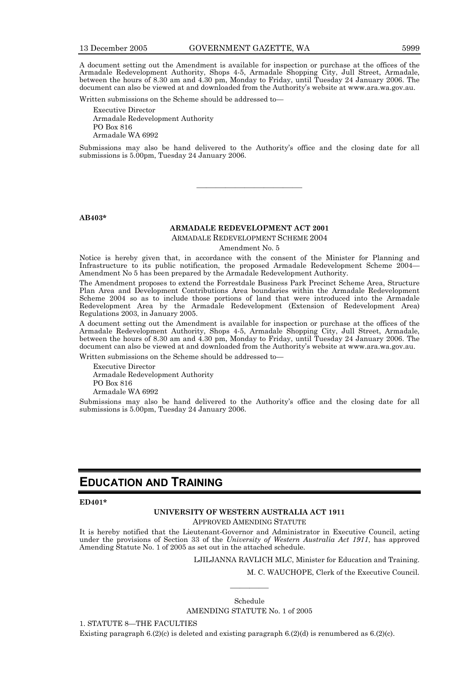A document setting out the Amendment is available for inspection or purchase at the offices of the Armadale Redevelopment Authority, Shops 4-5, Armadale Shopping City, Jull Street, Armadale, between the hours of 8.30 am and 4.30 pm, Monday to Friday, until Tuesday 24 January 2006. The document can also be viewed at and downloaded from the Authority's website at www.ara.wa.gov.au.

Written submissions on the Scheme should be addressed to—

Executive Director Armadale Redevelopment Authority PO Box 816 Armadale WA 6992

Submissions may also be hand delivered to the Authority's office and the closing date for all submissions is 5.00pm, Tuesday 24 January 2006.

———————————

#### **AB403\***

#### **ARMADALE REDEVELOPMENT ACT 2001**

ARMADALE REDEVELOPMENT SCHEME 2004

Amendment No. 5

Notice is hereby given that, in accordance with the consent of the Minister for Planning and Infrastructure to its public notification, the proposed Armadale Redevelopment Scheme 2004— Amendment No 5 has been prepared by the Armadale Redevelopment Authority.

The Amendment proposes to extend the Forrestdale Business Park Precinct Scheme Area, Structure Plan Area and Development Contributions Area boundaries within the Armadale Redevelopment Scheme 2004 so as to include those portions of land that were introduced into the Armadale Redevelopment Area by the Armadale Redevelopment (Extension of Redevelopment Area) Regulations 2003, in January 2005.

A document setting out the Amendment is available for inspection or purchase at the offices of the Armadale Redevelopment Authority, Shops 4-5, Armadale Shopping City, Jull Street, Armadale, between the hours of 8.30 am and 4.30 pm, Monday to Friday, until Tuesday 24 January 2006. The document can also be viewed at and downloaded from the Authority's website at www.ara.wa.gov.au.

Written submissions on the Scheme should be addressed to—

Executive Director Armadale Redevelopment Authority PO Box 816 Armadale WA 6992

Submissions may also be hand delivered to the Authority's office and the closing date for all submissions is 5.00pm, Tuesday 24 January 2006.

## **EDUCATION AND TRAINING**

#### **ED401\***

#### **UNIVERSITY OF WESTERN AUSTRALIA ACT 1911**  APPROVED AMENDING STATUTE

It is hereby notified that the Lieutenant-Governor and Administrator in Executive Council, acting under the provisions of Section 33 of the *University of Western Australia Act 1911*, has approved Amending Statute No. 1 of 2005 as set out in the attached schedule.

LJILJANNA RAVLICH MLC, Minister for Education and Training.

M. C. WAUCHOPE, Clerk of the Executive Council.

Schedule AMENDING STATUTE No. 1 of 2005

————

1. STATUTE 8—THE FACULTIES

Existing paragraph  $6(2)(c)$  is deleted and existing paragraph  $6(2)(d)$  is renumbered as  $6(2)(c)$ .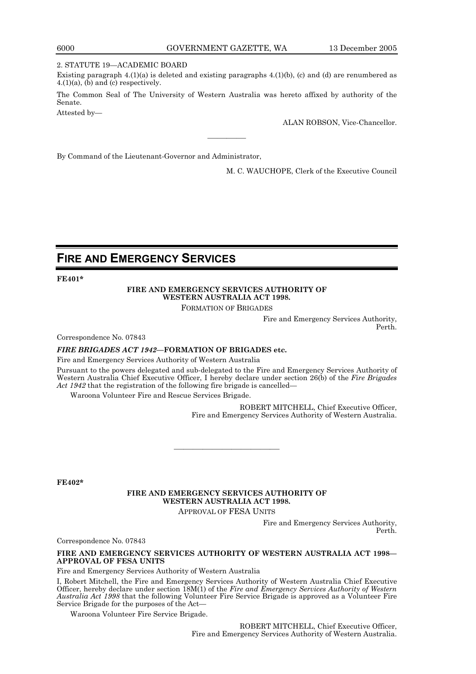#### 2. STATUTE 19—ACADEMIC BOARD

Existing paragraph  $4.(1)(a)$  is deleted and existing paragraphs  $4.(1)(b)$ , (c) and (d) are renumbered as  $4.(1)(a)$ ,  $(b)$  and  $(c)$  respectively.

The Common Seal of The University of Western Australia was hereto affixed by authority of the Senate.

————

Attested by—

ALAN ROBSON, Vice-Chancellor.

By Command of the Lieutenant-Governor and Administrator,

M. C. WAUCHOPE, Clerk of the Executive Council

## **FIRE AND EMERGENCY SERVICES**

**FE401\*** 

#### **FIRE AND EMERGENCY SERVICES AUTHORITY OF WESTERN AUSTRALIA ACT 1998.**

FORMATION OF BRIGADES

Fire and Emergency Services Authority, Perth.

Correspondence No. 07843

#### *FIRE BRIGADES ACT 1942***—FORMATION OF BRIGADES etc.**

Fire and Emergency Services Authority of Western Australia

Pursuant to the powers delegated and sub-delegated to the Fire and Emergency Services Authority of Western Australia Chief Executive Officer, I hereby declare under section 26(b) of the *Fire Brigades Act 1942* that the registration of the following fire brigade is cancelled—

Waroona Volunteer Fire and Rescue Services Brigade.

ROBERT MITCHELL, Chief Executive Officer, Fire and Emergency Services Authority of Western Australia.

**FE402\*** 

## **FIRE AND EMERGENCY SERVICES AUTHORITY OF WESTERN AUSTRALIA ACT 1998.**

———————————

APPROVAL OF FESA UNITS

Fire and Emergency Services Authority, Perth.

Correspondence No. 07843

#### **FIRE AND EMERGENCY SERVICES AUTHORITY OF WESTERN AUSTRALIA ACT 1998— APPROVAL OF FESA UNITS**

Fire and Emergency Services Authority of Western Australia

I, Robert Mitchell, the Fire and Emergency Services Authority of Western Australia Chief Executive Officer, hereby declare under section 18M(1) of the *Fire and Emergency Services Authority of Western Australia Act 1998* that the following Volunteer Fire Service Brigade is approved as a Volunteer Fire Service Brigade for the purposes of the Act—

Waroona Volunteer Fire Service Brigade.

ROBERT MITCHELL, Chief Executive Officer, Fire and Emergency Services Authority of Western Australia.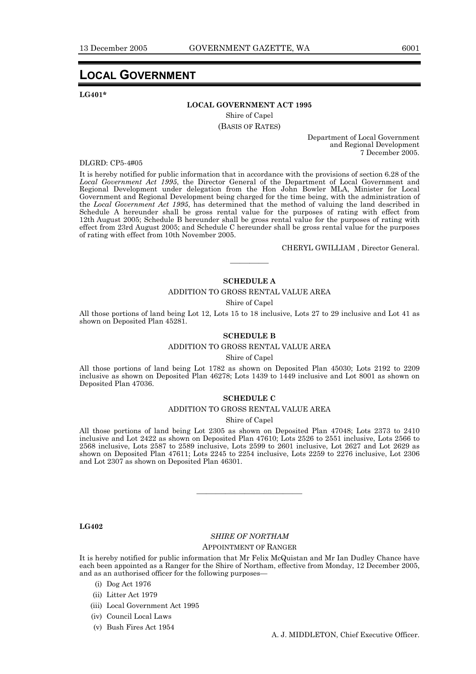## **LOCAL GOVERNMENT**

**LG401\*** 

#### **LOCAL GOVERNMENT ACT 1995**

Shire of Capel (BASIS OF RATES)

> Department of Local Government and Regional Development 7 December 2005.

DLGRD: CP5-4#05

It is hereby notified for public information that in accordance with the provisions of section 6.28 of the *Local Government Act 1995*, the Director General of the Department of Local Government and Regional Development under delegation from the Hon John Bowler MLA, Minister for Local Government and Regional Development being charged for the time being, with the administration of the *Local Government Act 1995*, has determined that the method of valuing the land described in Schedule A hereunder shall be gross rental value for the purposes of rating with effect from 12th August 2005; Schedule B hereunder shall be gross rental value for the purposes of rating with effect from 23rd August 2005; and Schedule C hereunder shall be gross rental value for the purposes of rating with effect from 10th November 2005.

CHERYL GWILLIAM , Director General.

#### **SCHEDULE A**

#### ADDITION TO GROSS RENTAL VALUE AREA

————

Shire of Capel

All those portions of land being Lot 12, Lots 15 to 18 inclusive, Lots 27 to 29 inclusive and Lot 41 as shown on Deposited Plan 45281.

#### **SCHEDULE B**

#### ADDITION TO GROSS RENTAL VALUE AREA

Shire of Capel

All those portions of land being Lot 1782 as shown on Deposited Plan 45030; Lots 2192 to 2209 inclusive as shown on Deposited Plan 46278; Lots 1439 to 1449 inclusive and Lot 8001 as shown on Deposited Plan 47036.

#### **SCHEDULE C**

#### ADDITION TO GROSS RENTAL VALUE AREA

Shire of Capel

All those portions of land being Lot 2305 as shown on Deposited Plan 47048; Lots 2373 to 2410 inclusive and Lot 2422 as shown on Deposited Plan 47610; Lots 2526 to 2551 inclusive, Lots 2566 to 2568 inclusive, Lots 2587 to 2589 inclusive, Lots 2599 to 2601 inclusive, Lot 2627 and Lot 2629 as shown on Deposited Plan 47611; Lots 2245 to 2254 inclusive, Lots 2259 to 2276 inclusive, Lot 2306 and Lot 2307 as shown on Deposited Plan 46301.

#### **LG402**

#### *SHIRE OF NORTHAM*

———————————

#### APPOINTMENT OF RANGER

It is hereby notified for public information that Mr Felix McQuistan and Mr Ian Dudley Chance have each been appointed as a Ranger for the Shire of Northam, effective from Monday, 12 December 2005, and as an authorised officer for the following purposes—

- (i) Dog Act 1976
- (ii) Litter Act 1979
- (iii) Local Government Act 1995
- (iv) Council Local Laws
- (v) Bush Fires Act 1954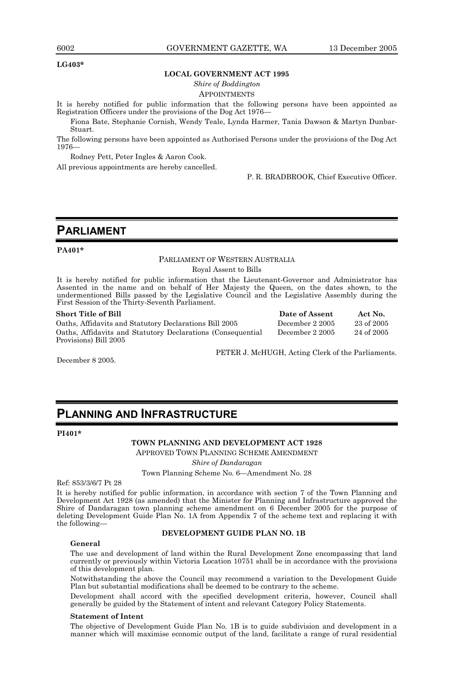#### **LG403\***

#### **LOCAL GOVERNMENT ACT 1995**

*Shire of Boddington* 

#### APPOINTMENTS

It is hereby notified for public information that the following persons have been appointed as Registration Officers under the provisions of the Dog Act 1976—

Fiona Bate, Stephanie Cornish, Wendy Teale, Lynda Harmer, Tania Dawson & Martyn Dunbar-Stuart.

The following persons have been appointed as Authorised Persons under the provisions of the Dog Act 1976—

Rodney Pett, Peter Ingles & Aaron Cook.

All previous appointments are hereby cancelled.

P. R. BRADBROOK, Chief Executive Officer.

## **PARLIAMENT**

#### **PA401\***

### PARLIAMENT OF WESTERN AUSTRALIA

Royal Assent to Bills

It is hereby notified for public information that the Lieutenant-Governor and Administrator has Assented in the name and on behalf of Her Majesty the Queen, on the dates shown, to the undermentioned Bills passed by the Legislative Council and the Legislative Assembly during the First Session of the Thirty-Seventh Parliament.

#### **Short Title of Bill Contract Date of Assent Act No. Date of Assent Act No.**

Oaths, Affidavits and Statutory Declarations Bill 2005 December 2 2005 23 of 2005 Oaths, Affidavits and Statutory Declarations (Consequential Provisions) Bill 2005 December 2 2005 24 of 2005

December 8 2005.

PETER J. McHUGH, Acting Clerk of the Parliaments.

## **PLANNING AND INFRASTRUCTURE**

#### **PI401\***

**TOWN PLANNING AND DEVELOPMENT ACT 1928**  APPROVED TOWN PLANNING SCHEME AMENDMENT

*Shire of Dandaragan* 

Town Planning Scheme No. 6—Amendment No. 28

Ref: 853/3/6/7 Pt 28

It is hereby notified for public information, in accordance with section 7 of the Town Planning and Development Act 1928 (as amended) that the Minister for Planning and Infrastructure approved the Shire of Dandaragan town planning scheme amendment on 6 December 2005 for the purpose of deleting Development Guide Plan No. 1A from Appendix 7 of the scheme text and replacing it with the following—

#### **DEVELOPMENT GUIDE PLAN NO. 1B**

#### **General**

The use and development of land within the Rural Development Zone encompassing that land currently or previously within Victoria Location 10751 shall be in accordance with the provisions of this development plan.

Notwithstanding the above the Council may recommend a variation to the Development Guide Plan but substantial modifications shall be deemed to be contrary to the scheme.

Development shall accord with the specified development criteria, however, Council shall generally be guided by the Statement of intent and relevant Category Policy Statements.

#### **Statement of Intent**

The objective of Development Guide Plan No. 1B is to guide subdivision and development in a manner which will maximise economic output of the land, facilitate a range of rural residential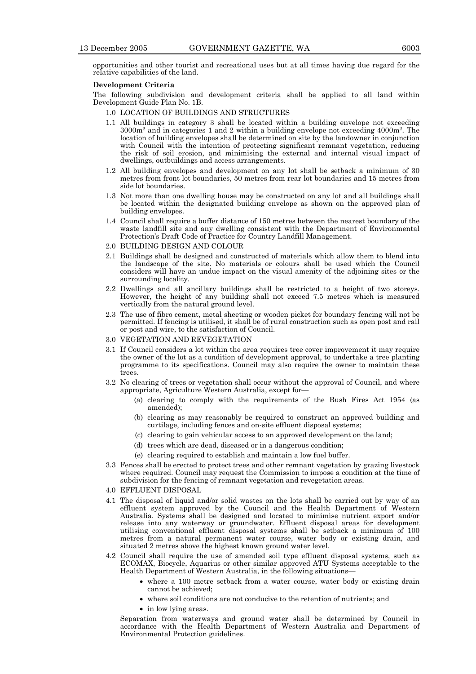opportunities and other tourist and recreational uses but at all times having due regard for the relative capabilities of the land.

#### **Development Criteria**

The following subdivision and development criteria shall be applied to all land within Development Guide Plan No. 1B.

- 1.0 LOCATION OF BUILDINGS AND STRUCTURES
- 1.1 All buildings in category 3 shall be located within a building envelope not exceeding  $3000m^2$  and in categories 1 and 2 within a building envelope not exceeding  $4000m^2$ . The location of building envelopes shall be determined on site by the landowner in conjunction with Council with the intention of protecting significant remnant vegetation, reducing the risk of soil erosion, and minimising the external and internal visual impact of dwellings, outbuildings and access arrangements.
- 1.2 All building envelopes and development on any lot shall be setback a minimum of 30 metres from front lot boundaries, 50 metres from rear lot boundaries and 15 metres from side lot boundaries.
- 1.3 Not more than one dwelling house may be constructed on any lot and all buildings shall be located within the designated building envelope as shown on the approved plan of building envelopes.
- 1.4 Council shall require a buffer distance of 150 metres between the nearest boundary of the waste landfill site and any dwelling consistent with the Department of Environmental Protection's Draft Code of Practice for Country Landfill Management.
- 2.0 BUILDING DESIGN AND COLOUR
- 2.1 Buildings shall be designed and constructed of materials which allow them to blend into the landscape of the site. No materials or colours shall be used which the Council considers will have an undue impact on the visual amenity of the adjoining sites or the surrounding locality.
- 2.2 Dwellings and all ancillary buildings shall be restricted to a height of two storeys. However, the height of any building shall not exceed 7.5 metres which is measured vertically from the natural ground level.
- 2.3 The use of fibro cement, metal sheeting or wooden picket for boundary fencing will not be permitted. If fencing is utilised, it shall be of rural construction such as open post and rail or post and wire, to the satisfaction of Council.
- 3.0 VEGETATION AND REVEGETATION
- 3.1 If Council considers a lot within the area requires tree cover improvement it may require the owner of the lot as a condition of development approval, to undertake a tree planting programme to its specifications. Council may also require the owner to maintain these trees.
- 3.2 No clearing of trees or vegetation shall occur without the approval of Council, and where appropriate, Agriculture Western Australia, except for—
	- (a) clearing to comply with the requirements of the Bush Fires Act 1954 (as amended);
	- (b) clearing as may reasonably be required to construct an approved building and curtilage, including fences and on-site effluent disposal systems;
	- (c) clearing to gain vehicular access to an approved development on the land;
	- (d) trees which are dead, diseased or in a dangerous condition;
	- (e) clearing required to establish and maintain a low fuel buffer.
- 3.3 Fences shall be erected to protect trees and other remnant vegetation by grazing livestock where required. Council may request the Commission to impose a condition at the time of subdivision for the fencing of remnant vegetation and revegetation areas.
- 4.0 EFFLUENT DISPOSAL
- 4.1 The disposal of liquid and/or solid wastes on the lots shall be carried out by way of an effluent system approved by the Council and the Health Department of Western Australia. Systems shall be designed and located to minimise nutrient export and/or release into any waterway or groundwater. Effluent disposal areas for development utilising conventional effluent disposal systems shall be setback a minimum of 100 metres from a natural permanent water course, water body or existing drain, and situated 2 metres above the highest known ground water level.
- 4.2 Council shall require the use of amended soil type effluent disposal systems, such as ECOMAX, Biocycle, Aquarius or other similar approved ATU Systems acceptable to the Health Department of Western Australia, in the following situations—
	- where a 100 metre setback from a water course, water body or existing drain cannot be achieved;
	- where soil conditions are not conducive to the retention of nutrients; and
	- in low lying areas.

 Separation from waterways and ground water shall be determined by Council in accordance with the Health Department of Western Australia and Department of Environmental Protection guidelines.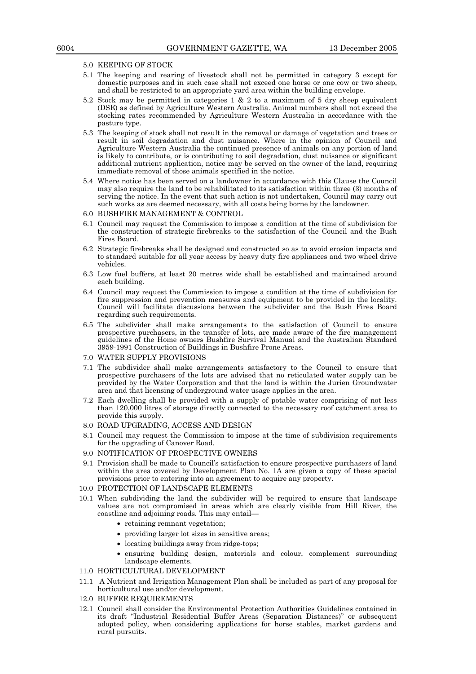#### 5.0 KEEPING OF STOCK

- 5.1 The keeping and rearing of livestock shall not be permitted in category 3 except for domestic purposes and in such case shall not exceed one horse or one cow or two sheep, and shall be restricted to an appropriate yard area within the building envelope.
- 5.2 Stock may be permitted in categories 1 & 2 to a maximum of 5 dry sheep equivalent (DSE) as defined by Agriculture Western Australia. Animal numbers shall not exceed the stocking rates recommended by Agriculture Western Australia in accordance with the pasture type.
- 5.3 The keeping of stock shall not result in the removal or damage of vegetation and trees or result in soil degradation and dust nuisance. Where in the opinion of Council and Agriculture Western Australia the continued presence of animals on any portion of land is likely to contribute, or is contributing to soil degradation, dust nuisance or significant additional nutrient application, notice may be served on the owner of the land, requiring immediate removal of those animals specified in the notice.
- 5.4 Where notice has been served on a landowner in accordance with this Clause the Council may also require the land to be rehabilitated to its satisfaction within three (3) months of serving the notice. In the event that such action is not undertaken, Council may carry out such works as are deemed necessary, with all costs being borne by the landowner.
- 6.0 BUSHFIRE MANAGEMENT & CONTROL
- 6.1 Council may request the Commission to impose a condition at the time of subdivision for the construction of strategic firebreaks to the satisfaction of the Council and the Bush Fires Board.
- 6.2 Strategic firebreaks shall be designed and constructed so as to avoid erosion impacts and to standard suitable for all year access by heavy duty fire appliances and two wheel drive vehicles.
- 6.3 Low fuel buffers, at least 20 metres wide shall be established and maintained around each building.
- 6.4 Council may request the Commission to impose a condition at the time of subdivision for fire suppression and prevention measures and equipment to be provided in the locality. Council will facilitate discussions between the subdivider and the Bush Fires Board regarding such requirements.
- 6.5 The subdivider shall make arrangements to the satisfaction of Council to ensure prospective purchasers, in the transfer of lots, are made aware of the fire management guidelines of the Home owners Bushfire Survival Manual and the Australian Standard 3959-1991 Construction of Buildings in Bushfire Prone Areas.
- 7.0 WATER SUPPLY PROVISIONS
- 7.1 The subdivider shall make arrangements satisfactory to the Council to ensure that prospective purchasers of the lots are advised that no reticulated water supply can be provided by the Water Corporation and that the land is within the Jurien Groundwater area and that licensing of underground water usage applies in the area.
- 7.2 Each dwelling shall be provided with a supply of potable water comprising of not less than 120,000 litres of storage directly connected to the necessary roof catchment area to provide this supply.
- 8.0 ROAD UPGRADING, ACCESS AND DESIGN
- 8.1 Council may request the Commission to impose at the time of subdivision requirements for the upgrading of Canover Road.
- 9.0 NOTIFICATION OF PROSPECTIVE OWNERS
- 9.1 Provision shall be made to Council's satisfaction to ensure prospective purchasers of land within the area covered by Development Plan No. 1A are given a copy of these special provisions prior to entering into an agreement to acquire any property.
- 10.0 PROTECTION OF LANDSCAPE ELEMENTS
- 10.1 When subdividing the land the subdivider will be required to ensure that landscape values are not compromised in areas which are clearly visible from Hill River, the coastline and adjoining roads. This may entail—
	- retaining remnant vegetation;
	- providing larger lot sizes in sensitive areas;
	- locating buildings away from ridge-tops;
	- ensuring building design, materials and colour, complement surrounding landscape elements.

#### 11.0 HORTICULTURAL DEVELOPMENT

- 11.1 A Nutrient and Irrigation Management Plan shall be included as part of any proposal for horticultural use and/or development.
- 12.0 BUFFER REQUIREMENTS
- 12.1 Council shall consider the Environmental Protection Authorities Guidelines contained in its draft "Industrial Residential Buffer Areas (Separation Distances)" or subsequent adopted policy, when considering applications for horse stables, market gardens and rural pursuits.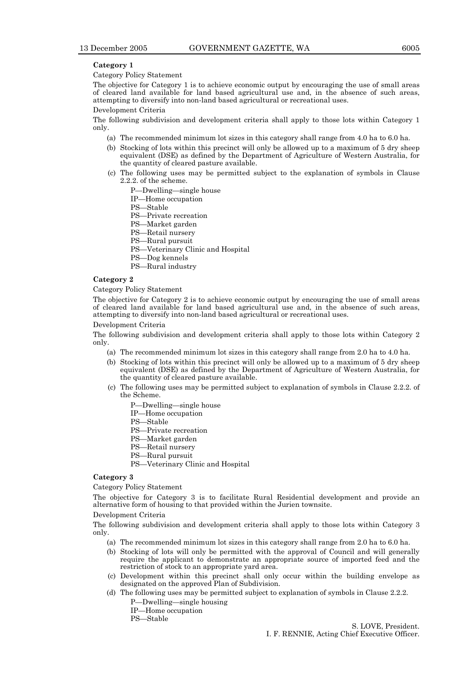#### **Category 1**

Category Policy Statement

The objective for Category 1 is to achieve economic output by encouraging the use of small areas of cleared land available for land based agricultural use and, in the absence of such areas, attempting to diversify into non-land based agricultural or recreational uses.

#### Development Criteria

The following subdivision and development criteria shall apply to those lots within Category 1 only.

- (a) The recommended minimum lot sizes in this category shall range from 4.0 ha to 6.0 ha.
- (b) Stocking of lots within this precinct will only be allowed up to a maximum of 5 dry sheep equivalent (DSE) as defined by the Department of Agriculture of Western Australia, for the quantity of cleared pasture available.
- (c) The following uses may be permitted subject to the explanation of symbols in Clause 2.2.2. of the scheme.
	- P—Dwelling—single house
	- IP—Home occupation
	- PS—Stable
	- PS—Private recreation
	- PS—Market garden
	- PS—Retail nursery
	- PS—Rural pursuit
	- PS—Veterinary Clinic and Hospital
	- PS—Dog kennels
	- PS—Rural industry

#### **Category 2**

#### Category Policy Statement

The objective for Category 2 is to achieve economic output by encouraging the use of small areas of cleared land available for land based agricultural use and, in the absence of such areas, attempting to diversify into non-land based agricultural or recreational uses.

Development Criteria

The following subdivision and development criteria shall apply to those lots within Category 2 only.

- (a) The recommended minimum lot sizes in this category shall range from 2.0 ha to 4.0 ha.
- (b) Stocking of lots within this precinct will only be allowed up to a maximum of 5 dry sheep equivalent (DSE) as defined by the Department of Agriculture of Western Australia, for the quantity of cleared pasture available.
- (c) The following uses may be permitted subject to explanation of symbols in Clause 2.2.2. of the Scheme.
	- P—Dwelling—single house
	- IP—Home occupation
	- PS—Stable
	- PS—Private recreation
	- PS—Market garden
	- PS—Retail nursery
	- PS—Rural pursuit
	- PS—Veterinary Clinic and Hospital

#### **Category 3**

Category Policy Statement

The objective for Category 3 is to facilitate Rural Residential development and provide an alternative form of housing to that provided within the Jurien townsite.

#### Development Criteria

The following subdivision and development criteria shall apply to those lots within Category 3 only.

- (a) The recommended minimum lot sizes in this category shall range from 2.0 ha to 6.0 ha.
- (b) Stocking of lots will only be permitted with the approval of Council and will generally require the applicant to demonstrate an appropriate source of imported feed and the restriction of stock to an appropriate yard area.
- (c) Development within this precinct shall only occur within the building envelope as designated on the approved Plan of Subdivision.
- (d) The following uses may be permitted subject to explanation of symbols in Clause 2.2.2. P—Dwelling—single housing
	- IP—Home occupation
	- PS—Stable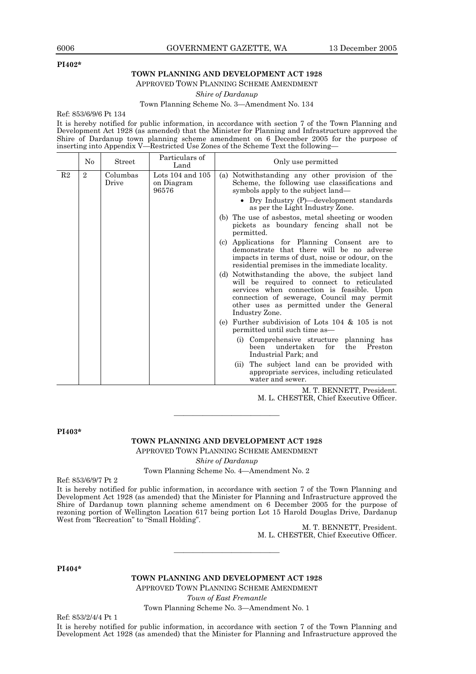#### **PI402\***

### **TOWN PLANNING AND DEVELOPMENT ACT 1928**

APPROVED TOWN PLANNING SCHEME AMENDMENT

*Shire of Dardanup* 

#### Town Planning Scheme No. 3—Amendment No. 134

Ref: 853/6/9/6 Pt 134

It is hereby notified for public information, in accordance with section 7 of the Town Planning and Development Act 1928 (as amended) that the Minister for Planning and Infrastructure approved the Shire of Dardanup town planning scheme amendment on 6 December 2005 for the purpose of inserting into Appendix V—Restricted Use Zones of the Scheme Text the following—

|                | No           | Street            | Particulars of<br>Land                      | Only use permitted                                                                                                                                                                                                                                       |
|----------------|--------------|-------------------|---------------------------------------------|----------------------------------------------------------------------------------------------------------------------------------------------------------------------------------------------------------------------------------------------------------|
| R <sub>2</sub> | $\mathbf{2}$ | Columbas<br>Drive | Lots $104$ and $105$<br>on Diagram<br>96576 | (a) Notwithstanding any other provision of the<br>Scheme, the following use classifications and<br>symbols apply to the subject land—<br>• Dry Industry (P)—development standards<br>as per the Light Industry Zone.                                     |
|                |              |                   |                                             | (b) The use of asbestos, metal sheeting or wooden<br>pickets as boundary fencing shall not be<br>permitted.                                                                                                                                              |
|                |              |                   |                                             | Applications for Planning Consent are to<br>(c)<br>demonstrate that there will be no adverse<br>impacts in terms of dust, noise or odour, on the<br>residential premises in the immediate locality.                                                      |
|                |              |                   |                                             | (d) Notwithstanding the above, the subject land<br>will be required to connect to reticulated<br>services when connection is feasible. Upon<br>connection of sewerage, Council may permit<br>other uses as permitted under the General<br>Industry Zone. |
|                |              |                   |                                             | Further subdivision of Lots 104 & 105 is not<br>(e)<br>permitted until such time as—                                                                                                                                                                     |
|                |              |                   |                                             | (i) Comprehensive structure planning has<br>undertaken<br>been<br>for<br>the<br>Preston<br>Industrial Park; and                                                                                                                                          |
|                |              |                   |                                             | The subject land can be provided with<br>(i)<br>appropriate services, including reticulated<br>water and sewer.                                                                                                                                          |

M. T. BENNETT, President.

M. L. CHESTER, Chief Executive Officer.

**PI403\*** 

#### **TOWN PLANNING AND DEVELOPMENT ACT 1928**

———————————

APPROVED TOWN PLANNING SCHEME AMENDMENT

*Shire of Dardanup* 

Town Planning Scheme No. 4—Amendment No. 2

Ref: 853/6/9/7 Pt 2

It is hereby notified for public information, in accordance with section 7 of the Town Planning and Development Act 1928 (as amended) that the Minister for Planning and Infrastructure approved the Shire of Dardanup town planning scheme amendment on 6 December 2005 for the purpose of rezoning portion of Wellington Location 617 being portion Lot 15 Harold Douglas Drive, Dardanup West from "Recreation" to "Small Holding".

M. T. BENNETT, President. M. L. CHESTER, Chief Executive Officer.

**PI404\*** 

**TOWN PLANNING AND DEVELOPMENT ACT 1928** 

———————————

APPROVED TOWN PLANNING SCHEME AMENDMENT *Town of East Fremantle* 

Town Planning Scheme No. 3—Amendment No. 1

Ref: 853/2/4/4 Pt 1

It is hereby notified for public information, in accordance with section 7 of the Town Planning and Development Act 1928 (as amended) that the Minister for Planning and Infrastructure approved the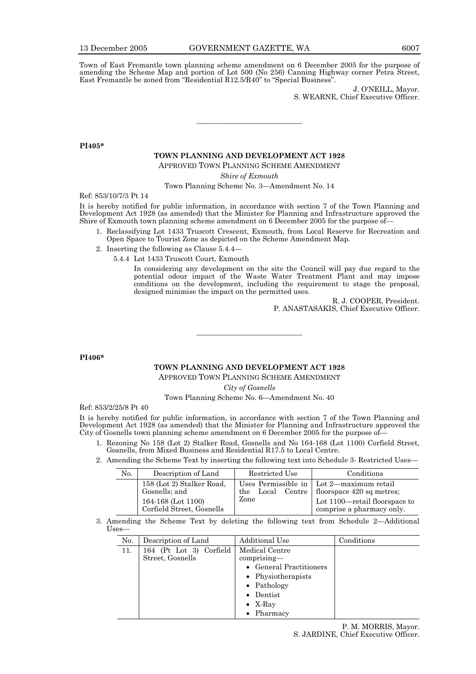Town of East Fremantle town planning scheme amendment on 6 December 2005 for the purpose of amending the Scheme Map and portion of Lot 500 (No 256) Canning Highway corner Petra Street, East Fremantle be zoned from "Residential R12.5/R40" to "Special Business".

> J. O'NEILL, Mayor. S. WEARNE, Chief Executive Officer.

**PI405\*** 

### **TOWN PLANNING AND DEVELOPMENT ACT 1928**

———————————

APPROVED TOWN PLANNING SCHEME AMENDMENT

*Shire of Exmouth* 

Town Planning Scheme No. 3—Amendment No. 14

Ref: 853/10/7/3 Pt 14

It is hereby notified for public information, in accordance with section 7 of the Town Planning and Development Act 1928 (as amended) that the Minister for Planning and Infrastructure approved the Shire of Exmouth town planning scheme amendment on 6 December 2005 for the purpose of—

- 1. Reclassifying Lot 1433 Truscott Crescent, Exmouth, from Local Reserve for Recreation and Open Space to Tourist Zone as depicted on the Scheme Amendment Map.
- 2. Inserting the following as Clause 5.4.4—
	- 5.4.4 Lot 1433 Truscott Court, Exmouth

 In considering any development on the site the Council will pay due regard to the potential odour impact of the Waste Water Treatment Plant and may impose conditions on the development, including the requirement to stage the proposal, designed minimise the impact on the permitted uses.

> R. J. COOPER, President. P. ANASTASAKIS, Chief Executive Officer.

**PI406\*** 

#### **TOWN PLANNING AND DEVELOPMENT ACT 1928**

———————————

APPROVED TOWN PLANNING SCHEME AMENDMENT

*City of Gosnells* 

Town Planning Scheme No. 6—Amendment No. 40

Ref: 853/2/25/8 Pt 40

It is hereby notified for public information, in accordance with section 7 of the Town Planning and Development Act 1928 (as amended) that the Minister for Planning and Infrastructure approved the City of Gosnells town planning scheme amendment on 6 December 2005 for the purpose of—

- 1. Rezoning No 158 (Lot 2) Stalker Road, Gosnells and No 164-168 (Lot 1100) Corfield Street, Gosnells, from Mixed Business and Residential R17.5 to Local Centre.
- 2. Amending the Scheme Text by inserting the following text into Schedule 3- Restricted Uses—

| N <sub>0</sub> . | Description of Land                                                                           | Restricted Use | Conditions                                                                                                                                               |
|------------------|-----------------------------------------------------------------------------------------------|----------------|----------------------------------------------------------------------------------------------------------------------------------------------------------|
|                  | 158 (Lot 2) Stalker Road,<br>Gosnells; and<br>164-168 (Lot 1100)<br>Corfield Street, Gosnells | Zone           | Uses Permissible in   Lot 2—maximum retail<br>the Local Centre   floorspace 420 sq metres;<br>Lot 1100—retail floorspace to<br>comprise a pharmacy only. |

 3. Amending the Scheme Text by deleting the following text from Schedule 2—Additional Uses—

| No. | Description of Land                         | Additional Use                  | Conditions |
|-----|---------------------------------------------|---------------------------------|------------|
| 11. | 164 (Pt Lot 3) Corfield<br>Street, Gosnells | Medical Centre<br>$comprising-$ |            |
|     |                                             |                                 |            |
|     |                                             | • General Practitioners         |            |
|     |                                             | • Physiotherapists              |            |
|     |                                             | $\bullet$ Pathology             |            |
|     |                                             | Dentist<br>$\bullet$            |            |
|     |                                             | • $X$ -Ray                      |            |
|     |                                             | $\bullet$ Pharmacy              |            |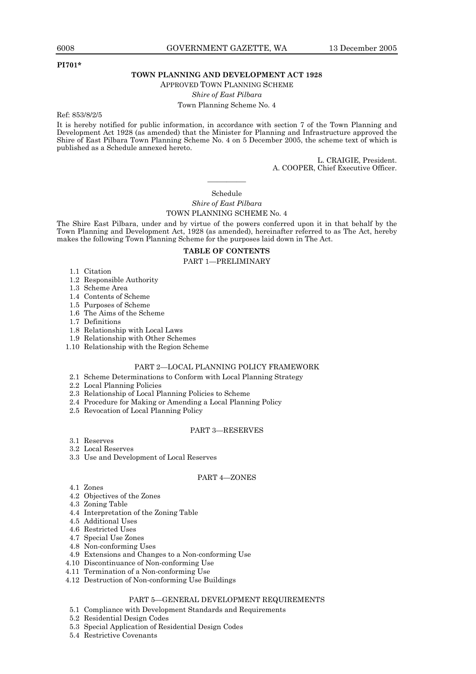#### **PI701\***

#### **TOWN PLANNING AND DEVELOPMENT ACT 1928**

APPROVED TOWN PLANNING SCHEME

*Shire of East Pilbara* 

Town Planning Scheme No. 4

Ref: 853/8/2/5

It is hereby notified for public information, in accordance with section 7 of the Town Planning and Development Act 1928 (as amended) that the Minister for Planning and Infrastructure approved the Shire of East Pilbara Town Planning Scheme No. 4 on 5 December 2005, the scheme text of which is published as a Schedule annexed hereto.

> L. CRAIGIE, President. A. COOPER, Chief Executive Officer.

## ———— Schedule

#### *Shire of East Pilbara*  TOWN PLANNING SCHEME No. 4

The Shire East Pilbara, under and by virtue of the powers conferred upon it in that behalf by the Town Planning and Development Act, 1928 (as amended), hereinafter referred to as The Act, hereby makes the following Town Planning Scheme for the purposes laid down in The Act.

#### **TABLE OF CONTENTS**  PART 1—PRELIMINARY

- 1.1 Citation
- 1.2 Responsible Authority
- 1.3 Scheme Area
- 1.4 Contents of Scheme
- 1.5 Purposes of Scheme
- 1.6 The Aims of the Scheme
- 1.7 Definitions
- 1.8 Relationship with Local Laws
- 1.9 Relationship with Other Schemes
- 1.10 Relationship with the Region Scheme

### PART 2—LOCAL PLANNING POLICY FRAMEWORK

- 2.1 Scheme Determinations to Conform with Local Planning Strategy
- 2.2 Local Planning Policies
- 2.3 Relationship of Local Planning Policies to Scheme
- 2.4 Procedure for Making or Amending a Local Planning Policy
- 2.5 Revocation of Local Planning Policy

#### PART 3—RESERVES

- 3.1 Reserves
- 3.2 Local Reserves
- 3.3 Use and Development of Local Reserves

#### PART 4—ZONES

- 4.1 Zones
- 4.2 Objectives of the Zones
- 4.3 Zoning Table
- 4.4 Interpretation of the Zoning Table
- 4.5 Additional Uses
- 4.6 Restricted Uses
- 4.7 Special Use Zones
- 4.8 Non-conforming Uses
- 4.9 Extensions and Changes to a Non-conforming Use
- 4.10 Discontinuance of Non-conforming Use
- 4.11 Termination of a Non-conforming Use
- 4.12 Destruction of Non-conforming Use Buildings

#### PART 5—GENERAL DEVELOPMENT REQUIREMENTS

- 5.1 Compliance with Development Standards and Requirements
- 5.2 Residential Design Codes
- 5.3 Special Application of Residential Design Codes
- 5.4 Restrictive Covenants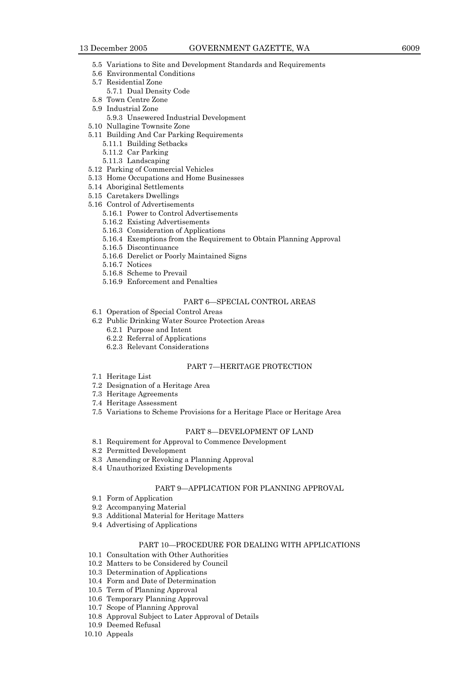- 5.5 Variations to Site and Development Standards and Requirements
- 5.6 Environmental Conditions
- 5.7 Residential Zone
- 5.7.1 Dual Density Code 5.8 Town Centre Zone
- 5.9 Industrial Zone
	- 5.9.3 Unsewered Industrial Development
- 5.10 Nullagine Townsite Zone
- 5.11 Building And Car Parking Requirements
	- 5.11.1 Building Setbacks 5.11.2 Car Parking
	- 5.11.3 Landscaping
- 5.12 Parking of Commercial Vehicles
- 5.13 Home Occupations and Home Businesses
- 5.14 Aboriginal Settlements
- 5.15 Caretakers Dwellings
- 5.16 Control of Advertisements
	- 5.16.1 Power to Control Advertisements
	- 5.16.2 Existing Advertisements
	- 5.16.3 Consideration of Applications
	- 5.16.4 Exemptions from the Requirement to Obtain Planning Approval
	- 5.16.5 Discontinuance
	- 5.16.6 Derelict or Poorly Maintained Signs
	- 5.16.7 Notices
	- 5.16.8 Scheme to Prevail
	- 5.16.9 Enforcement and Penalties

#### PART 6—SPECIAL CONTROL AREAS

- 6.1 Operation of Special Control Areas
- 6.2 Public Drinking Water Source Protection Areas
	- 6.2.1 Purpose and Intent
	- 6.2.2 Referral of Applications
	- 6.2.3 Relevant Considerations

#### PART 7—HERITAGE PROTECTION

- 7.1 Heritage List
- 7.2 Designation of a Heritage Area
- 7.3 Heritage Agreements
- 7.4 Heritage Assessment
- 7.5 Variations to Scheme Provisions for a Heritage Place or Heritage Area

#### PART 8—DEVELOPMENT OF LAND

- 8.1 Requirement for Approval to Commence Development
- 8.2 Permitted Development
- 8.3 Amending or Revoking a Planning Approval
- 8.4 Unauthorized Existing Developments

#### PART 9—APPLICATION FOR PLANNING APPROVAL

- 9.1 Form of Application
- 9.2 Accompanying Material
- 9.3 Additional Material for Heritage Matters
- 9.4 Advertising of Applications

#### PART 10—PROCEDURE FOR DEALING WITH APPLICATIONS

- 10.1 Consultation with Other Authorities
- 10.2 Matters to be Considered by Council
- 10.3 Determination of Applications
- 10.4 Form and Date of Determination
- 10.5 Term of Planning Approval
- 10.6 Temporary Planning Approval
- 10.7 Scope of Planning Approval
- 10.8 Approval Subject to Later Approval of Details
- 10.9 Deemed Refusal
- 10.10 Appeals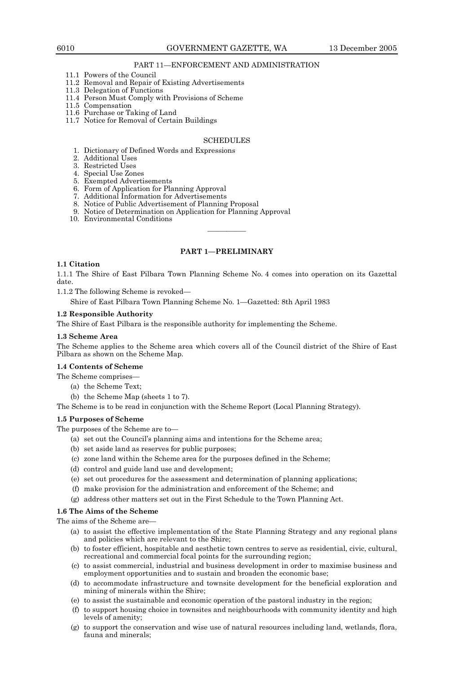#### PART 11—ENFORCEMENT AND ADMINISTRATION

- 11.1 Powers of the Council
- 11.2 Removal and Repair of Existing Advertisements
- 11.3 Delegation of Functions
- 11.4 Person Must Comply with Provisions of Scheme
- 11.5 Compensation
- 11.6 Purchase or Taking of Land
- 11.7 Notice for Removal of Certain Buildings

#### **SCHEDULES**

- 1. Dictionary of Defined Words and Expressions
- 2. Additional Uses
- 3. Restricted Uses
	- 4. Special Use Zones
	- 5. Exempted Advertisements
	- 6. Form of Application for Planning Approval
	- 7. Additional Information for Advertisements
	- 8. Notice of Public Advertisement of Planning Proposal
	- 9. Notice of Determination on Application for Planning Approval
	- 10. Environmental Conditions

#### **PART 1—PRELIMINARY**

————

#### **1.1 Citation**

1.1.1 The Shire of East Pilbara Town Planning Scheme No. 4 comes into operation on its Gazettal date.

1.1.2 The following Scheme is revoked—

Shire of East Pilbara Town Planning Scheme No. 1—Gazetted: 8th April 1983

#### **1.2 Responsible Authority**

The Shire of East Pilbara is the responsible authority for implementing the Scheme.

#### **1.3 Scheme Area**

The Scheme applies to the Scheme area which covers all of the Council district of the Shire of East Pilbara as shown on the Scheme Map.

#### **1.4 Contents of Scheme**

- The Scheme comprises—
	- (a) the Scheme Text;
	- (b) the Scheme Map (sheets 1 to 7).

The Scheme is to be read in conjunction with the Scheme Report (Local Planning Strategy).

#### **1.5 Purposes of Scheme**

The purposes of the Scheme are to—

- (a) set out the Council's planning aims and intentions for the Scheme area;
- (b) set aside land as reserves for public purposes;
- (c) zone land within the Scheme area for the purposes defined in the Scheme;
- (d) control and guide land use and development;
- (e) set out procedures for the assessment and determination of planning applications;
- (f) make provision for the administration and enforcement of the Scheme; and
- (g) address other matters set out in the First Schedule to the Town Planning Act.

#### **1.6 The Aims of the Scheme**

The aims of the Scheme are—

- (a) to assist the effective implementation of the State Planning Strategy and any regional plans and policies which are relevant to the Shire;
- (b) to foster efficient, hospitable and aesthetic town centres to serve as residential, civic, cultural, recreational and commercial focal points for the surrounding region;
- (c) to assist commercial, industrial and business development in order to maximise business and employment opportunities and to sustain and broaden the economic base;
- (d) to accommodate infrastructure and townsite development for the beneficial exploration and mining of minerals within the Shire;
- (e) to assist the sustainable and economic operation of the pastoral industry in the region;
- (f) to support housing choice in townsites and neighbourhoods with community identity and high levels of amenity;
- (g) to support the conservation and wise use of natural resources including land, wetlands, flora, fauna and minerals;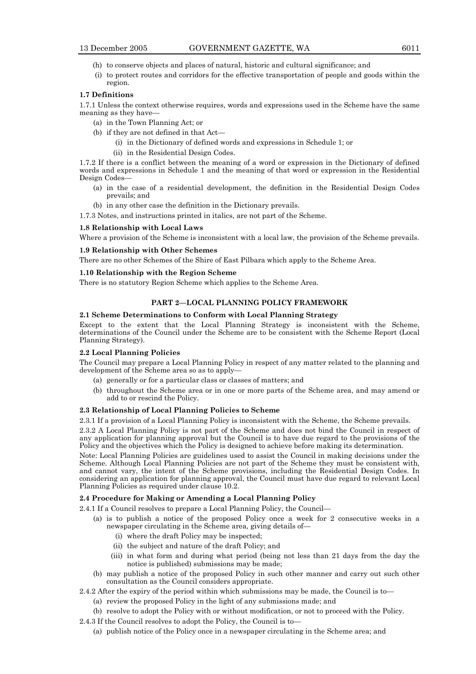- (h) to conserve objects and places of natural, historic and cultural significance; and
- (i) to protect routes and corridors for the effective transportation of people and goods within the region.

#### **1.7 Definitions**

1.7.1 Unless the context otherwise requires, words and expressions used in the Scheme have the same meaning as they have—

- (a) in the Town Planning Act; or
- (b) if they are not defined in that Act—
	- (i) in the Dictionary of defined words and expressions in Schedule 1; or
	- (ii) in the Residential Design Codes.

1.7.2 If there is a conflict between the meaning of a word or expression in the Dictionary of defined words and expressions in Schedule 1 and the meaning of that word or expression in the Residential Design Codes—

- (a) in the case of a residential development, the definition in the Residential Design Codes prevails; and
- (b) in any other case the definition in the Dictionary prevails.

1.7.3 Notes, and instructions printed in italics, are not part of the Scheme.

#### **1.8 Relationship with Local Laws**

Where a provision of the Scheme is inconsistent with a local law, the provision of the Scheme prevails.

#### **1.9 Relationship with Other Schemes**

There are no other Schemes of the Shire of East Pilbara which apply to the Scheme Area.

#### **1.10 Relationship with the Region Scheme**

There is no statutory Region Scheme which applies to the Scheme Area.

## **PART 2—LOCAL PLANNING POLICY FRAMEWORK**

#### **2.1 Scheme Determinations to Conform with Local Planning Strategy**

Except to the extent that the Local Planning Strategy is inconsistent with the Scheme, determinations of the Council under the Scheme are to be consistent with the Scheme Report (Local Planning Strategy).

## **2.2 Local Planning Policies**

The Council may prepare a Local Planning Policy in respect of any matter related to the planning and development of the Scheme area so as to apply—

- (a) generally or for a particular class or classes of matters; and
- (b) throughout the Scheme area or in one or more parts of the Scheme area, and may amend or add to or rescind the Policy.

#### **2.3 Relationship of Local Planning Policies to Scheme**

2.3.1 If a provision of a Local Planning Policy is inconsistent with the Scheme, the Scheme prevails.

2.3.2 A Local Planning Policy is not part of the Scheme and does not bind the Council in respect of any application for planning approval but the Council is to have due regard to the provisions of the Policy and the objectives which the Policy is designed to achieve before making its determination.

Note: Local Planning Policies are guidelines used to assist the Council in making decisions under the Scheme. Although Local Planning Policies are not part of the Scheme they must be consistent with, and cannot vary, the intent of the Scheme provisions, including the Residential Design Codes. In considering an application for planning approval, the Council must have due regard to relevant Local Planning Policies as required under clause 10.2.

#### **2.4 Procedure for Making or Amending a Local Planning Policy**

2.4.1 If a Council resolves to prepare a Local Planning Policy, the Council—

- (a) is to publish a notice of the proposed Policy once a week for 2 consecutive weeks in a newspaper circulating in the Scheme area, giving details of—
	- (i) where the draft Policy may be inspected;
	- (ii) the subject and nature of the draft Policy; and
	- (iii) in what form and during what period (being not less than 21 days from the day the notice is published) submissions may be made;
- (b) may publish a notice of the proposed Policy in such other manner and carry out such other consultation as the Council considers appropriate.
- 2.4.2 After the expiry of the period within which submissions may be made, the Council is to—
	- (a) review the proposed Policy in the light of any submissions made; and
	- (b) resolve to adopt the Policy with or without modification, or not to proceed with the Policy.
- 2.4.3 If the Council resolves to adopt the Policy, the Council is to—
	- (a) publish notice of the Policy once in a newspaper circulating in the Scheme area; and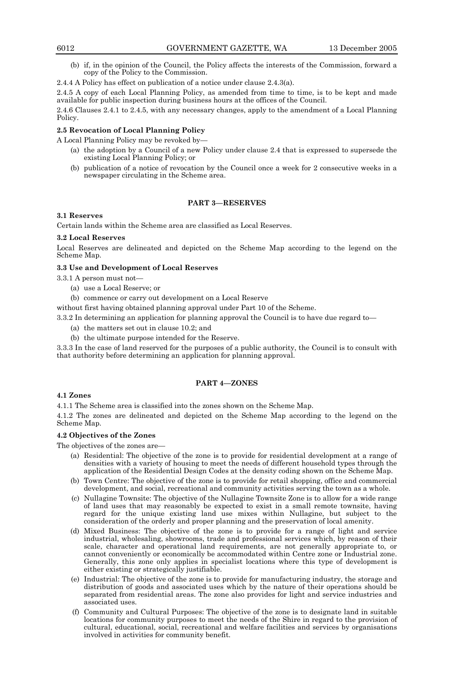(b) if, in the opinion of the Council, the Policy affects the interests of the Commission, forward a copy of the Policy to the Commission.

# 2.4.4 A Policy has effect on publication of a notice under clause 2.4.3(a).

2.4.5 A copy of each Local Planning Policy, as amended from time to time, is to be kept and made available for public inspection during business hours at the offices of the Council.

2.4.6 Clauses 2.4.1 to 2.4.5, with any necessary changes, apply to the amendment of a Local Planning Policy.

# **2.5 Revocation of Local Planning Policy**

A Local Planning Policy may be revoked by—

- (a) the adoption by a Council of a new Policy under clause 2.4 that is expressed to supersede the existing Local Planning Policy; or
- (b) publication of a notice of revocation by the Council once a week for 2 consecutive weeks in a newspaper circulating in the Scheme area.

# **PART 3—RESERVES**

# **3.1 Reserves**

Certain lands within the Scheme area are classified as Local Reserves.

# **3.2 Local Reserves**

Local Reserves are delineated and depicted on the Scheme Map according to the legend on the Scheme Map.

# **3.3 Use and Development of Local Reserves**

3.3.1 A person must not—

- (a) use a Local Reserve; or
- (b) commence or carry out development on a Local Reserve

without first having obtained planning approval under Part 10 of the Scheme.

3.3.2 In determining an application for planning approval the Council is to have due regard to—

- (a) the matters set out in clause 10.2; and
- (b) the ultimate purpose intended for the Reserve.

3.3.3 In the case of land reserved for the purposes of a public authority, the Council is to consult with that authority before determining an application for planning approval.

# **PART 4—ZONES**

# **4.1 Zones**

4.1.1 The Scheme area is classified into the zones shown on the Scheme Map.

4.1.2 The zones are delineated and depicted on the Scheme Map according to the legend on the Scheme Map.

# **4.2 Objectives of the Zones**

The objectives of the zones are—

- (a) Residential: The objective of the zone is to provide for residential development at a range of densities with a variety of housing to meet the needs of different household types through the application of the Residential Design Codes at the density coding shown on the Scheme Map.
- (b) Town Centre: The objective of the zone is to provide for retail shopping, office and commercial development, and social, recreational and community activities serving the town as a whole.
- (c) Nullagine Townsite: The objective of the Nullagine Townsite Zone is to allow for a wide range of land uses that may reasonably be expected to exist in a small remote townsite, having regard for the unique existing land use mixes within Nullagine, but subject to the consideration of the orderly and proper planning and the preservation of local amenity.
- (d) Mixed Business: The objective of the zone is to provide for a range of light and service industrial, wholesaling, showrooms, trade and professional services which, by reason of their scale, character and operational land requirements, are not generally appropriate to, or cannot conveniently or economically be accommodated within Centre zone or Industrial zone. Generally, this zone only applies in specialist locations where this type of development is either existing or strategically justifiable.
- (e) Industrial: The objective of the zone is to provide for manufacturing industry, the storage and distribution of goods and associated uses which by the nature of their operations should be separated from residential areas. The zone also provides for light and service industries and associated uses.
- (f) Community and Cultural Purposes: The objective of the zone is to designate land in suitable locations for community purposes to meet the needs of the Shire in regard to the provision of cultural, educational, social, recreational and welfare facilities and services by organisations involved in activities for community benefit.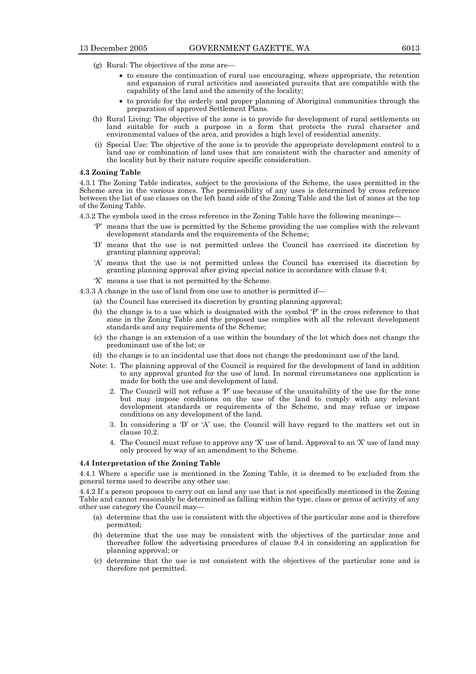- (g) Rural: The objectives of the zone are—
	- to ensure the continuation of rural use encouraging, where appropriate, the retention and expansion of rural activities and associated pursuits that are compatible with the capability of the land and the amenity of the locality;
	- to provide for the orderly and proper planning of Aboriginal communities through the preparation of approved Settlement Plans.
- (h) Rural Living: The objective of the zone is to provide for development of rural settlements on land suitable for such a purpose in a form that protects the rural character and environmental values of the area, and provides a high level of residential amenity.
- (i) Special Use: The objective of the zone is to provide the appropriate development control to a land use or combination of land uses that are consistent with the character and amenity of the locality but by their nature require specific consideration.

#### **4.3 Zoning Table**

4.3.1 The Zoning Table indicates, subject to the provisions of the Scheme, the uses permitted in the Scheme area in the various zones. The permissibility of any uses is determined by cross reference between the list of use classes on the left hand side of the Zoning Table and the list of zones at the top of the Zoning Table.

- 4.3.2 The symbols used in the cross reference in the Zoning Table have the following meanings—
	- 'P' means that the use is permitted by the Scheme providing the use complies with the relevant development standards and the requirements of the Scheme:
	- 'D' means that the use is not permitted unless the Council has exercised its discretion by granting planning approval;
	- 'A' means that the use is not permitted unless the Council has exercised its discretion by granting planning approval after giving special notice in accordance with clause 9.4;
	- 'X' means a use that is not permitted by the Scheme.
- 4.3.3 A change in the use of land from one use to another is permitted if—
	- (a) the Council has exercised its discretion by granting planning approval;
	- (b) the change is to a use which is designated with the symbol 'P' in the cross reference to that zone in the Zoning Table and the proposed use complies with all the relevant development standards and any requirements of the Scheme;
	- (c) the change is an extension of a use within the boundary of the lot which does not change the predominant use of the lot; or
	- (d) the change is to an incidental use that does not change the predominant use of the land.
	- Note: 1. The planning approval of the Council is required for the development of land in addition to any approval granted for the use of land. In normal circumstances one application is made for both the use and development of land.
		- 2. The Council will not refuse a 'P' use because of the unsuitability of the use for the zone but may impose conditions on the use of the land to comply with any relevant development standards or requirements of the Scheme, and may refuse or impose conditions on any development of the land.
		- 3. In considering a 'D' or 'A' use, the Council will have regard to the matters set out in clause 10.2.
		- 4. The Council must refuse to approve any 'X' use of land. Approval to an 'X' use of land may only proceed by way of an amendment to the Scheme.

#### **4.4 Interpretation of the Zoning Table**

4.4.1 Where a specific use is mentioned in the Zoning Table, it is deemed to be excluded from the general terms used to describe any other use.

4.4.2 If a person proposes to carry out on land any use that is not specifically mentioned in the Zoning Table and cannot reasonably be determined as falling within the type, class or genus of activity of any other use category the Council may—

- (a) determine that the use is consistent with the objectives of the particular zone and is therefore permitted;
- (b) determine that the use may be consistent with the objectives of the particular zone and thereafter follow the advertising procedures of clause 9.4 in considering an application for planning approval; or
- (c) determine that the use is not consistent with the objectives of the particular zone and is therefore not permitted.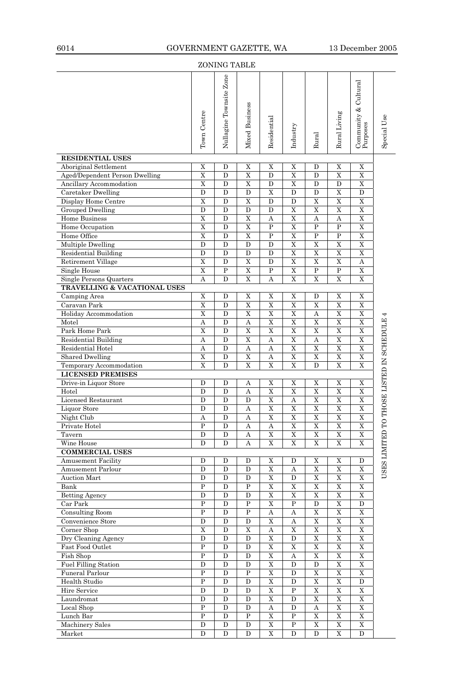| <b>ZONING TABLE</b>                                     |                            |                         |                         |                                      |                              |                                      |                                        |                                                                           |                            |
|---------------------------------------------------------|----------------------------|-------------------------|-------------------------|--------------------------------------|------------------------------|--------------------------------------|----------------------------------------|---------------------------------------------------------------------------|----------------------------|
|                                                         | Town Centre                | Nullagine Townsite Zone | Mixed Business          | Residential                          | Industry                     | Rural                                | Rural Living                           | $\begin{array}{c} \text{Commuty & Cultural} \ \text{Purpose} \end{array}$ | Special Use                |
| <b>RESIDENTIAL USES</b>                                 |                            |                         |                         |                                      |                              |                                      |                                        |                                                                           |                            |
| Aboriginal Settlement<br>Aged/Dependent Person Dwelling | X<br>$\overline{\text{X}}$ | D<br>D                  | X<br>$\mathbf X$        | X<br>D                               | X<br>$\overline{\mathrm{X}}$ | D<br>D                               | X<br>$\overline{X}$                    | X<br>$\mathbf X$                                                          |                            |
| Ancillary Accommodation                                 | X                          | D                       | X                       | D                                    | X                            | D                                    | D                                      | X                                                                         |                            |
| Caretaker Dwelling                                      | D                          | D                       | $\mathbf D$             | $\mathbf X$                          | D                            | D                                    | X                                      | D                                                                         |                            |
| Display Home Centre                                     | $\overline{\mathrm{X}}$    | D                       | $\overline{\mathbf{X}}$ | D                                    | D                            | $\mathbf X$                          | $\overline{\mathrm{X}}$                | $\overline{X}$                                                            |                            |
| <b>Grouped Dwelling</b>                                 | D                          | D                       | D                       | D                                    | X                            | X                                    | $\mathbf X$                            | $\mathbf X$                                                               |                            |
| Home Business                                           | $\overline{X}$             | ${\bf D}$               | $\mathbf X$             | A                                    | $\mathbf X$                  | $\boldsymbol{A}$                     | $\boldsymbol{A}$                       | $\overline{X}$                                                            |                            |
| Home Occupation                                         | X                          | D                       | X                       | P                                    | X                            | P                                    | $\mathbf{P}$                           | $\mathbf X$                                                               |                            |
| Home Office                                             | $\overline{\text{X}}$      | D                       | X                       | P                                    | $\mathbf X$                  | $\mathbf{P}$                         | $\mathbf{P}$                           | X                                                                         |                            |
| <b>Multiple Dwelling</b>                                | D                          | D                       | D                       | D                                    | $\mathbf X$                  | X                                    | $\mathbf X$                            | $\mathbf X$                                                               |                            |
| Residential Building                                    | D                          | D                       | D                       | D                                    | $\mathbf X$                  | $\mathbf X$                          | $\mathbf X$                            | X                                                                         |                            |
| <b>Retirement Village</b>                               | $\overline{X}$             | ${\bf D}$               | $\overline{\mathrm{X}}$ | ${\bf D}$                            | $\overline{X}$               | $\overline{\mathrm{X}}$              | $\overline{X}$                         | $\boldsymbol{A}$                                                          |                            |
| Single House                                            | X                          | P                       | X                       | P                                    | X                            | P                                    | ${\bf P}$                              | X                                                                         |                            |
| Single Persons Quarters                                 | $\Lambda$                  | D                       | $\mathbf X$             | Α                                    | $\mathbf X$                  | X                                    | X                                      | X                                                                         |                            |
| <b>TRAVELLING &amp; VACATIONAL USES</b>                 |                            |                         |                         |                                      |                              |                                      |                                        |                                                                           |                            |
| Camping Area                                            | Χ                          | D                       | X                       | X                                    | Χ                            | D                                    | X                                      | X                                                                         |                            |
| Caravan Park                                            | $\mathbf X$                | ${\bf D}$               | $\mathbf X$             | $\mathbf X$                          | X                            | $\overline{\mathrm{X}}$              | $\mathbf X$                            | $\mathbf X$                                                               |                            |
| Holiday Accommodation                                   | X                          | D                       | X                       | X                                    | X                            | Α                                    | X                                      | X                                                                         |                            |
| Motel                                                   | A                          | D                       | A                       | $\mathbf X$                          | $\mathbf X$                  | X                                    | $\overline{\mathrm{X}}$                | $\overline{\text{X}}$                                                     |                            |
| Park Home Park                                          | X                          | D                       | $\mathbf X$<br>X        | X                                    | $\mathbf X$<br>X             | X                                    | $\overline{\mathrm{X}}$<br>$\mathbf X$ | $\overline{X}$<br>$\mathbf X$                                             |                            |
| Residential Building<br>Residential Hotel               | Α<br>$\boldsymbol{A}$      | D<br>${\bf D}$          | $\boldsymbol{A}$        | Α<br>$\boldsymbol{\rm{A}}$           | $\overline{X}$               | Α<br>$\overline{\mathrm{X}}$         | $\overline{X}$                         | $\overline{X}$                                                            |                            |
| <b>Shared Dwelling</b>                                  | X                          | D                       | X                       | Α                                    | X                            | X                                    | $\mathbf X$                            | $\mathbf X$                                                               |                            |
| Temporary Accommodation                                 | $\overline{\text{X}}$      | D                       | X                       | X                                    | $\mathbf X$                  | D                                    | $\mathbf X$                            | $\overline{\mathrm{X}}$                                                   |                            |
| <b>LICENSED PREMISES</b>                                |                            |                         |                         |                                      |                              |                                      |                                        |                                                                           |                            |
| Drive-in Liquor Store                                   | D                          | D                       | Α                       | X                                    | Χ                            | X                                    | X                                      | X                                                                         | THOSE LISTED IN SCHEDULE 4 |
| Hotel                                                   | D                          | ${\bf D}$               | $\boldsymbol{A}$        | $\overline{\mathrm{X}}$              | $\overline{\mathrm{X}}$      | $\overline{X}$                       | $\overline{X}$                         | $\overline{X}$                                                            |                            |
| Licensed Restaurant                                     | D                          | D                       | D                       | X                                    | Α                            | X                                    | X                                      | X                                                                         |                            |
| Liquor Store                                            | D                          | D                       | Α                       | X                                    | $\mathbf X$                  | $\overline{\text{X}}$                | $\overline{\text{X}}$                  | $\overline{X}$                                                            |                            |
| Night Club                                              | A                          | $\mathbf D$             | $\rm A$                 | $\overline{\text{X}}$                | $\overline{\text{X}}$        | $\overline{\mathrm{X}}$              | $\overline{\mathrm{X}}$                | $\overline{\text{X}}$                                                     |                            |
| Private Hotel                                           | P                          | D                       | Α                       | Α                                    | X                            | $\mathbf X$                          | $\mathbf X$                            | $\mathbf X$                                                               |                            |
| Tavern                                                  | $\mathbf D$                | $\mathbf D$             | Α                       | $\overline{\text{X}}$                | $\overline{\text{X}}$        | $\overline{\text{X}}$                | $\overline{X}$                         | $\overline{\text{X}}$                                                     |                            |
| Wine House                                              | D                          | D                       | Α                       | X                                    | X                            | X                                    | X                                      | X                                                                         |                            |
| <b>COMMERCIAL USES</b>                                  |                            |                         |                         |                                      |                              |                                      |                                        |                                                                           | USES LIMITED TO            |
| Amusement Facility                                      | D                          | D                       | D                       | X                                    | D                            | X                                    | X                                      | D                                                                         |                            |
| Amusement Parlour<br><b>Auction Mart</b>                | D<br>${\bf D}$             | D<br>$\mathbf D$        | D<br>$\mathbf D$        | $\mathbf X$<br>$\overline{\text{X}}$ | Α<br>$\mathbf D$             | $\mathbf X$<br>$\overline{\text{X}}$ | $\mathbf X$<br>$\overline{\text{X}}$   | X<br>$\overline{\text{X}}$                                                |                            |
| Bank                                                    | P                          | D                       | $\, {\bf P}$            | X                                    | X                            | X                                    | $\mathbf X$                            | X                                                                         |                            |
| <b>Betting Agency</b>                                   | D                          | D                       | $\mathbf D$             | $\mathbf X$                          | $\overline{\mathrm{X}}$      | $\overline{\mathrm{X}}$              | $\overline{\mathrm{X}}$                | $\overline{\text{X}}$                                                     |                            |
| $\overline{\text{Car Park}}$                            | $\mathbf{P}$               | D                       | P                       | $\mathbf X$                          | $\mathbf{P}$                 | D                                    | $\mathbf X$                            | $\mathbf D$                                                               |                            |
| Consulting Room                                         | $\mathbf P$                | D                       | $\mathbf P$             | Α                                    | Α                            | $\mathbf X$                          | $\mathbf X$                            | $\overline{X}$                                                            |                            |
| Convenience Store                                       | $\mathbf D$                | ${\bf D}$               | D                       | $\overline{\mathrm{X}}$              | $\boldsymbol{A}$             | $\overline{X}$                       | $\mathbf X$                            | $\mathbf X$                                                               |                            |
| Corner Shop                                             | X                          | D                       | X                       | Α                                    | X                            | X                                    | $\mathbf X$                            | $\mathbf X$                                                               |                            |
| Dry Cleaning Agency                                     | D                          | $\mathbf D$             | $\mathbf D$             | $\mathbf X$                          | $\mathbf D$                  | $\overline{\text{X}}$                | $\overline{\text{X}}$                  | $\overline{\text{X}}$                                                     |                            |
| Fast Food Outlet                                        | $\mathbf P$                | D                       | D                       | $\mathbf X$                          | X                            | $\mathbf X$                          | $\mathbf X$                            | $\mathbf X$                                                               |                            |
| Fish Shop                                               | $\overline{P}$             | D                       | D                       | $\mathbf X$                          | Α                            | $\mathbf X$                          | $\mathbf X$                            | $\overline{X}$                                                            |                            |
| <b>Fuel Filling Station</b>                             | ${\bf D}$                  | ${\rm D}$               | $\mathbf D$             | $\overline{\mathrm{X}}$              | $\mathbf D$                  | ${\bf D}$                            | $\overline{X}$                         | $\overline{X}$                                                            |                            |
| Funeral Parlour                                         | P                          | $\mathbf D$             | $\, {\bf P}$            | X                                    | D                            | X                                    | $\mathbf X$                            | X                                                                         |                            |
| Health Studio                                           | $\mathbf P$                | D                       | $\mathbf D$             | $\mathbf X$                          | D                            | $\mathbf X$                          | $\overline{\mathrm{X}}$                | $\mathbf D$                                                               |                            |
| Hire Service<br>Laundromat                              | D<br>D                     | D<br>D                  | D<br>D                  | $\mathbf X$<br>$\mathbf X$           | P<br>D                       | $\mathbf X$<br>$\mathbf X$           | $\mathbf X$<br>$\mathbf X$             | $\mathbf X$<br>$\overline{X}$                                             |                            |
| Local Shop                                              | $\mathbf P$                | ${\bf D}$               | $\mathbf D$             | $\boldsymbol{A}$                     | $\mathbf D$                  | $\boldsymbol{A}$                     | $\mathbf X$                            | $\mathbf X$                                                               |                            |
| Lunch Bar                                               | ${\bf P}$                  | D                       | $\, {\bf P}$            | X                                    | P                            | X                                    | X                                      | X                                                                         |                            |
| Machinery Sales                                         | D                          | $\mathbf D$             | $\mathbf D$             | $\overline{\text{X}}$                | ${\bf P}$                    | $\overline{\text{X}}$                | $\overline{\text{X}}$                  | $\overline{\text{X}}$                                                     |                            |
| Market                                                  | D                          | D                       | D                       | $\mathbf X$                          | D                            | D                                    | $\overline{X}$                         | D                                                                         |                            |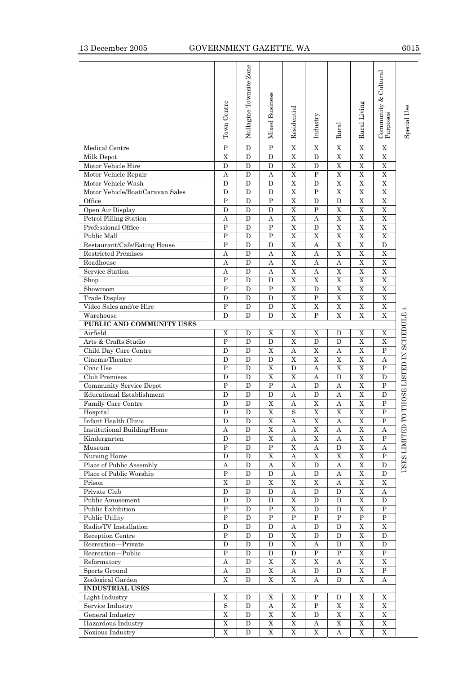# 13 December 2005 GOVERNMENT GAZETTE, WA 6015

|                                          | Town Centre             | Nullagine Townsite Zone | Mixed Business            | Residential      | Industry                  | Rural            | Rural Living                  | & Cultural<br>$\begin{array}{c} \text{Community} \ \text{\&} \\ \text{Purpose} \end{array}$ | Special Use                |
|------------------------------------------|-------------------------|-------------------------|---------------------------|------------------|---------------------------|------------------|-------------------------------|---------------------------------------------------------------------------------------------|----------------------------|
| Medical Centre                           | $\overline{P}$          | D                       | $\overline{P}$            | X                | $\mathbf X$               | X                | $\mathbf X$                   | X                                                                                           |                            |
| Milk Depot                               | X                       | D                       | D                         | X                | D                         | X                | X                             | X                                                                                           |                            |
| Motor Vehicle Hire                       | D                       | D                       | D                         | X                | D                         | X                | $\mathbf X$                   | $\mathbf X$                                                                                 |                            |
| Motor Vehicle Repair                     | Α                       | D                       | А                         | X                | $\mathbf{P}$              | X                | X                             | $\overline{X}$                                                                              |                            |
| Motor Vehicle Wash                       | D                       | D                       | D                         | X                | D                         | $\mathbf X$      | $\mathbf X$                   | $\mathbf X$                                                                                 |                            |
| Motor Vehicle/Boat/Caravan Sales         | D                       | D                       | D                         | X                | P                         | X                | X                             | X                                                                                           |                            |
| Office                                   | $\mathbf{P}$            | D                       | $\mathbf{P}$              | X                | D                         | D                | X                             | X                                                                                           |                            |
| Open Air Display                         | D                       | D                       | D                         | X                | $\mathbf P$               | X                | X                             | X                                                                                           |                            |
| Petrol Filling Station                   | A                       | D                       | $\boldsymbol{A}$          | X                | $\boldsymbol{A}$          | X                | $\mathbf X$                   | X                                                                                           |                            |
| Professional Office                      | $\overline{P}$          | D                       | $\mathbf P$               | X                | D                         | X                | $\mathbf X$                   | X                                                                                           |                            |
| Public Mall                              | $\mathbf P$             | D                       | $\mathbf P$               | $\mathbf X$      | X                         | $\mathbf X$      | $\mathbf X$                   | $\mathbf X$                                                                                 |                            |
| Restaurant/Cafe/Eating House             | $\mathbf{P}$            | D                       | D                         | X                | $\boldsymbol{A}$          | X                | X                             | D                                                                                           |                            |
| <b>Restricted Premises</b>               | Α                       | D                       | А                         | X                | Α                         | X                | X                             | X                                                                                           |                            |
| Roadhouse                                | Α                       | D                       | A                         | X                | A                         | A                | X                             | X                                                                                           |                            |
| Service Station                          | A<br>$\mathbf{P}$       | D                       | $\boldsymbol{A}$          | X<br>X           | $\boldsymbol{A}$<br>X     | X<br>X           | $\mathbf X$<br>X              | X<br>X                                                                                      |                            |
| Shop                                     | $\mathbf P$             | D                       | D                         |                  |                           |                  |                               |                                                                                             |                            |
| Showroom                                 | D                       | D<br>D                  | P<br>D                    | X<br>X           | D<br>P                    | $\mathbf X$<br>X | $\mathbf X$<br>X              | $\mathbf X$<br>X                                                                            |                            |
| Trade Display<br>Video Sales and/or Hire | $\mathbf P$             | D                       | D                         | X                | Χ                         | X                | X                             | X                                                                                           |                            |
| Warehouse                                | D                       | D                       | D                         | X                | P                         | X                | X                             | $\mathbf X$                                                                                 |                            |
| PUBLIC AND COMMUNITY USES                |                         |                         |                           |                  |                           |                  |                               |                                                                                             |                            |
| Airfield                                 | X                       | D                       | X                         | X                | X                         | D                | X                             | X                                                                                           | O THOSE LISTED IN SCHEDULE |
| Arts & Crafts Studio                     | P                       | D                       | D                         | X                | D                         | D                | $\mathbf X$                   | $\mathbf X$                                                                                 |                            |
| Child Day Care Centre                    | D                       | D                       | X                         | Α                | X                         | Α                | X                             | P                                                                                           |                            |
| Cinema/Theatre                           | D                       | D                       | D                         | X                | X                         | Χ                | X                             | Α                                                                                           |                            |
| Civic Use                                | P                       | D                       | X                         | D                | A                         | X                | X                             | P                                                                                           |                            |
| <b>Club Premises</b>                     | D                       | D                       | $\mathbf X$               | X                | $\boldsymbol{A}$          | D                | $\mathbf X$                   | D                                                                                           |                            |
| Community Service Depot                  | $\mathbf{P}$            | D                       | $\mathbf{P}$              | А                | D                         | А                | X                             | P                                                                                           |                            |
| <b>Educational Establishment</b>         | D                       | D                       | ${\bf D}$                 | A                | D                         | $\boldsymbol{A}$ | $\overline{\mathrm{X}}$       | D                                                                                           |                            |
| Family Care Centre                       | D                       | D                       | X                         | Α                | X                         | Α                | X                             | P                                                                                           |                            |
| Hospital                                 | D                       | D                       | X                         | S                | X                         | X                | X                             | P                                                                                           |                            |
| Infant Health Clinic                     | D                       | D                       | X                         | А                | X                         | А                | X                             | Ρ                                                                                           |                            |
| Institutional Building/Home              | $\boldsymbol{A}$        | D                       | $\mathbf X$               | $\boldsymbol{A}$ | $\mathbf X$               | $\boldsymbol{A}$ | $\mathbf X$                   | $\boldsymbol{A}$                                                                            | <b>USES LIMITED 1</b>      |
| Kindergarten                             | D                       | D                       | $\mathbf X$               | Α                | $\mathbf X$               | Α                | $\mathbf X$                   | $\mathbf P$                                                                                 |                            |
| Museum                                   | $\overline{P}$          | D                       | ${\bf P}$                 | $\overline{X}$   | $\boldsymbol{\mathrm{A}}$ | $\mathbf D$      | $\overline{X}$                | $\boldsymbol{A}$                                                                            |                            |
| Nursing Home                             | D                       | $\mathbf D$             | X                         | Α                | X                         | X                | X                             | $\mathbf P$                                                                                 |                            |
| Place of Public Assembly                 | Α                       | D                       | Α                         | X                | D                         | Α                | X                             | D                                                                                           |                            |
| Place of Public Worship                  | $\mathbf P$             | D                       | D                         | A                | $\mathbf D$               | A                | $\overline{\text{X}}$         | D                                                                                           |                            |
| Prison                                   | $\mathbf X$             | D                       | $\mathbf X$               | $\mathbf X$      | $\mathbf X$               | $\boldsymbol{A}$ | $\mathbf X$                   | $\mathbf X$                                                                                 |                            |
| Private Club                             | D                       | D                       | D                         | Α                | D                         | D                | $\overline{X}$                | Α                                                                                           |                            |
| Public Amusement                         | D                       | D                       | D                         | $\overline{X}$   | D                         | D                | $\overline{X}$                | D                                                                                           |                            |
| Public Exhibition                        | $\mathbf P$             | D                       | P                         | X                | D                         | $\mathbf D$      | X                             | P                                                                                           |                            |
| <b>Public Utility</b>                    | $\mathbf P$             | D                       | P                         | P                | P                         | P                | $\, {\bf P}$                  | $\mathbf P$                                                                                 |                            |
| Radio/TV Installation                    | D                       | D                       | D                         | A                | D                         | D                | $\overline{X}$                | $\mathbf X$                                                                                 |                            |
| Reception Centre                         | P                       | D                       | D                         | X                | D                         | D                | X                             | D                                                                                           |                            |
| Recreation-Private                       | D<br>$\overline{P}$     | D                       | D                         | $\mathbf X$      | Α<br>$\overline{P}$       | D<br>$\mathbf P$ | $\mathbf X$<br>$\overline{X}$ | D<br>$\mathbf P$                                                                            |                            |
| Recreation-Public                        |                         | D<br>D                  | D<br>X                    | $\mathbf D$      |                           |                  | X                             | X                                                                                           |                            |
| Reformatory<br>Sports Ground             | A                       | D                       | $\mathbf X$               | X                | Χ<br>D                    | A<br>D           | X                             | $\mathbf P$                                                                                 |                            |
| Zoological Garden                        | Α<br>$\mathbf X$        | D                       | $\mathbf X$               | А<br>$\mathbf X$ | Α                         | D                | $\mathbf X$                   | Α                                                                                           |                            |
| <b>INDUSTRIAL USES</b>                   |                         |                         |                           |                  |                           |                  |                               |                                                                                             |                            |
| Light Industry                           | $\mathbf X$             | D                       | $\mathbf X$               | X                | P                         | D                | X                             | X                                                                                           |                            |
| Service Industry                         | $\overline{\mathbf{s}}$ | D                       | $\boldsymbol{\mathrm{A}}$ | $\overline{X}$   | $\mathbf P$               | $\overline{X}$   | $\overline{X}$                | $\overline{X}$                                                                              |                            |
| General Industry                         | $\mathbf X$             | $\mathbf D$             | X                         | X                | D                         | $\mathbf X$      | X                             | X                                                                                           |                            |
| Hazardous Industry                       | $\mathbf X$             | D                       | X                         | $\mathbf X$      | Α                         | $\mathbf X$      | X                             | X                                                                                           |                            |
| Noxious Industry                         | $\overline{\mathrm{X}}$ | D                       | $\mathbf X$               | $\overline{X}$   | $\mathbf X$               | $\boldsymbol{A}$ | $\mathbf X$                   | $\mathbf X$                                                                                 |                            |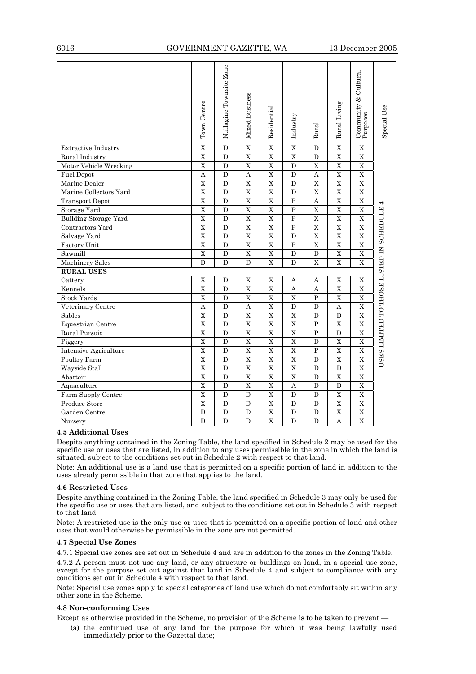# 6016 GOVERNMENT GAZETTE, WA 13 December 2005

|                              | Town Centre             | Nullagine Townsite Zone | Mixed Business          | Residential             | Industry                | Rural                   | Rural Living            | & Cultural<br>$\begin{array}{c} \text{Community} \ \text{}\ \\ \text{Purpose} \end{array}$ | Special Use                              |
|------------------------------|-------------------------|-------------------------|-------------------------|-------------------------|-------------------------|-------------------------|-------------------------|--------------------------------------------------------------------------------------------|------------------------------------------|
| <b>Extractive Industry</b>   | $\overline{X}$          | D                       | $\overline{X}$          | $\overline{X}$          | $\overline{X}$          | D                       | $\overline{X}$          | X                                                                                          |                                          |
| Rural Industry               | $\overline{\mathrm{X}}$ | D                       | $\overline{X}$          | $\overline{X}$          | $\overline{\mathrm{X}}$ | D                       | $\overline{\mathrm{X}}$ | $\overline{X}$                                                                             |                                          |
| Motor Vehicle Wrecking       | $\overline{\mathrm{X}}$ | D                       | $\overline{\text{X}}$   | $\overline{\mathrm{X}}$ | $\overline{D}$          | $\overline{\text{X}}$   | $\overline{\mathrm{X}}$ | $\overline{X}$                                                                             |                                          |
| <b>Fuel Depot</b>            | $\overline{A}$          | D                       | A                       | $\overline{X}$          | D                       | A                       | $\overline{\mathrm{X}}$ | $\overline{\mathbf{x}}$                                                                    |                                          |
| Marine Dealer                | X                       | D                       | $\mathbf X$             | $\mathbf X$             | D                       | X                       | $\mathbf X$             | X                                                                                          |                                          |
| Marine Collectors Yard       | $\overline{X}$          | D                       | $\overline{\text{X}}$   | $\overline{X}$          | D                       | $\overline{X}$          | $\overline{X}$          | $\overline{X}$                                                                             |                                          |
| <b>Transport Depot</b>       | $\overline{\text{X}}$   | D                       | $\overline{X}$          | $\overline{X}$          | $\overline{\mathrm{P}}$ | $\overline{A}$          | $\overline{X}$          | $\overline{X}$                                                                             |                                          |
| Storage Yard                 | $\overline{X}$          | D                       | $\overline{X}$          | $\mathbf X$             | ${\bf P}$               | X                       | $\mathbf X$             | $\overline{X}$                                                                             |                                          |
| Building Storage Yard        | $\overline{X}$          | D                       | $\overline{\text{X}}$   | $\mathbf X$             | $\mathbf{P}$            | $\mathbf X$             | $\overline{\mathrm{X}}$ | $\overline{X}$                                                                             |                                          |
| Contractors Yard             | $\overline{\text{X}}$   | D                       | $\overline{\text{X}}$   | $\overline{\text{X}}$   | $\overline{P}$          | $\overline{\text{X}}$   | $\overline{\mathrm{X}}$ | $\overline{\text{X}}$                                                                      |                                          |
| Salvage Yard                 | $\overline{X}$          | $\mathbf D$             | $\overline{X}$          | $\overline{X}$          | $\mathbf D$             | $\overline{X}$          | $\overline{X}$          | $\overline{X}$                                                                             | USES LIMITED TO THOSE LISTED IN SCHEDULE |
| Factory Unit                 | $\overline{\mathrm{X}}$ | D                       | $\overline{\mathrm{X}}$ | $\overline{\mathrm{X}}$ | $\overline{P}$          | $\overline{\mathrm{X}}$ | $\overline{\mathrm{X}}$ | $\overline{X}$                                                                             |                                          |
| Sawmill                      | $\overline{X}$          | D                       | $\mathbf X$             | $\mathbf X$             | D                       | D                       | $\mathbf X$             | $\overline{\mathbf{X}}$                                                                    |                                          |
| <b>Machinery Sales</b>       | D                       | D                       | D                       | $\mathbf X$             | D                       | $\mathbf X$             | $\mathbf X$             | $\mathbf X$                                                                                |                                          |
| <b>RURAL USES</b>            |                         |                         |                         |                         |                         |                         |                         |                                                                                            |                                          |
| Cattery                      | $\overline{X}$          | D                       | $\overline{X}$          | $\overline{\text{X}}$   | A                       | A                       | $\overline{X}$          | $\overline{\mathbf{X}}$                                                                    |                                          |
| Kennels                      | $\mathbf X$             | D                       | $\mathbf X$             | X                       | A                       | A                       | $\mathbf X$             | $\mathbf X$                                                                                |                                          |
| <b>Stock Yards</b>           | $\overline{X}$          | $\overline{D}$          | $\overline{X}$          | $\overline{\mathrm{X}}$ | $\overline{X}$          | $\overline{P}$          | $\overline{X}$          | $\overline{X}$                                                                             |                                          |
| Veterinary Centre            | А                       | D                       | А                       | $\overline{\mathrm{X}}$ | D                       | D                       | Α                       | $\overline{X}$                                                                             |                                          |
| Sables                       | $\overline{X}$          | D                       | X                       | X                       | $\mathbf X$             | D                       | D                       | $\mathbf X$                                                                                |                                          |
| Equestrian Centre            | $\overline{\mathrm{X}}$ | D                       | $\overline{X}$          | $\overline{\mathrm{x}}$ | $\overline{\mathrm{X}}$ | $\overline{P}$          | $\overline{X}$          | $\overline{X}$                                                                             |                                          |
| Rural Pursuit                | $\overline{X}$          | $\overline{D}$          | $\overline{X}$          | $\overline{\mathrm{X}}$ | $\overline{\mathrm{X}}$ | $\overline{P}$          | $\overline{D}$          | $\overline{\text{X}}$                                                                      |                                          |
| Piggery                      | $\overline{\mathrm{X}}$ | D                       | $\overline{\mathrm{X}}$ | $\overline{\mathrm{X}}$ | $\overline{\mathrm{X}}$ | D                       | $\overline{X}$          | $\overline{X}$                                                                             |                                          |
| <b>Intensive Agriculture</b> | $\overline{\text{X}}$   | D                       | $\overline{\text{X}}$   | $\overline{\text{X}}$   | X                       | $\overline{P}$          | $\mathbf X$             | $\overline{\mathbf{X}}$                                                                    |                                          |
| Poultry Farm                 | $\overline{X}$          | $\overline{D}$          | $\overline{X}$          | $\overline{X}$          | $\overline{X}$          | $\overline{D}$          | $\overline{X}$          | $\overline{X}$                                                                             |                                          |
| Wayside Stall                | $\overline{X}$          | D                       | $\overline{X}$          | $\overline{X}$          | $\overline{X}$          | D                       | $\mathbf D$             | $\overline{X}$                                                                             |                                          |
| Abattoir                     | $\overline{X}$          | D                       | $\overline{X}$          | $\overline{X}$          | $\overline{\mathbf{X}}$ | D                       | $\overline{\mathbf{X}}$ | $\overline{\mathbf{x}}$                                                                    |                                          |
| Aquaculture                  | $\overline{X}$          | D                       | $\overline{\mathrm{X}}$ | $\overline{\mathrm{X}}$ | $\mathbf{A}$            | D                       | D                       | $\mathbf X$                                                                                |                                          |
| Farm Supply Centre           | $\overline{X}$          | D                       | D                       | X                       | D                       | D                       | X                       | X                                                                                          |                                          |
| Produce Store                | $\overline{\mathrm{X}}$ | $\overline{D}$          | $\overline{D}$          | $\overline{\mathrm{X}}$ | $\overline{D}$          | $\overline{D}$          | $\overline{\mathrm{X}}$ | $\overline{X}$                                                                             |                                          |
| Garden Centre                | D                       | D                       | D                       | $\overline{X}$          | D                       | D                       | X                       | X                                                                                          |                                          |
| Nursery                      | D                       | D                       | D                       | $\overline{X}$          | D                       | D                       | A                       | $\overline{\mathbf{X}}$                                                                    |                                          |

# **4.5 Additional Uses**

Despite anything contained in the Zoning Table, the land specified in Schedule 2 may be used for the specific use or uses that are listed, in addition to any uses permissible in the zone in which the land is situated, subject to the conditions set out in Schedule 2 with respect to that land.

Note: An additional use is a land use that is permitted on a specific portion of land in addition to the uses already permissible in that zone that applies to the land.

#### **4.6 Restricted Uses**

Despite anything contained in the Zoning Table, the land specified in Schedule 3 may only be used for the specific use or uses that are listed, and subject to the conditions set out in Schedule 3 with respect to that land.

Note: A restricted use is the only use or uses that is permitted on a specific portion of land and other uses that would otherwise be permissible in the zone are not permitted.

## **4.7 Special Use Zones**

4.7.1 Special use zones are set out in Schedule 4 and are in addition to the zones in the Zoning Table.

4.7.2 A person must not use any land, or any structure or buildings on land, in a special use zone, except for the purpose set out against that land in Schedule 4 and subject to compliance with any conditions set out in Schedule 4 with respect to that land.

Note: Special use zones apply to special categories of land use which do not comfortably sit within any other zone in the Scheme.

# **4.8 Non-conforming Uses**

Except as otherwise provided in the Scheme, no provision of the Scheme is to be taken to prevent —

 (a) the continued use of any land for the purpose for which it was being lawfully used immediately prior to the Gazettal date;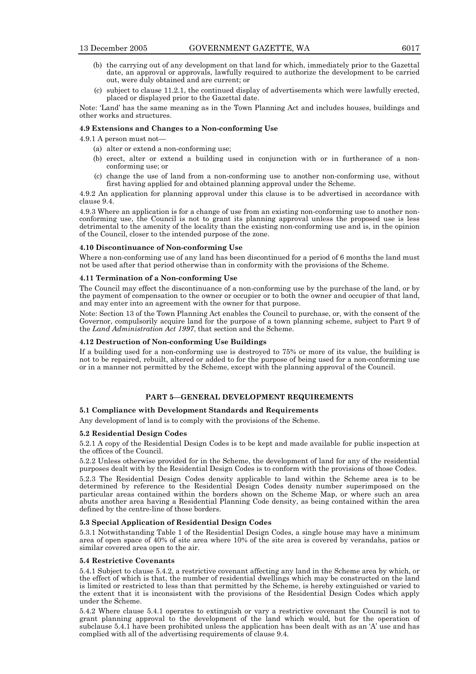- (b) the carrying out of any development on that land for which, immediately prior to the Gazettal date, an approval or approvals, lawfully required to authorize the development to be carried out, were duly obtained and are current; or
- (c) subject to clause 11.2.1, the continued display of advertisements which were lawfully erected, placed or displayed prior to the Gazettal date.
- Note: 'Land' has the same meaning as in the Town Planning Act and includes houses, buildings and other works and structures.

### **4.9 Extensions and Changes to a Non-conforming Use**

4.9.1 A person must not—

- (a) alter or extend a non-conforming use;
- (b) erect, alter or extend a building used in conjunction with or in furtherance of a nonconforming use; or
- (c) change the use of land from a non-conforming use to another non-conforming use, without first having applied for and obtained planning approval under the Scheme.

4.9.2 An application for planning approval under this clause is to be advertised in accordance with clause 9.4.

4.9.3 Where an application is for a change of use from an existing non-conforming use to another nonconforming use, the Council is not to grant its planning approval unless the proposed use is less detrimental to the amenity of the locality than the existing non-conforming use and is, in the opinion of the Council, closer to the intended purpose of the zone.

#### **4.10 Discontinuance of Non-conforming Use**

Where a non-conforming use of any land has been discontinued for a period of 6 months the land must not be used after that period otherwise than in conformity with the provisions of the Scheme.

#### **4.11 Termination of a Non-conforming Use**

The Council may effect the discontinuance of a non-conforming use by the purchase of the land, or by the payment of compensation to the owner or occupier or to both the owner and occupier of that land, and may enter into an agreement with the owner for that purpose.

Note: Section 13 of the Town Planning Act enables the Council to purchase, or, with the consent of the Governor, compulsorily acquire land for the purpose of a town planning scheme, subject to Part 9 of the *Land Administration Act 1997*, that section and the Scheme.

# **4.12 Destruction of Non-conforming Use Buildings**

If a building used for a non-conforming use is destroyed to 75% or more of its value, the building is not to be repaired, rebuilt, altered or added to for the purpose of being used for a non-conforming use or in a manner not permitted by the Scheme, except with the planning approval of the Council.

## **PART 5—GENERAL DEVELOPMENT REQUIREMENTS**

# **5.1 Compliance with Development Standards and Requirements**

Any development of land is to comply with the provisions of the Scheme.

## **5.2 Residential Design Codes**

5.2.1 A copy of the Residential Design Codes is to be kept and made available for public inspection at the offices of the Council.

5.2.2 Unless otherwise provided for in the Scheme, the development of land for any of the residential purposes dealt with by the Residential Design Codes is to conform with the provisions of those Codes.

5.2.3 The Residential Design Codes density applicable to land within the Scheme area is to be determined by reference to the Residential Design Codes density number superimposed on the particular areas contained within the borders shown on the Scheme Map, or where such an area abuts another area having a Residential Planning Code density, as being contained within the area defined by the centre-line of those borders.

## **5.3 Special Application of Residential Design Codes**

5.3.1 Notwithstanding Table 1 of the Residential Design Codes, a single house may have a minimum area of open space of 40% of site area where 10% of the site area is covered by verandahs, patios or similar covered area open to the air.

#### **5.4 Restrictive Covenants**

5.4.1 Subject to clause 5.4.2, a restrictive covenant affecting any land in the Scheme area by which, or the effect of which is that, the number of residential dwellings which may be constructed on the land is limited or restricted to less than that permitted by the Scheme, is hereby extinguished or varied to the extent that it is inconsistent with the provisions of the Residential Design Codes which apply under the Scheme.

5.4.2 Where clause 5.4.1 operates to extinguish or vary a restrictive covenant the Council is not to grant planning approval to the development of the land which would, but for the operation of subclause 5.4.1 have been prohibited unless the application has been dealt with as an 'A' use and has complied with all of the advertising requirements of clause 9.4.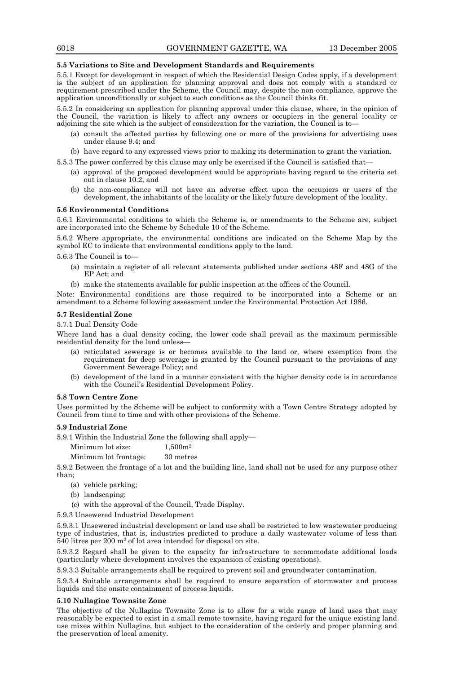### **5.5 Variations to Site and Development Standards and Requirements**

5.5.1 Except for development in respect of which the Residential Design Codes apply, if a development is the subject of an application for planning approval and does not comply with a standard or requirement prescribed under the Scheme, the Council may, despite the non-compliance, approve the application unconditionally or subject to such conditions as the Council thinks fit.

5.5.2 In considering an application for planning approval under this clause, where, in the opinion of the Council, the variation is likely to affect any owners or occupiers in the general locality or adjoining the site which is the subject of consideration for the variation, the Council is to—

- (a) consult the affected parties by following one or more of the provisions for advertising uses under clause 9.4; and
- (b) have regard to any expressed views prior to making its determination to grant the variation.

5.5.3 The power conferred by this clause may only be exercised if the Council is satisfied that—

- (a) approval of the proposed development would be appropriate having regard to the criteria set out in clause 10.2; and
- (b) the non-compliance will not have an adverse effect upon the occupiers or users of the development, the inhabitants of the locality or the likely future development of the locality.

#### **5.6 Environmental Conditions**

5.6.1 Environmental conditions to which the Scheme is, or amendments to the Scheme are, subject are incorporated into the Scheme by Schedule 10 of the Scheme.

5.6.2 Where appropriate, the environmental conditions are indicated on the Scheme Map by the symbol EC to indicate that environmental conditions apply to the land.

5.6.3 The Council is to—

- (a) maintain a register of all relevant statements published under sections 48F and 48G of the EP Act; and
- (b) make the statements available for public inspection at the offices of the Council.

Note: Environmental conditions are those required to be incorporated into a Scheme or an amendment to a Scheme following assessment under the Environmental Protection Act 1986.

#### **5.7 Residential Zone**

5.7.1 Dual Density Code

Where land has a dual density coding, the lower code shall prevail as the maximum permissible residential density for the land unless—

- (a) reticulated sewerage is or becomes available to the land or, where exemption from the requirement for deep sewerage is granted by the Council pursuant to the provisions of any Government Sewerage Policy; and
- (b) development of the land in a manner consistent with the higher density code is in accordance with the Council's Residential Development Policy.

#### **5.8 Town Centre Zone**

Uses permitted by the Scheme will be subject to conformity with a Town Centre Strategy adopted by Council from time to time and with other provisions of the Scheme.

## **5.9 Industrial Zone**

5.9.1 Within the Industrial Zone the following shall apply—

Minimum lot size:  $1,500m^2$ 

Minimum lot frontage: 30 metres

5.9.2 Between the frontage of a lot and the building line, land shall not be used for any purpose other than;

- (a) vehicle parking;
- (b) landscaping;
- (c) with the approval of the Council, Trade Display.
- 5.9.3 Unsewered Industrial Development

5.9.3.1 Unsewered industrial development or land use shall be restricted to low wastewater producing type of industries, that is, industries predicted to produce a daily wastewater volume of less than 540 litres per 200 m2 of lot area intended for disposal on site.

5.9.3.2 Regard shall be given to the capacity for infrastructure to accommodate additional loads (particularly where development involves the expansion of existing operations).

5.9.3.3 Suitable arrangements shall be required to prevent soil and groundwater contamination.

5.9.3.4 Suitable arrangements shall be required to ensure separation of stormwater and process liquids and the onsite containment of process liquids.

## **5.10 Nullagine Townsite Zone**

The objective of the Nullagine Townsite Zone is to allow for a wide range of land uses that may reasonably be expected to exist in a small remote townsite, having regard for the unique existing land use mixes within Nullagine, but subject to the consideration of the orderly and proper planning and the preservation of local amenity.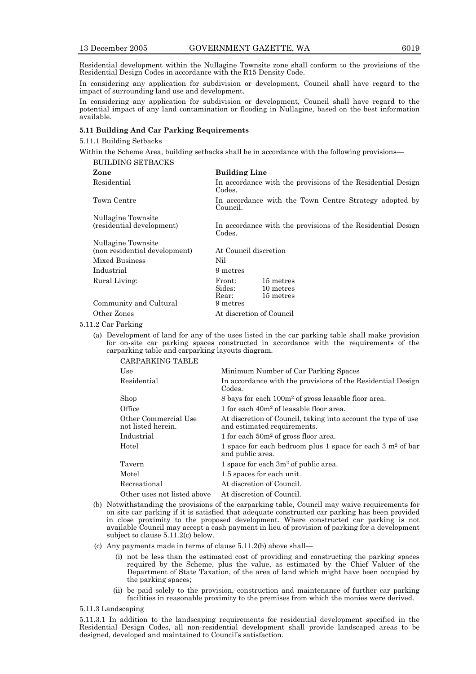Residential development within the Nullagine Townsite zone shall conform to the provisions of the Residential Design Codes in accordance with the R15 Density Code.

In considering any application for subdivision or development, Council shall have regard to the impact of surrounding land use and development.

In considering any application for subdivision or development, Council shall have regard to the potential impact of any land contamination or flooding in Nullagine, based on the best information available.

# **5.11 Building And Car Parking Requirements**

5.11.1 Building Setbacks

Within the Scheme Area, building setbacks shall be in accordance with the following provisions— BUILDING SETBACKS

| <b>Building Line</b>                                                  |  |  |
|-----------------------------------------------------------------------|--|--|
| In accordance with the provisions of the Residential Design<br>Codes. |  |  |
| In accordance with the Town Centre Strategy adopted by<br>Council.    |  |  |
|                                                                       |  |  |
| In accordance with the provisions of the Residential Design<br>Codes. |  |  |
| At Council discretion                                                 |  |  |
| Nil                                                                   |  |  |
| 9 metres                                                              |  |  |
| Front:<br>15 metres<br>Sides:<br>10 metres<br>Rear:<br>15 metres      |  |  |
| 9 metres                                                              |  |  |
| At discretion of Council                                              |  |  |
|                                                                       |  |  |

#### 5.11.2 Car Parking

 (a) Development of land for any of the uses listed in the car parking table shall make provision for on-site car parking spaces constructed in accordance with the requirements of the carparking table and carparking layouts diagram.  $\alpha$ <sub>c</sub>  $\beta$ <sub>c</sub>  $\beta$ <sub>c</sub>  $\beta$ <sub>c</sub>  $\beta$ <sub>c</sub>  $\beta$ <sub>c</sub>  $\beta$ <sub>c</sub>  $\beta$ <sub>c</sub>  $\beta$ <sub>c</sub>  $\beta$ <sub>c</sub>  $\beta$ <sub>c</sub>  $\beta$ <sub>c</sub>  $\beta$ <sub>c</sub>  $\beta$ <sub>c</sub>  $\beta$ <sub>c</sub>  $\beta$ <sub>c</sub>  $\beta$ <sub>c</sub>  $\beta$ <sub>c</sub>  $\beta$ <sub>c</sub>  $\beta$ <sub>c</sub>  $\beta$ <sub>c</sub>  $\beta$ <sub>c</sub>  $\beta$ <sub>c</sub>  $\beta$ <sub>c</sub>  $\beta$ <sub>c</sub>  $\beta$ <sub>c</sub>  $\beta$ <sub>c</sub>  $\beta$ <sub></sub>

| CARPARKING TABLE                           |                                                                                              |
|--------------------------------------------|----------------------------------------------------------------------------------------------|
| Use                                        | Minimum Number of Car Parking Spaces                                                         |
| Residential                                | In accordance with the provisions of the Residential Design<br>Codes.                        |
| Shop                                       | 8 bays for each 100m <sup>2</sup> of gross leasable floor area.                              |
| Office                                     | 1 for each 40m <sup>2</sup> of leasable floor area.                                          |
| Other Commercial Use<br>not listed herein. | At discretion of Council, taking into account the type of use<br>and estimated requirements. |
| Industrial                                 | 1 for each $50m^2$ of gross floor area.                                                      |
| Hotel                                      | 1 space for each bedroom plus 1 space for each $3 \text{ m}^2$ of bar<br>and public area.    |
| Tavern                                     | 1 space for each $3m^2$ of public area.                                                      |
| Motel                                      | 1.5 spaces for each unit.                                                                    |
| Recreational                               | At discretion of Council.                                                                    |
| Other uses not listed above                | At discretion of Council.                                                                    |
|                                            |                                                                                              |

- (b) Notwithstanding the provisions of the carparking table, Council may waive requirements for on site car parking if it is satisfied that adequate constructed car parking has been provided in close proximity to the proposed development. Where constructed car parking is not available Council may accept a cash payment in lieu of provision of parking for a development subject to clause 5.11.2(c) below.
- (c) Any payments made in terms of clause 5.11.2(b) above shall—
	- (i) not be less than the estimated cost of providing and constructing the parking spaces required by the Scheme, plus the value, as estimated by the Chief Valuer of the Department of State Taxation, of the area of land which might have been occupied by the parking spaces;
	- (ii) be paid solely to the provision, construction and maintenance of further car parking facilities in reasonable proximity to the premises from which the monies were derived.

# 5.11.3 Landscaping

5.11.3.1 In addition to the landscaping requirements for residential development specified in the Residential Design Codes, all non-residential development shall provide landscaped areas to be designed, developed and maintained to Council's satisfaction.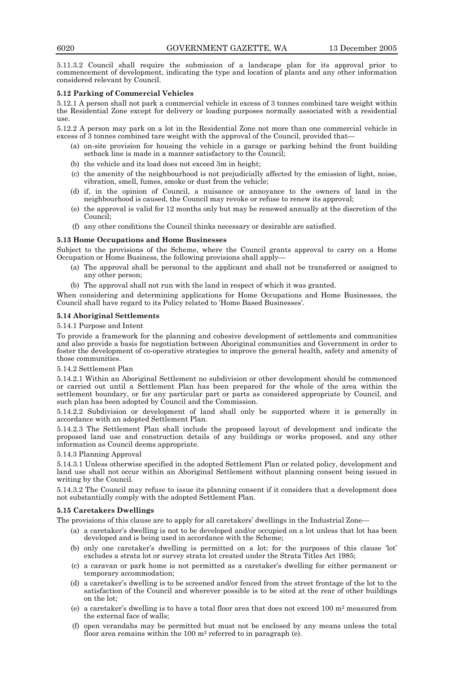5.11.3.2 Council shall require the submission of a landscape plan for its approval prior to commencement of development, indicating the type and location of plants and any other information considered relevant by Council.

# **5.12 Parking of Commercial Vehicles**

5.12.1 A person shall not park a commercial vehicle in excess of 3 tonnes combined tare weight within the Residential Zone except for delivery or loading purposes normally associated with a residential use.

5.12.2 A person may park on a lot in the Residential Zone not more than one commercial vehicle in excess of 3 tonnes combined tare weight with the approval of the Council, provided that—

- (a) on-site provision for housing the vehicle in a garage or parking behind the front building setback line is made in a manner satisfactory to the Council;
- (b) the vehicle and its load does not exceed 3m in height;
- (c) the amenity of the neighbourhood is not prejudicially affected by the emission of light, noise, vibration, smell, fumes, smoke or dust from the vehicle;
- (d) if, in the opinion of Council, a nuisance or annoyance to the owners of land in the neighbourhood is caused, the Council may revoke or refuse to renew its approval;
- (e) the approval is valid for 12 months only but may be renewed annually at the discretion of the Council;
- (f) any other conditions the Council thinks necessary or desirable are satisfied.

# **5.13 Home Occupations and Home Businesses**

Subject to the provisions of the Scheme, where the Council grants approval to carry on a Home Occupation or Home Business, the following provisions shall apply-

- (a) The approval shall be personal to the applicant and shall not be transferred or assigned to any other person;
	- (b) The approval shall not run with the land in respect of which it was granted.

When considering and determining applications for Home Occupations and Home Businesses, the Council shall have regard to its Policy related to 'Home Based Businesses'.

# **5.14 Aboriginal Settlements**

# 5.14.1 Purpose and Intent

To provide a framework for the planning and cohesive development of settlements and communities and also provide a basis for negotiation between Aboriginal communities and Government in order to foster the development of co-operative strategies to improve the general health, safety and amenity of those communities.

# 5.14.2 Settlement Plan

5.14.2.1 Within an Aboriginal Settlement no subdivision or other development should be commenced or carried out until a Settlement Plan has been prepared for the whole of the area within the settlement boundary, or for any particular part or parts as considered appropriate by Council, and such plan has been adopted by Council and the Commission.

5.14.2.2 Subdivision or development of land shall only be supported where it is generally in accordance with an adopted Settlement Plan.

5.14.2.3 The Settlement Plan shall include the proposed layout of development and indicate the proposed land use and construction details of any buildings or works proposed, and any other information as Council deems appropriate.

# 5.14.3 Planning Approval

5.14.3.1 Unless otherwise specified in the adopted Settlement Plan or related policy, development and land use shall not occur within an Aboriginal Settlement without planning consent being issued in writing by the Council.

5.14.3.2 The Council may refuse to issue its planning consent if it considers that a development does not substantially comply with the adopted Settlement Plan.

# **5.15 Caretakers Dwellings**

The provisions of this clause are to apply for all caretakers' dwellings in the Industrial Zone—

- (a) a caretaker's dwelling is not to be developed and/or occupied on a lot unless that lot has been developed and is being used in accordance with the Scheme;
- (b) only one caretaker's dwelling is permitted on a lot; for the purposes of this clause 'lot' excludes a strata lot or survey strata lot created under the Strata Titles Act 1985;
- (c) a caravan or park home is not permitted as a caretaker's dwelling for either permanent or temporary accommodation;
- (d) a caretaker's dwelling is to be screened and/or fenced from the street frontage of the lot to the satisfaction of the Council and wherever possible is to be sited at the rear of other buildings on the lot;
- (e) a caretaker's dwelling is to have a total floor area that does not exceed  $100 \text{ m}^2$  measured from the external face of walls;
- (f) open verandahs may be permitted but must not be enclosed by any means unless the total floor area remains within the  $100 \text{ m}^2$  referred to in paragraph (e).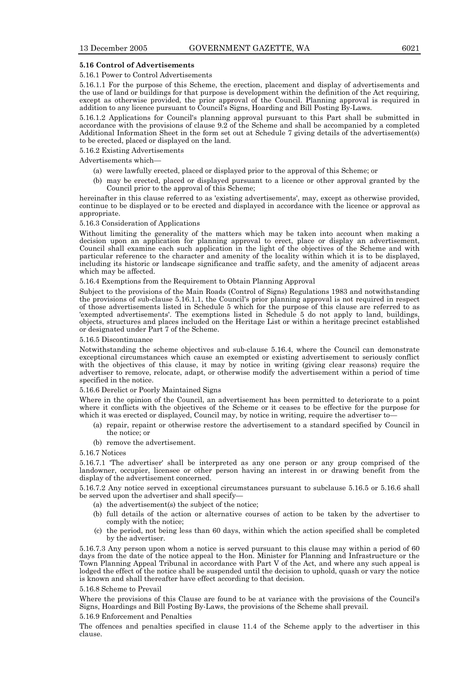## **5.16 Control of Advertisements**

### 5.16.1 Power to Control Advertisements

5.16.1.1 For the purpose of this Scheme, the erection, placement and display of advertisements and the use of land or buildings for that purpose is development within the definition of the Act requiring, except as otherwise provided, the prior approval of the Council. Planning approval is required in addition to any licence pursuant to Council's Signs, Hoarding and Bill Posting By-Laws.

5.16.1.2 Applications for Council's planning approval pursuant to this Part shall be submitted in accordance with the provisions of clause 9.2 of the Scheme and shall be accompanied by a completed Additional Information Sheet in the form set out at Schedule 7 giving details of the advertisement(s) to be erected, placed or displayed on the land.

#### 5.16.2 Existing Advertisements

Advertisements which—

- (a) were lawfully erected, placed or displayed prior to the approval of this Scheme; or
- (b) may be erected, placed or displayed pursuant to a licence or other approval granted by the Council prior to the approval of this Scheme;

hereinafter in this clause referred to as 'existing advertisements', may, except as otherwise provided, continue to be displayed or to be erected and displayed in accordance with the licence or approval as appropriate.

## 5.16.3 Consideration of Applications

Without limiting the generality of the matters which may be taken into account when making a decision upon an application for planning approval to erect, place or display an advertisement, Council shall examine each such application in the light of the objectives of the Scheme and with particular reference to the character and amenity of the locality within which it is to be displayed, including its historic or landscape significance and traffic safety, and the amenity of adjacent areas which may be affected.

5.16.4 Exemptions from the Requirement to Obtain Planning Approval

Subject to the provisions of the Main Roads (Control of Signs) Regulations 1983 and notwithstanding the provisions of sub-clause 5.16.1.1, the Council's prior planning approval is not required in respect of those advertisements listed in Schedule 5 which for the purpose of this clause are referred to as 'exempted advertisements'. The exemptions listed in Schedule 5 do not apply to land, buildings, objects, structures and places included on the Heritage List or within a heritage precinct established or designated under Part 7 of the Scheme.

# 5.16.5 Discontinuance

Notwithstanding the scheme objectives and sub-clause 5.16.4, where the Council can demonstrate exceptional circumstances which cause an exempted or existing advertisement to seriously conflict with the objectives of this clause, it may by notice in writing (giving clear reasons) require the advertiser to remove, relocate, adapt, or otherwise modify the advertisement within a period of time specified in the notice.

#### 5.16.6 Derelict or Poorly Maintained Signs

Where in the opinion of the Council, an advertisement has been permitted to deteriorate to a point where it conflicts with the objectives of the Scheme or it ceases to be effective for the purpose for which it was erected or displayed, Council may, by notice in writing, require the advertiser to-

- (a) repair, repaint or otherwise restore the advertisement to a standard specified by Council in the notice; or
- (b) remove the advertisement.

#### 5.16.7 Notices

5.16.7.1 'The advertiser' shall be interpreted as any one person or any group comprised of the landowner, occupier, licensee or other person having an interest in or drawing benefit from the display of the advertisement concerned.

5.16.7.2 Any notice served in exceptional circumstances pursuant to subclause 5.16.5 or 5.16.6 shall be served upon the advertiser and shall specify—

- (a) the advertisement(s) the subject of the notice;
- (b) full details of the action or alternative courses of action to be taken by the advertiser to comply with the notice;
- (c) the period, not being less than 60 days, within which the action specified shall be completed by the advertiser.

5.16.7.3 Any person upon whom a notice is served pursuant to this clause may within a period of 60 days from the date of the notice appeal to the Hon. Minister for Planning and Infrastructure or the Town Planning Appeal Tribunal in accordance with Part V of the Act, and where any such appeal is lodged the effect of the notice shall be suspended until the decision to uphold, quash or vary the notice is known and shall thereafter have effect according to that decision.

#### 5.16.8 Scheme to Prevail

Where the provisions of this Clause are found to be at variance with the provisions of the Council's Signs, Hoardings and Bill Posting By-Laws, the provisions of the Scheme shall prevail.

#### 5.16.9 Enforcement and Penalties

The offences and penalties specified in clause 11.4 of the Scheme apply to the advertiser in this clause.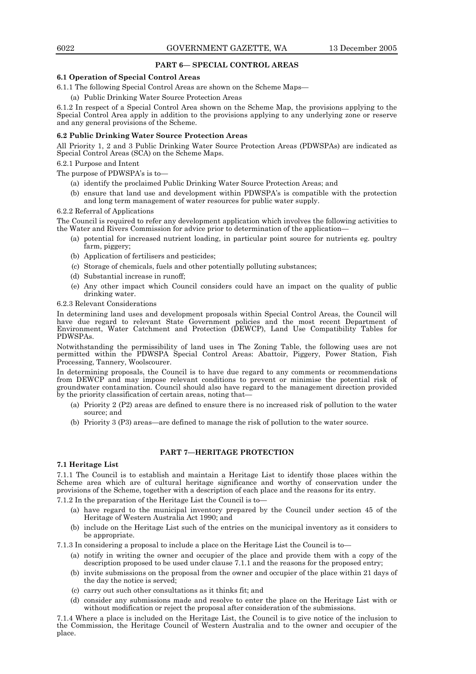# **PART 6— SPECIAL CONTROL AREAS**

# **6.1 Operation of Special Control Areas**

6.1.1 The following Special Control Areas are shown on the Scheme Maps—

(a) Public Drinking Water Source Protection Areas

6.1.2 In respect of a Special Control Area shown on the Scheme Map, the provisions applying to the Special Control Area apply in addition to the provisions applying to any underlying zone or reserve and any general provisions of the Scheme.

# **6.2 Public Drinking Water Source Protection Areas**

All Priority 1, 2 and 3 Public Drinking Water Source Protection Areas (PDWSPAs) are indicated as Special Control Areas (SCA) on the Scheme Maps.

## 6.2.1 Purpose and Intent

The purpose of PDWSPA's is to—

- (a) identify the proclaimed Public Drinking Water Source Protection Areas; and
- (b) ensure that land use and development within PDWSPA's is compatible with the protection and long term management of water resources for public water supply.

## 6.2.2 Referral of Applications

The Council is required to refer any development application which involves the following activities to the Water and Rivers Commission for advice prior to determination of the application—

- (a) potential for increased nutrient loading, in particular point source for nutrients eg. poultry farm, piggery;
- (b) Application of fertilisers and pesticides;
- (c) Storage of chemicals, fuels and other potentially polluting substances;
- (d) Substantial increase in runoff;
- (e) Any other impact which Council considers could have an impact on the quality of public drinking water.

#### 6.2.3 Relevant Considerations

In determining land uses and development proposals within Special Control Areas, the Council will have due regard to relevant State Government policies and the most recent Department of Environment, Water Catchment and Protection (DEWCP), Land Use Compatibility Tables for PDWSPAs.

Notwithstanding the permissibility of land uses in The Zoning Table, the following uses are not permitted within the PDWSPA Special Control Areas: Abattoir, Piggery, Power Station, Fish Processing, Tannery, Woolscourer.

In determining proposals, the Council is to have due regard to any comments or recommendations from DEWCP and may impose relevant conditions to prevent or minimise the potential risk of groundwater contamination. Council should also have regard to the management direction provided by the priority classification of certain areas, noting that—

- (a) Priority 2 (P2) areas are defined to ensure there is no increased risk of pollution to the water source; and
- (b) Priority 3 (P3) areas—are defined to manage the risk of pollution to the water source.

# **PART 7—HERITAGE PROTECTION**

# **7.1 Heritage List**

7.1.1 The Council is to establish and maintain a Heritage List to identify those places within the Scheme area which are of cultural heritage significance and worthy of conservation under the provisions of the Scheme, together with a description of each place and the reasons for its entry.

7.1.2 In the preparation of the Heritage List the Council is to—

- (a) have regard to the municipal inventory prepared by the Council under section 45 of the Heritage of Western Australia Act 1990; and
- (b) include on the Heritage List such of the entries on the municipal inventory as it considers to be appropriate.

7.1.3 In considering a proposal to include a place on the Heritage List the Council is to—

- (a) notify in writing the owner and occupier of the place and provide them with a copy of the description proposed to be used under clause 7.1.1 and the reasons for the proposed entry;
- (b) invite submissions on the proposal from the owner and occupier of the place within 21 days of the day the notice is served;
- (c) carry out such other consultations as it thinks fit; and
- (d) consider any submissions made and resolve to enter the place on the Heritage List with or without modification or reject the proposal after consideration of the submissions.

7.1.4 Where a place is included on the Heritage List, the Council is to give notice of the inclusion to the Commission, the Heritage Council of Western Australia and to the owner and occupier of the place.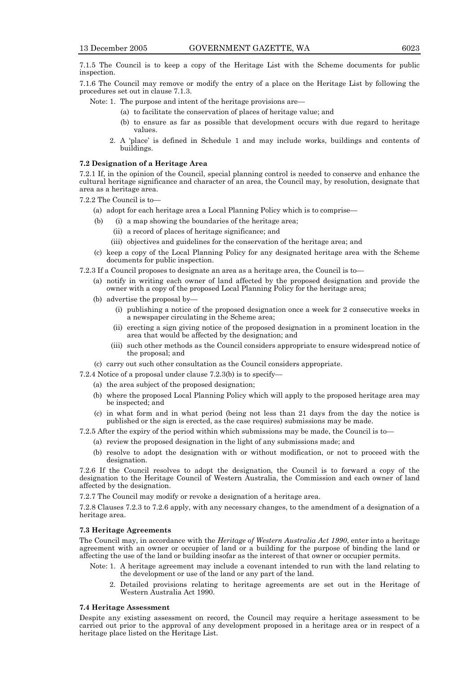7.1.5 The Council is to keep a copy of the Heritage List with the Scheme documents for public inspection.

7.1.6 The Council may remove or modify the entry of a place on the Heritage List by following the procedures set out in clause 7.1.3.

Note: 1. The purpose and intent of the heritage provisions are—

- (a) to facilitate the conservation of places of heritage value; and
- (b) to ensure as far as possible that development occurs with due regard to heritage values.
- 2. A 'place' is defined in Schedule 1 and may include works, buildings and contents of buildings.

#### **7.2 Designation of a Heritage Area**

7.2.1 If, in the opinion of the Council, special planning control is needed to conserve and enhance the cultural heritage significance and character of an area, the Council may, by resolution, designate that area as a heritage area.

7.2.2 The Council is to—

- (a) adopt for each heritage area a Local Planning Policy which is to comprise—
- (b) (i) a map showing the boundaries of the heritage area;
	- (ii) a record of places of heritage significance; and
	- (iii) objectives and guidelines for the conservation of the heritage area; and
- (c) keep a copy of the Local Planning Policy for any designated heritage area with the Scheme documents for public inspection.
- 7.2.3 If a Council proposes to designate an area as a heritage area, the Council is to—
	- (a) notify in writing each owner of land affected by the proposed designation and provide the owner with a copy of the proposed Local Planning Policy for the heritage area;
	- (b) advertise the proposal by—
		- (i) publishing a notice of the proposed designation once a week for 2 consecutive weeks in a newspaper circulating in the Scheme area;
		- (ii) erecting a sign giving notice of the proposed designation in a prominent location in the area that would be affected by the designation; and
		- (iii) such other methods as the Council considers appropriate to ensure widespread notice of the proposal; and
	- (c) carry out such other consultation as the Council considers appropriate.
- 7.2.4 Notice of a proposal under clause 7.2.3(b) is to specify—
	- (a) the area subject of the proposed designation;
	- (b) where the proposed Local Planning Policy which will apply to the proposed heritage area may be inspected; and
	- (c) in what form and in what period (being not less than 21 days from the day the notice is published or the sign is erected, as the case requires) submissions may be made.

7.2.5 After the expiry of the period within which submissions may be made, the Council is to—

- (a) review the proposed designation in the light of any submissions made; and
- (b) resolve to adopt the designation with or without modification, or not to proceed with the designation.

7.2.6 If the Council resolves to adopt the designation, the Council is to forward a copy of the designation to the Heritage Council of Western Australia, the Commission and each owner of land affected by the designation.

7.2.7 The Council may modify or revoke a designation of a heritage area.

7.2.8 Clauses 7.2.3 to 7.2.6 apply, with any necessary changes, to the amendment of a designation of a heritage area.

#### **7.3 Heritage Agreements**

The Council may, in accordance with the *Heritage of Western Australia Act 1990*, enter into a heritage agreement with an owner or occupier of land or a building for the purpose of binding the land or affecting the use of the land or building insofar as the interest of that owner or occupier permits.

- Note: 1. A heritage agreement may include a covenant intended to run with the land relating to the development or use of the land or any part of the land.
	- 2. Detailed provisions relating to heritage agreements are set out in the Heritage of Western Australia Act 1990.

#### **7.4 Heritage Assessment**

Despite any existing assessment on record, the Council may require a heritage assessment to be carried out prior to the approval of any development proposed in a heritage area or in respect of a heritage place listed on the Heritage List.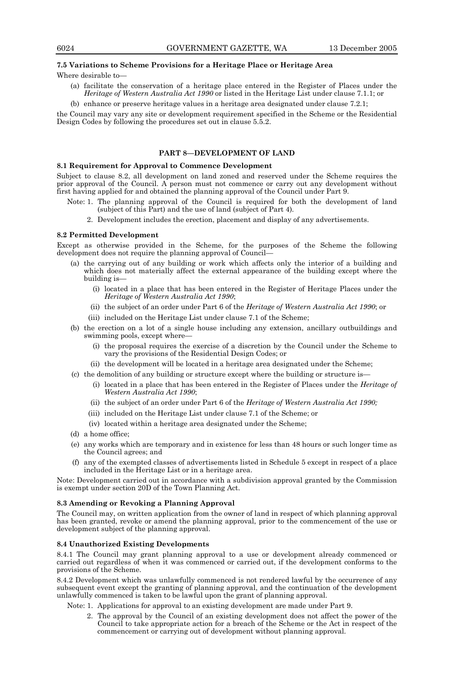## **7.5 Variations to Scheme Provisions for a Heritage Place or Heritage Area**

Where desirable to—

- (a) facilitate the conservation of a heritage place entered in the Register of Places under the *Heritage of Western Australia Act 1990* or listed in the Heritage List under clause 7.1.1; or
- (b) enhance or preserve heritage values in a heritage area designated under clause 7.2.1;

the Council may vary any site or development requirement specified in the Scheme or the Residential Design Codes by following the procedures set out in clause 5.5.2.

# **PART 8—DEVELOPMENT OF LAND**

#### **8.1 Requirement for Approval to Commence Development**

Subject to clause 8.2, all development on land zoned and reserved under the Scheme requires the prior approval of the Council. A person must not commence or carry out any development without first having applied for and obtained the planning approval of the Council under Part 9.

- Note: 1. The planning approval of the Council is required for both the development of land (subject of this Part) and the use of land (subject of Part 4).
	- 2. Development includes the erection, placement and display of any advertisements.

## **8.2 Permitted Development**

Except as otherwise provided in the Scheme, for the purposes of the Scheme the following development does not require the planning approval of Council—

- (a) the carrying out of any building or work which affects only the interior of a building and which does not materially affect the external appearance of the building except where the building is—
	- (i) located in a place that has been entered in the Register of Heritage Places under the *Heritage of Western Australia Act 1990*;
	- (ii) the subject of an order under Part 6 of the *Heritage of Western Australia Act 1990*; or
	- (iii) included on the Heritage List under clause 7.1 of the Scheme;
- (b) the erection on a lot of a single house including any extension, ancillary outbuildings and swimming pools, except where—
	- (i) the proposal requires the exercise of a discretion by the Council under the Scheme to vary the provisions of the Residential Design Codes; or
	- (ii) the development will be located in a heritage area designated under the Scheme;
- (c) the demolition of any building or structure except where the building or structure is—
	- (i) located in a place that has been entered in the Register of Places under the *Heritage of Western Australia Act 1990*;
	- (ii) the subject of an order under Part 6 of the *Heritage of Western Australia Act 1990;*
	- (iii) included on the Heritage List under clause 7.1 of the Scheme; or
	- (iv) located within a heritage area designated under the Scheme;
- (d) a home office;
- (e) any works which are temporary and in existence for less than 48 hours or such longer time as the Council agrees; and
- (f) any of the exempted classes of advertisements listed in Schedule 5 except in respect of a place included in the Heritage List or in a heritage area.

Note: Development carried out in accordance with a subdivision approval granted by the Commission is exempt under section 20D of the Town Planning Act.

## **8.3 Amending or Revoking a Planning Approval**

The Council may, on written application from the owner of land in respect of which planning approval has been granted, revoke or amend the planning approval, prior to the commencement of the use or development subject of the planning approval.

#### **8.4 Unauthorized Existing Developments**

8.4.1 The Council may grant planning approval to a use or development already commenced or carried out regardless of when it was commenced or carried out, if the development conforms to the provisions of the Scheme.

8.4.2 Development which was unlawfully commenced is not rendered lawful by the occurrence of any subsequent event except the granting of planning approval, and the continuation of the development unlawfully commenced is taken to be lawful upon the grant of planning approval.

Note: 1. Applications for approval to an existing development are made under Part 9.

 2. The approval by the Council of an existing development does not affect the power of the Council to take appropriate action for a breach of the Scheme or the Act in respect of the commencement or carrying out of development without planning approval.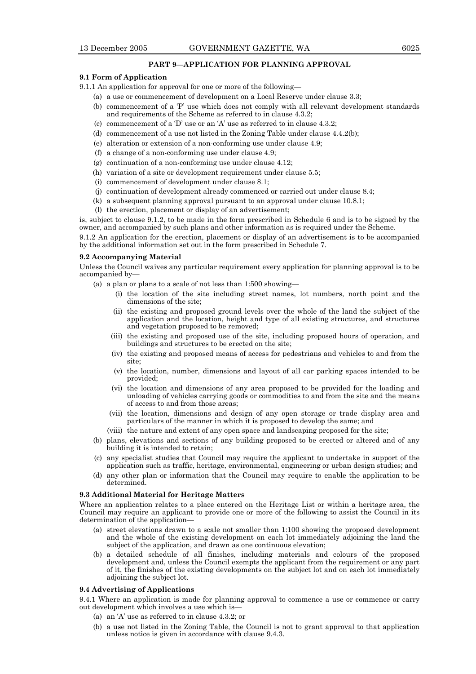## **PART 9—APPLICATION FOR PLANNING APPROVAL**

# **9.1 Form of Application**

- 9.1.1 An application for approval for one or more of the following—
	- (a) a use or commencement of development on a Local Reserve under clause 3.3;
	- (b) commencement of a 'P' use which does not comply with all relevant development standards and requirements of the Scheme as referred to in clause 4.3.2;
	- (c) commencement of a 'D' use or an 'A' use as referred to in clause 4.3.2;
	- (d) commencement of a use not listed in the Zoning Table under clause 4.4.2(b);
	- (e) alteration or extension of a non-conforming use under clause 4.9;
	- (f) a change of a non-conforming use under clause 4.9;
	- (g) continuation of a non-conforming use under clause 4.12;
	- (h) variation of a site or development requirement under clause 5.5;
	- (i) commencement of development under clause 8.1;
	- (j) continuation of development already commenced or carried out under clause 8.4;
	- (k) a subsequent planning approval pursuant to an approval under clause 10.8.1;
	- (l) the erection, placement or display of an advertisement;

is, subject to clause 9.1.2, to be made in the form prescribed in Schedule 6 and is to be signed by the owner, and accompanied by such plans and other information as is required under the Scheme.

9.1.2 An application for the erection, placement or display of an advertisement is to be accompanied by the additional information set out in the form prescribed in Schedule 7.

## **9.2 Accompanying Material**

Unless the Council waives any particular requirement every application for planning approval is to be accompanied by—

- (a) a plan or plans to a scale of not less than 1:500 showing—
	- (i) the location of the site including street names, lot numbers, north point and the dimensions of the site;
	- (ii) the existing and proposed ground levels over the whole of the land the subject of the application and the location, height and type of all existing structures, and structures and vegetation proposed to be removed;
	- (iii) the existing and proposed use of the site, including proposed hours of operation, and buildings and structures to be erected on the site;
	- (iv) the existing and proposed means of access for pedestrians and vehicles to and from the site;
	- (v) the location, number, dimensions and layout of all car parking spaces intended to be provided;
	- (vi) the location and dimensions of any area proposed to be provided for the loading and unloading of vehicles carrying goods or commodities to and from the site and the means of access to and from those areas;
	- (vii) the location, dimensions and design of any open storage or trade display area and particulars of the manner in which it is proposed to develop the same; and
	- (viii) the nature and extent of any open space and landscaping proposed for the site;
- (b) plans, elevations and sections of any building proposed to be erected or altered and of any building it is intended to retain;
- (c) any specialist studies that Council may require the applicant to undertake in support of the application such as traffic, heritage, environmental, engineering or urban design studies; and
- (d) any other plan or information that the Council may require to enable the application to be determined.

#### **9.3 Additional Material for Heritage Matters**

Where an application relates to a place entered on the Heritage List or within a heritage area, the Council may require an applicant to provide one or more of the following to assist the Council in its determination of the application—

- (a) street elevations drawn to a scale not smaller than 1:100 showing the proposed development and the whole of the existing development on each lot immediately adjoining the land the subject of the application, and drawn as one continuous elevation;
- (b) a detailed schedule of all finishes, including materials and colours of the proposed development and, unless the Council exempts the applicant from the requirement or any part of it, the finishes of the existing developments on the subject lot and on each lot immediately adjoining the subject lot.

#### **9.4 Advertising of Applications**

9.4.1 Where an application is made for planning approval to commence a use or commence or carry out development which involves a use which is—

- (a) an 'A' use as referred to in clause 4.3.2; or
- (b) a use not listed in the Zoning Table, the Council is not to grant approval to that application unless notice is given in accordance with clause 9.4.3.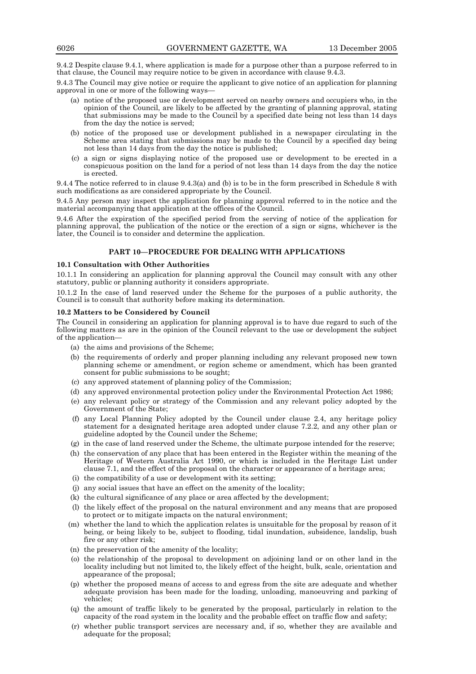9.4.2 Despite clause 9.4.1, where application is made for a purpose other than a purpose referred to in that clause, the Council may require notice to be given in accordance with clause 9.4.3.

9.4.3 The Council may give notice or require the applicant to give notice of an application for planning approval in one or more of the following ways—

- (a) notice of the proposed use or development served on nearby owners and occupiers who, in the opinion of the Council, are likely to be affected by the granting of planning approval, stating that submissions may be made to the Council by a specified date being not less than 14 days from the day the notice is served;
- (b) notice of the proposed use or development published in a newspaper circulating in the Scheme area stating that submissions may be made to the Council by a specified day being not less than 14 days from the day the notice is published;
- (c) a sign or signs displaying notice of the proposed use or development to be erected in a conspicuous position on the land for a period of not less than 14 days from the day the notice is erected.

9.4.4 The notice referred to in clause 9.4.3(a) and (b) is to be in the form prescribed in Schedule 8 with such modifications as are considered appropriate by the Council.

9.4.5 Any person may inspect the application for planning approval referred to in the notice and the material accompanying that application at the offices of the Council.

9.4.6 After the expiration of the specified period from the serving of notice of the application for planning approval, the publication of the notice or the erection of a sign or signs, whichever is the later, the Council is to consider and determine the application.

# **PART 10—PROCEDURE FOR DEALING WITH APPLICATIONS**

## **10.1 Consultation with Other Authorities**

10.1.1 In considering an application for planning approval the Council may consult with any other statutory, public or planning authority it considers appropriate.

10.1.2 In the case of land reserved under the Scheme for the purposes of a public authority, the Council is to consult that authority before making its determination.

#### **10.2 Matters to be Considered by Council**

The Council in considering an application for planning approval is to have due regard to such of the following matters as are in the opinion of the Council relevant to the use or development the subject of the application—

- (a) the aims and provisions of the Scheme;
- (b) the requirements of orderly and proper planning including any relevant proposed new town planning scheme or amendment, or region scheme or amendment, which has been granted consent for public submissions to be sought;
- (c) any approved statement of planning policy of the Commission;
- (d) any approved environmental protection policy under the Environmental Protection Act 1986;
- (e) any relevant policy or strategy of the Commission and any relevant policy adopted by the Government of the State;
- (f) any Local Planning Policy adopted by the Council under clause 2.4, any heritage policy statement for a designated heritage area adopted under clause 7.2.2, and any other plan or guideline adopted by the Council under the Scheme;
- (g) in the case of land reserved under the Scheme, the ultimate purpose intended for the reserve;
- (h) the conservation of any place that has been entered in the Register within the meaning of the Heritage of Western Australia Act 1990, or which is included in the Heritage List under clause 7.1, and the effect of the proposal on the character or appearance of a heritage area;
- (i) the compatibility of a use or development with its setting;
- (j) any social issues that have an effect on the amenity of the locality;
- (k) the cultural significance of any place or area affected by the development;
- (l) the likely effect of the proposal on the natural environment and any means that are proposed to protect or to mitigate impacts on the natural environment;
- (m) whether the land to which the application relates is unsuitable for the proposal by reason of it being, or being likely to be, subject to flooding, tidal inundation, subsidence, landslip, bush fire or any other risk;
- (n) the preservation of the amenity of the locality;
- (o) the relationship of the proposal to development on adjoining land or on other land in the locality including but not limited to, the likely effect of the height, bulk, scale, orientation and appearance of the proposal;
- (p) whether the proposed means of access to and egress from the site are adequate and whether adequate provision has been made for the loading, unloading, manoeuvring and parking of vehicles;
- (q) the amount of traffic likely to be generated by the proposal, particularly in relation to the capacity of the road system in the locality and the probable effect on traffic flow and safety;
- (r) whether public transport services are necessary and, if so, whether they are available and adequate for the proposal;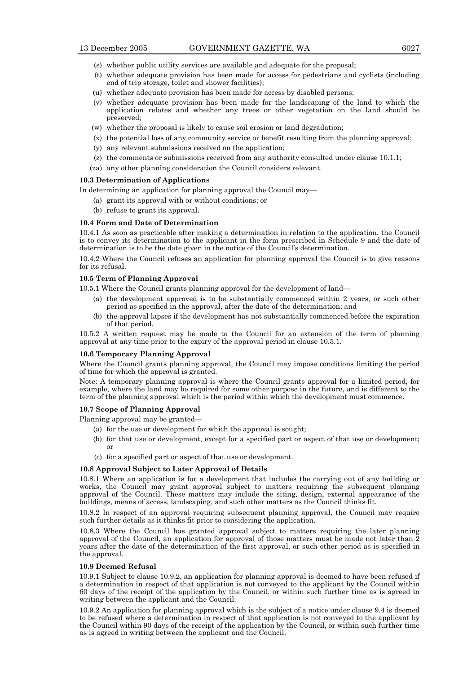- (s) whether public utility services are available and adequate for the proposal;
- (t) whether adequate provision has been made for access for pedestrians and cyclists (including end of trip storage, toilet and shower facilities);
- (u) whether adequate provision has been made for access by disabled persons;
- (v) whether adequate provision has been made for the landscaping of the land to which the application relates and whether any trees or other vegetation on the land should be preserved;
- (w) whether the proposal is likely to cause soil erosion or land degradation;
- (x) the potential loss of any community service or benefit resulting from the planning approval;
- (y) any relevant submissions received on the application;
- (z) the comments or submissions received from any authority consulted under clause 10.1.1;
- (za) any other planning consideration the Council considers relevant.

# **10.3 Determination of Applications**

In determining an application for planning approval the Council may—

- (a) grant its approval with or without conditions; or
- (b) refuse to grant its approval.

## **10.4 Form and Date of Determination**

10.4.1 As soon as practicable after making a determination in relation to the application, the Council is to convey its determination to the applicant in the form prescribed in Schedule 9 and the date of determination is to be the date given in the notice of the Council's determination.

10.4.2 Where the Council refuses an application for planning approval the Council is to give reasons for its refusal.

## **10.5 Term of Planning Approval**

10.5.1 Where the Council grants planning approval for the development of land—

- (a) the development approved is to be substantially commenced within 2 years, or such other period as specified in the approval, after the date of the determination; and
- (b) the approval lapses if the development has not substantially commenced before the expiration of that period.

10.5.2 A written request may be made to the Council for an extension of the term of planning approval at any time prior to the expiry of the approval period in clause 10.5.1.

## **10.6 Temporary Planning Approval**

Where the Council grants planning approval, the Council may impose conditions limiting the period of time for which the approval is granted.

Note: A temporary planning approval is where the Council grants approval for a limited period, for example, where the land may be required for some other purpose in the future, and is different to the term of the planning approval which is the period within which the development must commence.

### **10.7 Scope of Planning Approval**

Planning approval may be granted—

- (a) for the use or development for which the approval is sought;
- (b) for that use or development, except for a specified part or aspect of that use or development; or
- (c) for a specified part or aspect of that use or development.

# **10.8 Approval Subject to Later Approval of Details**

10.8.1 Where an application is for a development that includes the carrying out of any building or works, the Council may grant approval subject to matters requiring the subsequent planning approval of the Council. These matters may include the siting, design, external appearance of the buildings, means of access, landscaping, and such other matters as the Council thinks fit.

10.8.2 In respect of an approval requiring subsequent planning approval, the Council may require such further details as it thinks fit prior to considering the application.

10.8.3 Where the Council has granted approval subject to matters requiring the later planning approval of the Council, an application for approval of those matters must be made not later than 2 years after the date of the determination of the first approval, or such other period as is specified in the approval.

## **10.9 Deemed Refusal**

10.9.1 Subject to clause 10.9.2, an application for planning approval is deemed to have been refused if a determination in respect of that application is not conveyed to the applicant by the Council within 60 days of the receipt of the application by the Council, or within such further time as is agreed in writing between the applicant and the Council.

10.9.2 An application for planning approval which is the subject of a notice under clause 9.4 is deemed to be refused where a determination in respect of that application is not conveyed to the applicant by the Council within 90 days of the receipt of the application by the Council, or within such further time as is agreed in writing between the applicant and the Council.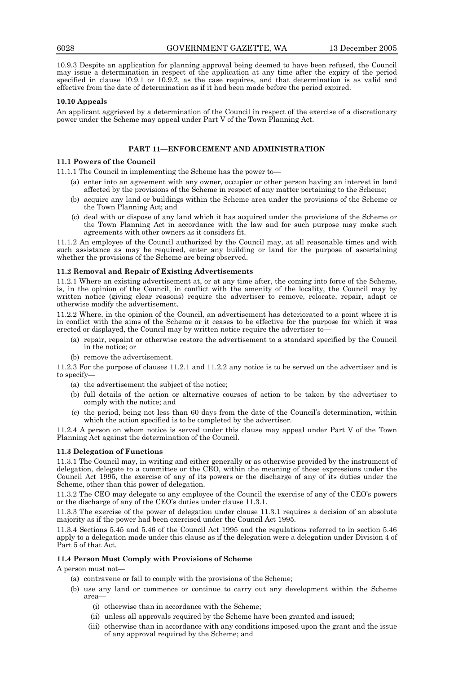10.9.3 Despite an application for planning approval being deemed to have been refused, the Council may issue a determination in respect of the application at any time after the expiry of the period specified in clause 10.9.1 or 10.9.2, as the case requires, and that determination is as valid and effective from the date of determination as if it had been made before the period expired.

#### **10.10 Appeals**

An applicant aggrieved by a determination of the Council in respect of the exercise of a discretionary power under the Scheme may appeal under Part V of the Town Planning Act.

# **PART 11—ENFORCEMENT AND ADMINISTRATION**

## **11.1 Powers of the Council**

11.1.1 The Council in implementing the Scheme has the power to—

- (a) enter into an agreement with any owner, occupier or other person having an interest in land affected by the provisions of the Scheme in respect of any matter pertaining to the Scheme;
- (b) acquire any land or buildings within the Scheme area under the provisions of the Scheme or the Town Planning Act; and
- (c) deal with or dispose of any land which it has acquired under the provisions of the Scheme or the Town Planning Act in accordance with the law and for such purpose may make such agreements with other owners as it considers fit.

11.1.2 An employee of the Council authorized by the Council may, at all reasonable times and with such assistance as may be required, enter any building or land for the purpose of ascertaining whether the provisions of the Scheme are being observed.

#### **11.2 Removal and Repair of Existing Advertisements**

11.2.1 Where an existing advertisement at, or at any time after, the coming into force of the Scheme, is, in the opinion of the Council, in conflict with the amenity of the locality, the Council may by written notice (giving clear reasons) require the advertiser to remove, relocate, repair, adapt or otherwise modify the advertisement.

11.2.2 Where, in the opinion of the Council, an advertisement has deteriorated to a point where it is in conflict with the aims of the Scheme or it ceases to be effective for the purpose for which it was erected or displayed, the Council may by written notice require the advertiser to—

- (a) repair, repaint or otherwise restore the advertisement to a standard specified by the Council in the notice; or
- (b) remove the advertisement.

11.2.3 For the purpose of clauses 11.2.1 and 11.2.2 any notice is to be served on the advertiser and is to specify—

- (a) the advertisement the subject of the notice;
- (b) full details of the action or alternative courses of action to be taken by the advertiser to comply with the notice; and
- (c) the period, being not less than 60 days from the date of the Council's determination, within which the action specified is to be completed by the advertiser.

11.2.4 A person on whom notice is served under this clause may appeal under Part V of the Town Planning Act against the determination of the Council.

#### **11.3 Delegation of Functions**

11.3.1 The Council may, in writing and either generally or as otherwise provided by the instrument of delegation, delegate to a committee or the CEO, within the meaning of those expressions under the Council Act 1995, the exercise of any of its powers or the discharge of any of its duties under the Scheme, other than this power of delegation.

11.3.2 The CEO may delegate to any employee of the Council the exercise of any of the CEO's powers or the discharge of any of the CEO's duties under clause 11.3.1.

11.3.3 The exercise of the power of delegation under clause 11.3.1 requires a decision of an absolute majority as if the power had been exercised under the Council Act 1995.

11.3.4 Sections 5.45 and 5.46 of the Council Act 1995 and the regulations referred to in section 5.46 apply to a delegation made under this clause as if the delegation were a delegation under Division 4 of Part 5 of that Act.

#### **11.4 Person Must Comply with Provisions of Scheme**

A person must not—

- (a) contravene or fail to comply with the provisions of the Scheme;
- (b) use any land or commence or continue to carry out any development within the Scheme area—
	- (i) otherwise than in accordance with the Scheme;
	- (ii) unless all approvals required by the Scheme have been granted and issued;
	- (iii) otherwise than in accordance with any conditions imposed upon the grant and the issue of any approval required by the Scheme; and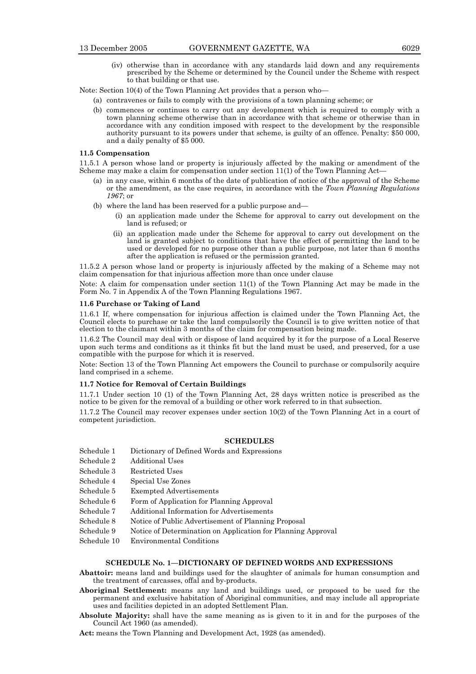(iv) otherwise than in accordance with any standards laid down and any requirements prescribed by the Scheme or determined by the Council under the Scheme with respect to that building or that use.

Note: Section 10(4) of the Town Planning Act provides that a person who—

- (a) contravenes or fails to comply with the provisions of a town planning scheme; or
- (b) commences or continues to carry out any development which is required to comply with a town planning scheme otherwise than in accordance with that scheme or otherwise than in accordance with any condition imposed with respect to the development by the responsible authority pursuant to its powers under that scheme, is guilty of an offence. Penalty: \$50 000, and a daily penalty of \$5 000.

## **11.5 Compensation**

11.5.1 A person whose land or property is injuriously affected by the making or amendment of the Scheme may make a claim for compensation under section  $11(1)$  of the Town Planning Act

- (a) in any case, within 6 months of the date of publication of notice of the approval of the Scheme or the amendment, as the case requires, in accordance with the *Town Planning Regulations 1967*; or
- (b) where the land has been reserved for a public purpose and—
	- (i) an application made under the Scheme for approval to carry out development on the land is refused; or
	- (ii) an application made under the Scheme for approval to carry out development on the land is granted subject to conditions that have the effect of permitting the land to be used or developed for no purpose other than a public purpose, not later than 6 months after the application is refused or the permission granted.

11.5.2 A person whose land or property is injuriously affected by the making of a Scheme may not claim compensation for that injurious affection more than once under clause

Note: A claim for compensation under section 11(1) of the Town Planning Act may be made in the Form No. 7 in Appendix A of the Town Planning Regulations 1967.

## **11.6 Purchase or Taking of Land**

11.6.1 If, where compensation for injurious affection is claimed under the Town Planning Act, the Council elects to purchase or take the land compulsorily the Council is to give written notice of that election to the claimant within 3 months of the claim for compensation being made.

11.6.2 The Council may deal with or dispose of land acquired by it for the purpose of a Local Reserve upon such terms and conditions as it thinks fit but the land must be used, and preserved, for a use compatible with the purpose for which it is reserved.

Note: Section 13 of the Town Planning Act empowers the Council to purchase or compulsorily acquire land comprised in a scheme.

# **11.7 Notice for Removal of Certain Buildings**

11.7.1 Under section 10 (1) of the Town Planning Act, 28 days written notice is prescribed as the notice to be given for the removal of a building or other work referred to in that subsection.

11.7.2 The Council may recover expenses under section 10(2) of the Town Planning Act in a court of competent jurisdiction.

## **SCHEDULES**

- Schedule 1 Dictionary of Defined Words and Expressions
- Schedule 2 Additional Uses
- Schedule 3 Restricted Uses
- Schedule 4 Special Use Zones
- Schedule 5 Exempted Advertisements
- Schedule 6 Form of Application for Planning Approval
- Schedule 7 Additional Information for Advertisements
- Schedule 8 Notice of Public Advertisement of Planning Proposal
- Schedule 9 Notice of Determination on Application for Planning Approval
- Schedule 10 Environmental Conditions

#### **SCHEDULE No. 1—DICTIONARY OF DEFINED WORDS AND EXPRESSIONS**

- **Abattoir:** means land and buildings used for the slaughter of animals for human consumption and the treatment of carcasses, offal and by-products.
- **Aboriginal Settlement:** means any land and buildings used, or proposed to be used for the permanent and exclusive habitation of Aboriginal communities, and may include all appropriate uses and facilities depicted in an adopted Settlement Plan.
- **Absolute Majority:** shall have the same meaning as is given to it in and for the purposes of the Council Act 1960 (as amended).
- **Act:** means the Town Planning and Development Act, 1928 (as amended).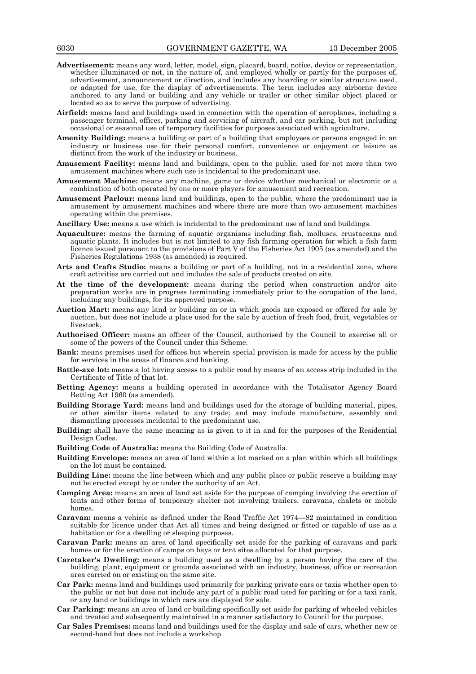- **Advertisement:** means any word, letter, model, sign, placard, board, notice, device or representation, whether illuminated or not, in the nature of, and employed wholly or partly for the purposes of, advertisement, announcement or direction, and includes any hoarding or similar structure used, or adapted for use, for the display of advertisements. The term includes any airborne device anchored to any land or building and any vehicle or trailer or other similar object placed or located so as to serve the purpose of advertising.
- **Airfield:** means land and buildings used in connection with the operation of aeroplanes, including a passenger terminal, offices, parking and servicing of aircraft, and car parking, but not including occasional or seasonal use of temporary facilities for purposes associated with agriculture.
- **Amenity Building:** means a building or part of a building that employees or persons engaged in an industry or business use for their personal comfort, convenience or enjoyment or leisure as distinct from the work of the industry or business.
- Amusement Facility: means land and buildings, open to the public, used for not more than two amusement machines where such use is incidental to the predominant use.
- **Amusement Machine:** means any machine, game or device whether mechanical or electronic or a combination of both operated by one or more players for amusement and recreation.
- **Amusement Parlour:** means land and buildings, open to the public, where the predominant use is amusement by amusement machines and where there are more than two amusement machines operating within the premises.
- **Ancillary Use:** means a use which is incidental to the predominant use of land and buildings.
- **Aquaculture:** means the farming of aquatic organisms including fish, molluscs, crustaceans and aquatic plants. It includes but is not limited to any fish farming operation for which a fish farm licence issued pursuant to the provisions of Part V of the Fisheries Act 1905 (as amended) and the Fisheries Regulations 1938 (as amended) is required.
- **Arts and Crafts Studio:** means a building or part of a building, not in a residential zone, where craft activities are carried out and includes the sale of products created on site.
- **At the time of the development:** means during the period when construction and/or site preparation works are in progress terminating immediately prior to the occupation of the land, including any buildings, for its approved purpose.
- **Auction Mart:** means any land or building on or in which goods are exposed or offered for sale by auction, but does not include a place used for the sale by auction of fresh food, fruit, vegetables or livestock.
- **Authorised Officer:** means an officer of the Council, authorised by the Council to exercise all or some of the powers of the Council under this Scheme.
- **Bank:** means premises used for offices but wherein special provision is made for access by the public for services in the areas of finance and banking.
- **Battle-axe lot:** means a lot having access to a public road by means of an access strip included in the Certificate of Title of that lot.
- **Betting Agency:** means a building operated in accordance with the Totalisator Agency Board Betting Act 1960 (as amended).
- **Building Storage Yard:** means land and buildings used for the storage of building material, pipes, or other similar items related to any trade; and may include manufacture, assembly and dismantling processes incidental to the predominant use.
- **Building:** shall have the same meaning as is given to it in and for the purposes of the Residential Design Codes.
- **Building Code of Australia:** means the Building Code of Australia.
- **Building Envelope:** means an area of land within a lot marked on a plan within which all buildings on the lot must be contained.
- **Building Line:** means the line between which and any public place or public reserve a building may not be erected except by or under the authority of an Act.
- **Camping Area:** means an area of land set aside for the purpose of camping involving the erection of tents and other forms of temporary shelter not involving trailers, caravans, chalets or mobile homes.
- **Caravan:** means a vehicle as defined under the Road Traffic Act 1974—82 maintained in condition suitable for licence under that Act all times and being designed or fitted or capable of use as a habitation or for a dwelling or sleeping purposes.
- **Caravan Park:** means an area of land specifically set aside for the parking of caravans and park homes or for the erection of camps on bays or tent sites allocated for that purpose.
- **Caretaker's Dwelling:** means a building used as a dwelling by a person having the care of the building, plant, equipment or grounds associated with an industry, business, office or recreation area carried on or existing on the same site.
- **Car Park:** means land and buildings used primarily for parking private cars or taxis whether open to the public or not but does not include any part of a public road used for parking or for a taxi rank, or any land or buildings in which cars are displayed for sale.
- **Car Parking:** means an area of land or building specifically set aside for parking of wheeled vehicles and treated and subsequently maintained in a manner satisfactory to Council for the purpose.
- **Car Sales Premises:** means land and buildings used for the display and sale of cars, whether new or second-hand but does not include a workshop.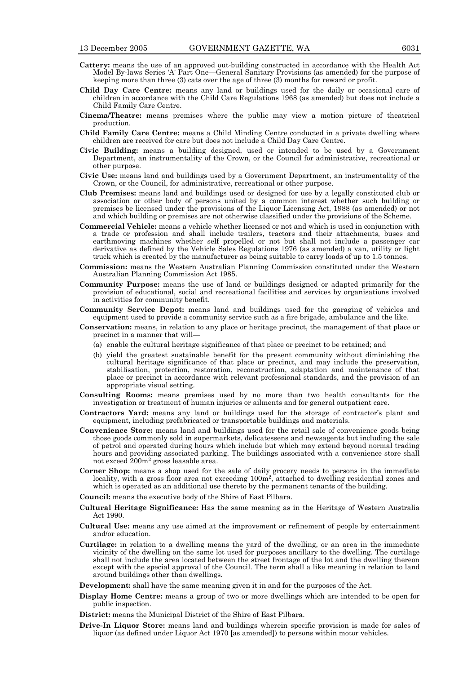- **Cattery:** means the use of an approved out-building constructed in accordance with the Health Act Model By-laws Series 'A' Part One—General Sanitary Provisions (as amended) for the purpose of keeping more than three (3) cats over the age of three (3) months for reward or profit.
- **Child Day Care Centre:** means any land or buildings used for the daily or occasional care of children in accordance with the Child Care Regulations 1968 (as amended) but does not include a Child Family Care Centre.
- **Cinema/Theatre:** means premises where the public may view a motion picture of theatrical production.
- **Child Family Care Centre:** means a Child Minding Centre conducted in a private dwelling where children are received for care but does not include a Child Day Care Centre.
- **Civic Building:** means a building designed, used or intended to be used by a Government Department, an instrumentality of the Crown, or the Council for administrative, recreational or other purpose.
- **Civic Use:** means land and buildings used by a Government Department, an instrumentality of the Crown, or the Council, for administrative, recreational or other purpose.
- **Club Premises:** means land and buildings used or designed for use by a legally constituted club or association or other body of persons united by a common interest whether such building or premises be licensed under the provisions of the Liquor Licensing Act, 1988 (as amended) or not and which building or premises are not otherwise classified under the provisions of the Scheme.
- **Commercial Vehicle:** means a vehicle whether licensed or not and which is used in conjunction with a trade or profession and shall include trailers, tractors and their attachments, buses and earthmoving machines whether self propelled or not but shall not include a passenger car derivative as defined by the Vehicle Sales Regulations 1976 (as amended) a van, utility or light truck which is created by the manufacturer as being suitable to carry loads of up to 1.5 tonnes.
- **Commission:** means the Western Australian Planning Commission constituted under the Western Australian Planning Commission Act 1985.
- **Community Purpose:** means the use of land or buildings designed or adapted primarily for the provision of educational, social and recreational facilities and services by organisations involved in activities for community benefit.
- **Community Service Depot:** means land and buildings used for the garaging of vehicles and equipment used to provide a community service such as a fire brigade, ambulance and the like.
- **Conservation:** means, in relation to any place or heritage precinct, the management of that place or precinct in a manner that will—
	- (a) enable the cultural heritage significance of that place or precinct to be retained; and
	- (b) yield the greatest sustainable benefit for the present community without diminishing the cultural heritage significance of that place or precinct, and may include the preservation, stabilisation, protection, restoration, reconstruction, adaptation and maintenance of that place or precinct in accordance with relevant professional standards, and the provision of an appropriate visual setting.
- **Consulting Rooms:** means premises used by no more than two health consultants for the investigation or treatment of human injuries or ailments and for general outpatient care.
- **Contractors Yard:** means any land or buildings used for the storage of contractor's plant and equipment, including prefabricated or transportable buildings and materials.
- **Convenience Store:** means land and buildings used for the retail sale of convenience goods being those goods commonly sold in supermarkets, delicatessens and newsagents but including the sale of petrol and operated during hours which include but which may extend beyond normal trading hours and providing associated parking. The buildings associated with a convenience store shall not exceed 200m2 gross leasable area.
- **Corner Shop:** means a shop used for the sale of daily grocery needs to persons in the immediate locality, with a gross floor area not exceeding 100m<sup>2</sup>, attached to dwelling residential zones and which is operated as an additional use thereto by the permanent tenants of the building.
- **Council:** means the executive body of the Shire of East Pilbara.
- **Cultural Heritage Significance:** Has the same meaning as in the Heritage of Western Australia Act 1990.
- **Cultural Use:** means any use aimed at the improvement or refinement of people by entertainment and/or education.
- **Curtilage:** in relation to a dwelling means the yard of the dwelling, or an area in the immediate vicinity of the dwelling on the same lot used for purposes ancillary to the dwelling. The curtilage shall not include the area located between the street frontage of the lot and the dwelling thereon except with the special approval of the Council. The term shall a like meaning in relation to land around buildings other than dwellings.

**Development:** shall have the same meaning given it in and for the purposes of the Act.

- **Display Home Centre:** means a group of two or more dwellings which are intended to be open for public inspection.
- strict: means the Municipal District of the Shire of East Pilbara.
- **Drive-In Liquor Store:** means land and buildings wherein specific provision is made for sales of liquor (as defined under Liquor Act 1970 [as amended]) to persons within motor vehicles.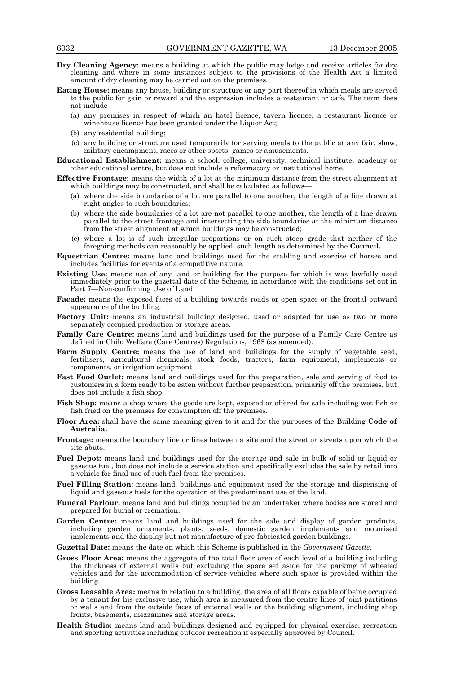- **Dry Cleaning Agency:** means a building at which the public may lodge and receive articles for dry cleaning and where in some instances subject to the provisions of the Health Act a limited amount of dry cleaning may be carried out on the premises.
- **Eating House:** means any house, building or structure or any part thereof in which meals are served to the public for gain or reward and the expression includes a restaurant or cafe. The term does not include—
	- (a) any premises in respect of which an hotel licence, tavern licence, a restaurant licence or winehouse licence has been granted under the Liquor Act;
	- (b) any residential building;
	- (c) any building or structure used temporarily for serving meals to the public at any fair, show, military encampment, races or other sports, games or amusements.
- **Educational Establishment:** means a school, college, university, technical institute, academy or other educational centre, but does not include a reformatory or institutional home.
- **Effective Frontage:** means the width of a lot at the minimum distance from the street alignment at which buildings may be constructed, and shall be calculated as follows—
	- (a) where the side boundaries of a lot are parallel to one another, the length of a line drawn at right angles to such boundaries;
	- (b) where the side boundaries of a lot are not parallel to one another, the length of a line drawn parallel to the street frontage and intersecting the side boundaries at the minimum distance from the street alignment at which buildings may be constructed;
	- (c) where a lot is of such irregular proportions or on such steep grade that neither of the foregoing methods can reasonably be applied, such length as determined by the **Council.**
- **Equestrian Centre:** means land and buildings used for the stabling and exercise of horses and includes facilities for events of a competitive nature.
- **Existing Use:** means use of any land or building for the purpose for which is was lawfully used immediately prior to the gazettal date of the Scheme, in accordance with the conditions set out in Part 7—Non-confirming Use of Land.
- **Facade:** means the exposed faces of a building towards roads or open space or the frontal outward appearance of the building.
- Factory Unit: means an industrial building designed, used or adapted for use as two or more separately occupied production or storage areas.
- **Family Care Centre:** means land and buildings used for the purpose of a Family Care Centre as defined in Child Welfare (Care Centres) Regulations, 1968 (as amended).
- Farm Supply Centre: means the use of land and buildings for the supply of vegetable seed, fertilisers, agricultural chemicals, stock foods, tractors, farm equipment, implements or components, or irrigation equipment
- **Fast Food Outlet:** means land and buildings used for the preparation, sale and serving of food to customers in a form ready to be eaten without further preparation, primarily off the premises, but does not include a fish shop.
- **Fish Shop:** means a shop where the goods are kept, exposed or offered for sale including wet fish or fish fried on the premises for consumption off the premises.
- **Floor Area:** shall have the same meaning given to it and for the purposes of the Building **Code of Australia.**
- **Frontage:** means the boundary line or lines between a site and the street or streets upon which the site abuts.
- **Fuel Depot:** means land and buildings used for the storage and sale in bulk of solid or liquid or gaseous fuel, but does not include a service station and specifically excludes the sale by retail into a vehicle for final use of such fuel from the premises.
- **Fuel Filling Station:** means land, buildings and equipment used for the storage and dispensing of liquid and gaseous fuels for the operation of the predominant use of the land.
- **Funeral Parlour:** means land and buildings occupied by an undertaker where bodies are stored and prepared for burial or cremation.
- Garden Centre: means land and buildings used for the sale and display of garden products, including garden ornaments, plants, seeds, domestic garden implements and motorised implements and the display but not manufacture of pre-fabricated garden buildings.
- **Gazettal Date:** means the date on which this Scheme is published in the *Government Gazette*.
- **Gross Floor Area:** means the aggregate of the total floor area of each level of a building including the thickness of external walls but excluding the space set aside for the parking of wheeled vehicles and for the accommodation of service vehicles where such space is provided within the building.
- **Gross Leasable Area:** means in relation to a building, the area of all floors capable of being occupied by a tenant for his exclusive use, which area is measured from the centre lines of joint partitions or walls and from the outside faces of external walls or the building alignment, including shop fronts, basements, mezzanines and storage areas.
- **Health Studio:** means land and buildings designed and equipped for physical exercise, recreation and sporting activities including outdoor recreation if especially approved by Council.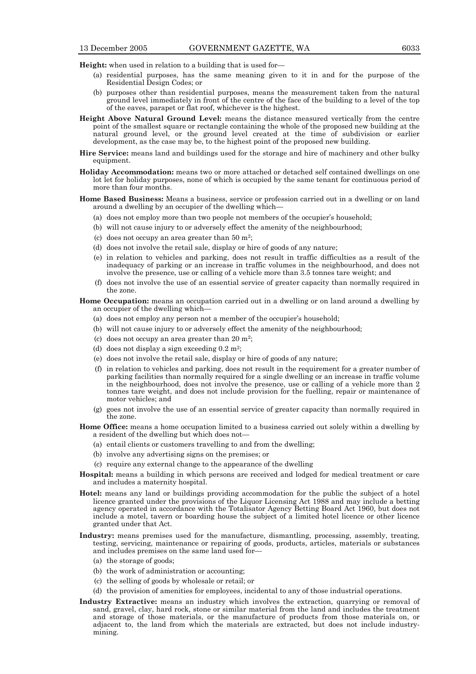**Height:** when used in relation to a building that is used for-

- (a) residential purposes, has the same meaning given to it in and for the purpose of the Residential Design Codes; or
- (b) purposes other than residential purposes, means the measurement taken from the natural ground level immediately in front of the centre of the face of the building to a level of the top of the eaves, parapet or flat roof, whichever is the highest.
- **Height Above Natural Ground Level:** means the distance measured vertically from the centre point of the smallest square or rectangle containing the whole of the proposed new building at the natural ground level, or the ground level created at the time of subdivision or earlier development, as the case may be, to the highest point of the proposed new building.
- **Hire Service:** means land and buildings used for the storage and hire of machinery and other bulky equipment.
- **Holiday Accommodation:** means two or more attached or detached self contained dwellings on one lot let for holiday purposes, none of which is occupied by the same tenant for continuous period of more than four months.
- **Home Based Business:** Means a business, service or profession carried out in a dwelling or on land around a dwelling by an occupier of the dwelling which—
	- (a) does not employ more than two people not members of the occupier's household;
	- (b) will not cause injury to or adversely effect the amenity of the neighbourhood;
	- (c) does not occupy an area greater than  $50 \text{ m}^2$ ;
	- (d) does not involve the retail sale, display or hire of goods of any nature;
	- (e) in relation to vehicles and parking, does not result in traffic difficulties as a result of the inadequacy of parking or an increase in traffic volumes in the neighbourhood, and does not involve the presence, use or calling of a vehicle more than 3.5 tonnes tare weight; and
	- (f) does not involve the use of an essential service of greater capacity than normally required in the zone.

## **Home Occupation:** means an occupation carried out in a dwelling or on land around a dwelling by an occupier of the dwelling which—

- (a) does not employ any person not a member of the occupier's household;
- (b) will not cause injury to or adversely effect the amenity of the neighbourhood;
- (c) does not occupy an area greater than  $20 \text{ m}^2$ :
- (d) does not display a sign exceeding  $0.2 \text{ m}^2$ ;
- (e) does not involve the retail sale, display or hire of goods of any nature;
- (f) in relation to vehicles and parking, does not result in the requirement for a greater number of parking facilities than normally required for a single dwelling or an increase in traffic volume in the neighbourhood, does not involve the presence, use or calling of a vehicle more than 2 tonnes tare weight, and does not include provision for the fuelling, repair or maintenance of motor vehicles; and
- (g) goes not involve the use of an essential service of greater capacity than normally required in the zone.
- **Home Office:** means a home occupation limited to a business carried out solely within a dwelling by a resident of the dwelling but which does not—
	- (a) entail clients or customers travelling to and from the dwelling;
	- (b) involve any advertising signs on the premises; or
	- (c) require any external change to the appearance of the dwelling
- **Hospital:** means a building in which persons are received and lodged for medical treatment or care and includes a maternity hospital.
- **Hotel:** means any land or buildings providing accommodation for the public the subject of a hotel licence granted under the provisions of the Liquor Licensing Act 1988 and may include a betting agency operated in accordance with the Totalisator Agency Betting Board Act 1960, but does not include a motel, tavern or boarding house the subject of a limited hotel licence or other licence granted under that Act.
- **Industry:** means premises used for the manufacture, dismantling, processing, assembly, treating, testing, servicing, maintenance or repairing of goods, products, articles, materials or substances and includes premises on the same land used for—
	- (a) the storage of goods;
	- (b) the work of administration or accounting;
	- (c) the selling of goods by wholesale or retail; or
	- (d) the provision of amenities for employees, incidental to any of those industrial operations.
- **Industry Extractive:** means an industry which involves the extraction, quarrying or removal of sand, gravel, clay, hard rock, stone or similar material from the land and includes the treatment and storage of those materials, or the manufacture of products from those materials on, or adjacent to, the land from which the materials are extracted, but does not include industrymining.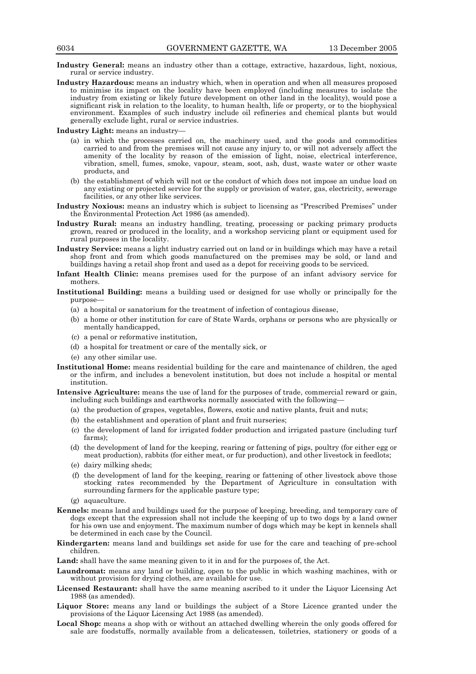- **Industry General:** means an industry other than a cottage, extractive, hazardous, light, noxious, rural or service industry.
- **Industry Hazardous:** means an industry which, when in operation and when all measures proposed to minimise its impact on the locality have been employed (including measures to isolate the industry from existing or likely future development on other land in the locality), would pose a significant risk in relation to the locality, to human health, life or property, or to the biophysical environment. Examples of such industry include oil refineries and chemical plants but would generally exclude light, rural or service industries.

**Industry Light:** means an industry—

- (a) in which the processes carried on, the machinery used, and the goods and commodities carried to and from the premises will not cause any injury to, or will not adversely affect the amenity of the locality by reason of the emission of light, noise, electrical interference, vibration, smell, fumes, smoke, vapour, steam, soot, ash, dust, waste water or other waste products, and
- (b) the establishment of which will not or the conduct of which does not impose an undue load on any existing or projected service for the supply or provision of water, gas, electricity, sewerage facilities, or any other like services.
- **Industry Noxious:** means an industry which is subject to licensing as "Prescribed Premises" under the Environmental Protection Act 1986 (as amended).
- **Industry Rural:** means an industry handling, treating, processing or packing primary products grown, reared or produced in the locality, and a workshop servicing plant or equipment used for rural purposes in the locality.
- **Industry Service:** means a light industry carried out on land or in buildings which may have a retail shop front and from which goods manufactured on the premises may be sold, or land and buildings having a retail shop front and used as a depot for receiving goods to be serviced.
- **Infant Health Clinic:** means premises used for the purpose of an infant advisory service for mothers.
- **Institutional Building:** means a building used or designed for use wholly or principally for the purpose—
	- (a) a hospital or sanatorium for the treatment of infection of contagious disease,
	- (b) a home or other institution for care of State Wards, orphans or persons who are physically or mentally handicapped,
	- (c) a penal or reformative institution,
	- (d) a hospital for treatment or care of the mentally sick, or
	- (e) any other similar use.
- **Institutional Home:** means residential building for the care and maintenance of children, the aged or the infirm, and includes a benevolent institution, but does not include a hospital or mental institution.
- **Intensive Agriculture:** means the use of land for the purposes of trade, commercial reward or gain, including such buildings and earthworks normally associated with the following—
	- (a) the production of grapes, vegetables, flowers, exotic and native plants, fruit and nuts;
	- (b) the establishment and operation of plant and fruit nurseries;
	- (c) the development of land for irrigated fodder production and irrigated pasture (including turf farms);
	- (d) the development of land for the keeping, rearing or fattening of pigs, poultry (for either egg or meat production), rabbits (for either meat, or fur production), and other livestock in feedlots;
	- (e) dairy milking sheds;
	- (f) the development of land for the keeping, rearing or fattening of other livestock above those stocking rates recommended by the Department of Agriculture in consultation with surrounding farmers for the applicable pasture type;
	- (g) aquaculture.
- **Kennels:** means land and buildings used for the purpose of keeping, breeding, and temporary care of dogs except that the expression shall not include the keeping of up to two dogs by a land owner for his own use and enjoyment. The maximum number of dogs which may be kept in kennels shall be determined in each case by the Council.
- **Kindergarten:** means land and buildings set aside for use for the care and teaching of pre-school children.
- **Land:** shall have the same meaning given to it in and for the purposes of, the Act.
- **Laundromat:** means any land or building, open to the public in which washing machines, with or without provision for drying clothes, are available for use.
- **Licensed Restaurant:** shall have the same meaning ascribed to it under the Liquor Licensing Act 1988 (as amended).
- **Liquor Store:** means any land or buildings the subject of a Store Licence granted under the provisions of the Liquor Licensing Act 1988 (as amended).
- Local Shop: means a shop with or without an attached dwelling wherein the only goods offered for sale are foodstuffs, normally available from a delicatessen, toiletries, stationery or goods of a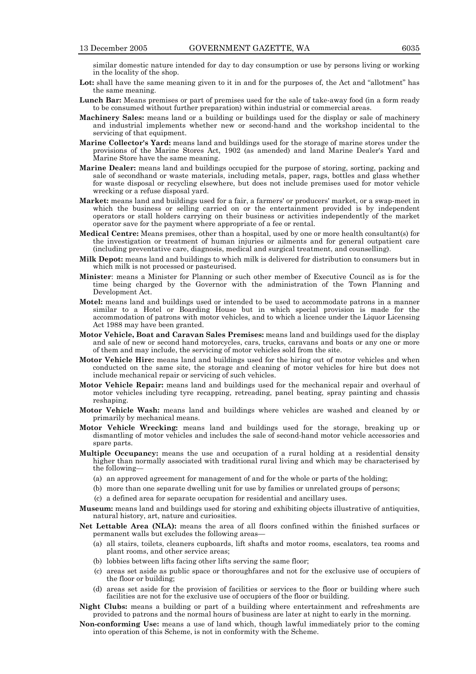similar domestic nature intended for day to day consumption or use by persons living or working in the locality of the shop.

- Lot: shall have the same meaning given to it in and for the purposes of, the Act and "allotment" has the same meaning.
- **Lunch Bar:** Means premises or part of premises used for the sale of take-away food (in a form ready to be consumed without further preparation) within industrial or commercial areas.
- **Machinery Sales:** means land or a building or buildings used for the display or sale of machinery and industrial implements whether new or second-hand and the workshop incidental to the servicing of that equipment.
- **Marine Collector's Yard:** means land and buildings used for the storage of marine stores under the provisions of the Marine Stores Act, 1902 (as amended) and land Marine Dealer's Yard and Marine Store have the same meaning.
- **Marine Dealer:** means land and buildings occupied for the purpose of storing, sorting, packing and sale of secondhand or waste materials, including metals, paper, rags, bottles and glass whether for waste disposal or recycling elsewhere, but does not include premises used for motor vehicle wrecking or a refuse disposal yard.
- **Market:** means land and buildings used for a fair, a farmers' or producers' market, or a swap-meet in which the business or selling carried on or the entertainment provided is by independent operators or stall holders carrying on their business or activities independently of the market operator save for the payment where appropriate of a fee or rental.
- **Medical Centre:** Means premises, other than a hospital, used by one or more health consultant(s) for the investigation or treatment of human injuries or ailments and for general outpatient care (including preventative care, diagnosis, medical and surgical treatment, and counselling).
- **Milk Depot:** means land and buildings to which milk is delivered for distribution to consumers but in which milk is not processed or pasteurised.
- **Minister**: means a Minister for Planning or such other member of Executive Council as is for the time being charged by the Governor with the administration of the Town Planning and Development Act.
- **Motel:** means land and buildings used or intended to be used to accommodate patrons in a manner similar to a Hotel or Boarding House but in which special provision is made for the accommodation of patrons with motor vehicles, and to which a licence under the Liquor Licensing Act 1988 may have been granted.
- **Motor Vehicle, Boat and Caravan Sales Premises:** means land and buildings used for the display and sale of new or second hand motorcycles, cars, trucks, caravans and boats or any one or more of them and may include, the servicing of motor vehicles sold from the site.
- **Motor Vehicle Hire:** means land and buildings used for the hiring out of motor vehicles and when conducted on the same site, the storage and cleaning of motor vehicles for hire but does not include mechanical repair or servicing of such vehicles.
- **Motor Vehicle Repair:** means land and buildings used for the mechanical repair and overhaul of motor vehicles including tyre recapping, retreading, panel beating, spray painting and chassis reshaping.
- **Motor Vehicle Wash:** means land and buildings where vehicles are washed and cleaned by or primarily by mechanical means.
- **Motor Vehicle Wrecking:** means land and buildings used for the storage, breaking up or dismantling of motor vehicles and includes the sale of second-hand motor vehicle accessories and spare parts.
- **Multiple Occupancy:** means the use and occupation of a rural holding at a residential density higher than normally associated with traditional rural living and which may be characterised by the following—
	- (a) an approved agreement for management of and for the whole or parts of the holding;
	- (b) more than one separate dwelling unit for use by families or unrelated groups of persons;
	- (c) a defined area for separate occupation for residential and ancillary uses.
- **Museum:** means land and buildings used for storing and exhibiting objects illustrative of antiquities, natural history, art, nature and curiosities.
- **Net Lettable Area (NLA):** means the area of all floors confined within the finished surfaces or permanent walls but excludes the following areas—
	- (a) all stairs, toilets, cleaners cupboards, lift shafts and motor rooms, escalators, tea rooms and plant rooms, and other service areas;
	- (b) lobbies between lifts facing other lifts serving the same floor;
	- (c) areas set aside as public space or thoroughfares and not for the exclusive use of occupiers of the floor or building;
	- (d) areas set aside for the provision of facilities or services to the floor or building where such facilities are not for the exclusive use of occupiers of the floor or building.
- **Night Clubs:** means a building or part of a building where entertainment and refreshments are provided to patrons and the normal hours of business are later at night to early in the morning.
- **Non-conforming Use:** means a use of land which, though lawful immediately prior to the coming into operation of this Scheme, is not in conformity with the Scheme.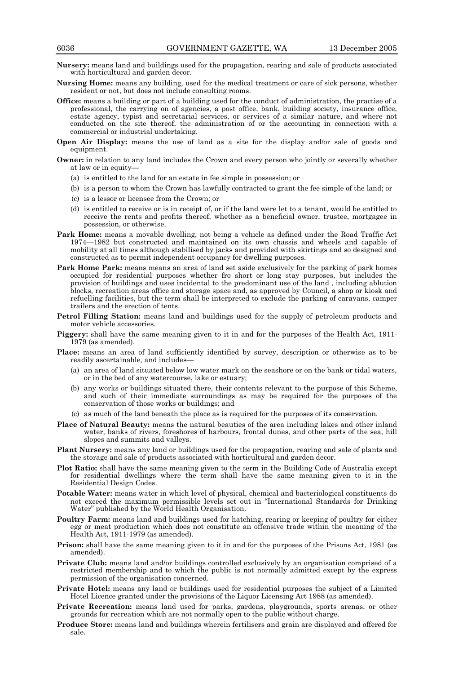- **Nursery:** means land and buildings used for the propagation, rearing and sale of products associated with horticultural and garden decor.
- **Nursing Home:** means any building, used for the medical treatment or care of sick persons, whether resident or not, but does not include consulting rooms.
- **Office:** means a building or part of a building used for the conduct of administration, the practise of a professional, the carrying on of agencies, a post office, bank, building society, insurance office, estate agency, typist and secretarial services, or services of a similar nature, and where not conducted on the site thereof, the administration of or the accounting in connection with a commercial or industrial undertaking.
- **Open Air Display:** means the use of land as a site for the display and/or sale of goods and equipment.
- **Owner:** in relation to any land includes the Crown and every person who jointly or severally whether at law or in equity—
	- (a) is entitled to the land for an estate in fee simple in possession; or
	- (b) is a person to whom the Crown has lawfully contracted to grant the fee simple of the land; or
	- (c) is a lessor or licensee from the Crown; or
	- (d) is entitled to receive or is in receipt of, or if the land were let to a tenant, would be entitled to receive the rents and profits thereof, whether as a beneficial owner, trustee, mortgagee in possession, or otherwise.
- Park Home: means a movable dwelling, not being a vehicle as defined under the Road Traffic Act 1974—1982 but constructed and maintained on its own chassis and wheels and capable of mobility at all times although stabilised by jacks and provided with skirtings and so designed and constructed as to permit independent occupancy for dwelling purposes.
- **Park Home Park:** means means an area of land set aside exclusively for the parking of park homes occupied for residential purposes whether fro short or long stay purposes, but includes the provision of buildings and uses incidental to the predominant use of the land , including ablution blocks, recreation areas office and storage space and, as approved by Council, a shop or kiosk and refuelling facilities, but the term shall be interpreted to exclude the parking of caravans, camper trailers and the erection of tents.
- **Petrol Filling Station:** means land and buildings used for the supply of petroleum products and motor vehicle accessories.
- **Piggery:** shall have the same meaning given to it in and for the purposes of the Health Act, 1911- 1979 (as amended).
- Place: means an area of land sufficiently identified by survey, description or otherwise as to be readily ascertainable, and includes—
	- (a) an area of land situated below low water mark on the seashore or on the bank or tidal waters, or in the bed of any watercourse, lake or estuary;
	- (b) any works or buildings situated there, their contents relevant to the purpose of this Scheme, and such of their immediate surroundings as may be required for the purposes of the conservation of those works or buildings; and
	- (c) as much of the land beneath the place as is required for the purposes of its conservation.
- **Place of Natural Beauty:** means the natural beauties of the area including lakes and other inland water, banks of rivers, foreshores of harbours, frontal dunes, and other parts of the sea, hill slopes and summits and valleys.
- **Plant Nursery:** means any land or buildings used for the propagation, rearing and sale of plants and the storage and sale of products associated with horticultural and garden decor.
- **Plot Ratio:** shall have the same meaning given to the term in the Building Code of Australia except for residential dwellings where the term shall have the same meaning given to it in the Residential Design Codes.
- **Potable Water:** means water in which level of physical, chemical and bacteriological constituents do not exceed the maximum permissible levels set out in "International Standards for Drinking Water" published by the World Health Organisation.
- **Poultry Farm:** means land and buildings used for hatching, rearing or keeping of poultry for either egg or meat production which does not constitute an offensive trade within the meaning of the Health Act, 1911-1979 (as amended).
- **Prison:** shall have the same meaning given to it in and for the purposes of the Prisons Act, 1981 (as amended).
- **Private Club:** means land and/or buildings controlled exclusively by an organisation comprised of a restricted membership and to which the public is not normally admitted except by the express permission of the organisation concerned.
- **Private Hotel:** means any land or buildings used for residential purposes the subject of a Limited Hotel Licence granted under the provisions of the Liquor Licensing Act 1988 (as amended).
- **Private Recreation:** means land used for parks, gardens, playgrounds, sports arenas, or other grounds for recreation which are not normally open to the public without charge.
- **Produce Store:** means land and buildings wherein fertilisers and grain are displayed and offered for sale.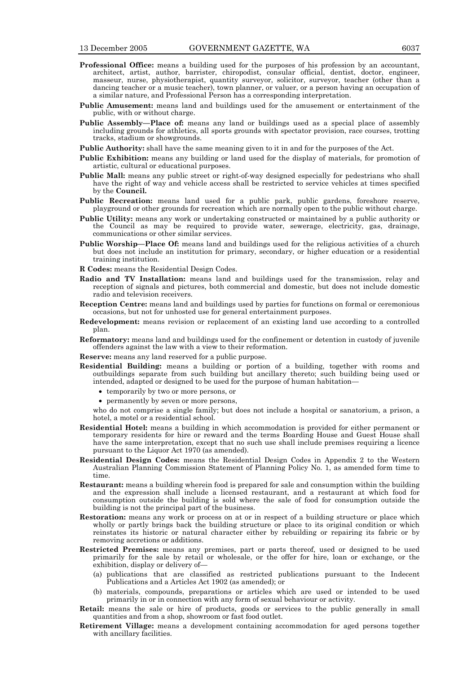- **Professional Office:** means a building used for the purposes of his profession by an accountant, architect, artist, author, barrister, chiropodist, consular official, dentist, doctor, engineer, masseur, nurse, physiotherapist, quantity surveyor, solicitor, surveyor, teacher (other than a dancing teacher or a music teacher), town planner, or valuer, or a person having an occupation of a similar nature, and Professional Person has a corresponding interpretation.
- **Public Amusement:** means land and buildings used for the amusement or entertainment of the public, with or without charge.
- **Public Assembly—Place of:** means any land or buildings used as a special place of assembly including grounds for athletics, all sports grounds with spectator provision, race courses, trotting tracks, stadium or showgrounds.
- **Public Authority:** shall have the same meaning given to it in and for the purposes of the Act.
- **Public Exhibition:** means any building or land used for the display of materials, for promotion of artistic, cultural or educational purposes.
- **Public Mall:** means any public street or right-of-way designed especially for pedestrians who shall have the right of way and vehicle access shall be restricted to service vehicles at times specified by the **Council.**
- **Public Recreation:** means land used for a public park, public gardens, foreshore reserve, playground or other grounds for recreation which are normally open to the public without charge.
- **Public Utility:** means any work or undertaking constructed or maintained by a public authority or the Council as may be required to provide water, sewerage, electricity, gas, drainage, communications or other similar services.
- Public Worship-Place Of: means land and buildings used for the religious activities of a church but does not include an institution for primary, secondary, or higher education or a residential training institution.
- **R Codes:** means the Residential Design Codes.
- **Radio and TV Installation:** means land and buildings used for the transmission, relay and reception of signals and pictures, both commercial and domestic, but does not include domestic radio and television receivers.
- **Reception Centre:** means land and buildings used by parties for functions on formal or ceremonious occasions, but not for unhosted use for general entertainment purposes.
- **Redevelopment:** means revision or replacement of an existing land use according to a controlled plan.
- **Reformatory:** means land and buildings used for the confinement or detention in custody of juvenile offenders against the law with a view to their reformation.
- **Reserve:** means any land reserved for a public purpose.
- **Residential Building:** means a building or portion of a building, together with rooms and outbuildings separate from such building but ancillary thereto; such building being used or intended, adapted or designed to be used for the purpose of human habitation—
	- temporarily by two or more persons, or
	- permanently by seven or more persons,

who do not comprise a single family; but does not include a hospital or sanatorium, a prison, a hotel, a motel or a residential school.

- **Residential Hotel:** means a building in which accommodation is provided for either permanent or temporary residents for hire or reward and the terms Boarding House and Guest House shall have the same interpretation, except that no such use shall include premises requiring a licence pursuant to the Liquor Act 1970 (as amended).
- **Residential Design Codes:** means the Residential Design Codes in Appendix 2 to the Western Australian Planning Commission Statement of Planning Policy No. 1, as amended form time to time.
- **Restaurant:** means a building wherein food is prepared for sale and consumption within the building and the expression shall include a licensed restaurant, and a restaurant at which food for consumption outside the building is sold where the sale of food for consumption outside the building is not the principal part of the business.
- Restoration: means any work or process on at or in respect of a building structure or place which wholly or partly brings back the building structure or place to its original condition or which reinstates its historic or natural character either by rebuilding or repairing its fabric or by removing accretions or additions.
- **Restricted Premises:** means any premises, part or parts thereof, used or designed to be used primarily for the sale by retail or wholesale, or the offer for hire, loan or exchange, or the exhibition, display or delivery of—
	- (a) publications that are classified as restricted publications pursuant to the Indecent Publications and a Articles Act 1902 (as amended); or
	- (b) materials, compounds, preparations or articles which are used or intended to be used primarily in or in connection with any form of sexual behaviour or activity.
- **Retail:** means the sale or hire of products, goods or services to the public generally in small quantities and from a shop, showroom or fast food outlet.
- **Retirement Village:** means a development containing accommodation for aged persons together with ancillary facilities.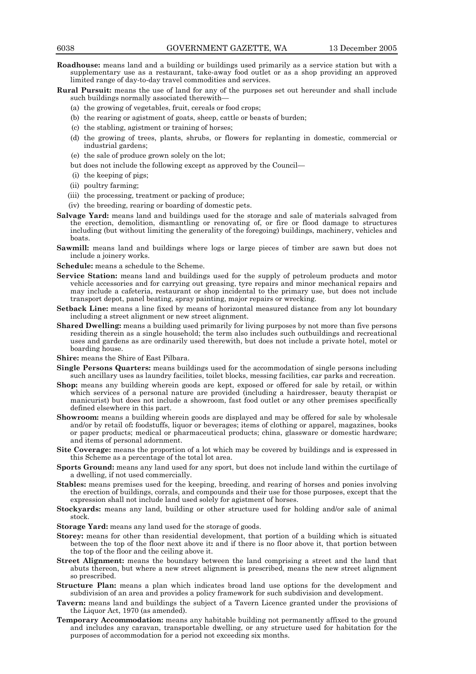- **Roadhouse:** means land and a building or buildings used primarily as a service station but with a supplementary use as a restaurant, take-away food outlet or as a shop providing an approved limited range of day-to-day travel commodities and services.
- **Rural Pursuit:** means the use of land for any of the purposes set out hereunder and shall include such buildings normally associated therewith—
	- (a) the growing of vegetables, fruit, cereals or food crops;
	- (b) the rearing or agistment of goats, sheep, cattle or beasts of burden;
	- (c) the stabling, agistment or training of horses;
	- (d) the growing of trees, plants, shrubs, or flowers for replanting in domestic, commercial or industrial gardens;
	- (e) the sale of produce grown solely on the lot;
	- but does not include the following except as approved by the Council—
	- (i) the keeping of pigs;
	- (ii) poultry farming;
	- (iii) the processing, treatment or packing of produce;
	- (iv) the breeding, rearing or boarding of domestic pets.
- **Salvage Yard:** means land and buildings used for the storage and sale of materials salvaged from the erection, demolition, dismantling or renovating of, or fire or flood damage to structures including (but without limiting the generality of the foregoing) buildings, machinery, vehicles and boats.
- **Sawmill:** means land and buildings where logs or large pieces of timber are sawn but does not include a joinery works.
- **Schedule:** means a schedule to the Scheme.
- **Service Station:** means land and buildings used for the supply of petroleum products and motor vehicle accessories and for carrying out greasing, tyre repairs and minor mechanical repairs and may include a cafeteria, restaurant or shop incidental to the primary use, but does not include transport depot, panel beating, spray painting, major repairs or wrecking.
- Setback Line: means a line fixed by means of horizontal measured distance from any lot boundary including a street alignment or new street alignment.
- **Shared Dwelling:** means a building used primarily for living purposes by not more than five persons residing therein as a single household; the term also includes such outbuildings and recreational uses and gardens as are ordinarily used therewith, but does not include a private hotel, motel or boarding house.
- **Shire:** means the Shire of East Pilbara.
- **Single Persons Quarters:** means buildings used for the accommodation of single persons including such ancillary uses as laundry facilities, toilet blocks, messing facilities, car parks and recreation.
- **Shop:** means any building wherein goods are kept, exposed or offered for sale by retail, or within which services of a personal nature are provided (including a hairdresser, beauty therapist or manicurist) but does not include a showroom, fast food outlet or any other premises specifically defined elsewhere in this part.
- **Showroom:** means a building wherein goods are displayed and may be offered for sale by wholesale and/or by retail of**:** foodstuffs, liquor or beverages; items of clothing or apparel, magazines, books or paper products; medical or pharmaceutical products; china, glassware or domestic hardware; and items of personal adornment.
- **Site Coverage:** means the proportion of a lot which may be covered by buildings and is expressed in this Scheme as a percentage of the total lot area.
- **Sports Ground:** means any land used for any sport, but does not include land within the curtilage of a dwelling, if not used commercially.
- **Stables:** means premises used for the keeping, breeding, and rearing of horses and ponies involving the erection of buildings, corrals, and compounds and their use for those purposes, except that the expression shall not include land used solely for agistment of horses.
- **Stockyards:** means any land, building or other structure used for holding and/or sale of animal stock.
- **Storage Yard:** means any land used for the storage of goods.
- **Storey:** means for other than residential development, that portion of a building which is situated between the top of the floor next above it**:** and if there is no floor above it, that portion between the top of the floor and the ceiling above it.
- **Street Alignment:** means the boundary between the land comprising a street and the land that abuts thereon, but where a new street alignment is prescribed, means the new street alignment so prescribed.
- **Structure Plan:** means a plan which indicates broad land use options for the development and subdivision of an area and provides a policy framework for such subdivision and development.
- **Tavern:** means land and buildings the subject of a Tavern Licence granted under the provisions of the Liquor Act, 1970 (as amended).
- **Temporary Accommodation:** means any habitable building not permanently affixed to the ground and includes any caravan, transportable dwelling, or any structure used for habitation for the purposes of accommodation for a period not exceeding six months.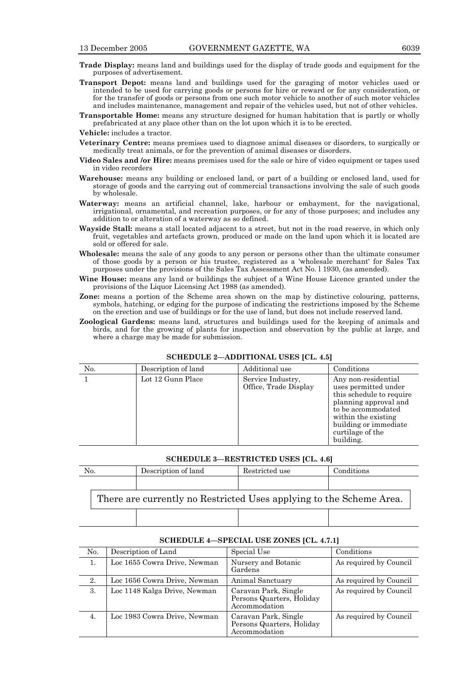- **Trade Display:** means land and buildings used for the display of trade goods and equipment for the purposes of advertisement.
- **Transport Depot:** means land and buildings used for the garaging of motor vehicles used or intended to be used for carrying goods or persons for hire or reward or for any consideration, or for the transfer of goods or persons from one such motor vehicle to another of such motor vehicles and includes maintenance, management and repair of the vehicles used, but not of other vehicles.

**Transportable Home:** means any structure designed for human habitation that is partly or wholly prefabricated at any place other than on the lot upon which it is to be erected.

**Vehicle:** includes a tractor.

- **Veterinary Centre:** means premises used to diagnose animal diseases or disorders, to surgically or medically treat animals, or for the prevention of animal diseases or disorders.
- **Video Sales and /or Hire:** means premises used for the sale or hire of video equipment or tapes used in video recorders
- **Warehouse:** means any building or enclosed land, or part of a building or enclosed land, used for storage of goods and the carrying out of commercial transactions involving the sale of such goods by wholesale.
- **Waterway:** means an artificial channel, lake, harbour or embayment, for the navigational, irrigational, ornamental, and recreation purposes, or for any of those purposes; and includes any addition to or alteration of a waterway as so defined.
- **Wayside Stall:** means a stall located adjacent to a street, but not in the road reserve, in which only fruit, vegetables and artefacts grown, produced or made on the land upon which it is located are sold or offered for sale.
- **Wholesale:** means the sale of any goods to any person or persons other than the ultimate consumer of those goods by a person or his trustee, registered as a 'wholesale merchant' for Sales Tax purposes under the provisions of the Sales Tax Assessment Act No. l 1930, (as amended).
- **Wine House:** means any land or buildings the subject of a Wine House Licence granted under the provisions of the Liquor Licensing Act 1988 (as amended).
- **Zone:** means a portion of the Scheme area shown on the map by distinctive colouring, patterns, symbols, hatching, or edging for the purpose of indicating the restrictions imposed by the Scheme on the erection and use of buildings or for the use of land, but does not include reserved land.
- **Zoological Gardens:** means land, structures and buildings used for the keeping of animals and birds, and for the growing of plants for inspection and observation by the public at large, and where a charge may be made for submission.

| No. | Description of land | Additional use                             | Conditions                                                                                                                                                                                              |
|-----|---------------------|--------------------------------------------|---------------------------------------------------------------------------------------------------------------------------------------------------------------------------------------------------------|
|     | Lot 12 Gunn Place   | Service Industry,<br>Office, Trade Display | Any non-residential<br>uses permitted under<br>this schedule to require<br>planning approval and<br>to be accommodated<br>within the existing<br>building or immediate<br>curtilage of the<br>building. |

## **SCHEDULE 2—ADDITIONAL USES [CL. 4.5]**

# **SCHEDULE 3—RESTRICTED USES [CL. 4.6]**

| No.                                                                 |  | Description of land | Restricted use | Conditions |
|---------------------------------------------------------------------|--|---------------------|----------------|------------|
|                                                                     |  |                     |                |            |
| There are currently no Restricted Uses applying to the Scheme Area. |  |                     |                |            |
|                                                                     |  |                     |                |            |

| No. | Description of Land          | Special Use                                                        | Conditions             |
|-----|------------------------------|--------------------------------------------------------------------|------------------------|
| 1.  | Loc 1655 Cowra Drive, Newman | Nursery and Botanic<br>Gardens                                     | As required by Council |
| 2.  | Loc 1656 Cowra Drive, Newman | Animal Sanctuary                                                   | As required by Council |
| 3.  | Loc 1148 Kalga Drive, Newman | Caravan Park, Single<br>Persons Quarters, Holiday<br>Accommodation | As required by Council |
| 4.  | Loc 1983 Cowra Drive, Newman | Caravan Park, Single<br>Persons Quarters, Holiday<br>Accommodation | As required by Council |

# **SCHEDULE 4—SPECIAL USE ZONES [CL. 4.7.1]**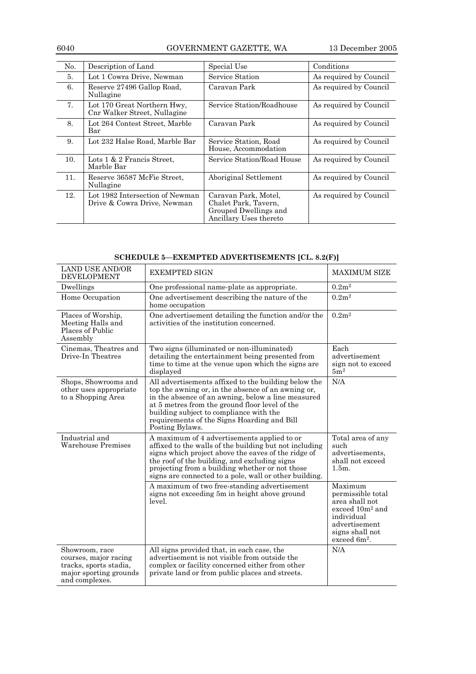6040 GOVERNMENT GAZETTE, WA 13 December 2005

| No. | Description of Land                                            | Special Use                                                                                     | Conditions             |
|-----|----------------------------------------------------------------|-------------------------------------------------------------------------------------------------|------------------------|
| 5.  | Lot 1 Cowra Drive, Newman                                      | Service Station                                                                                 | As required by Council |
| 6.  | Reserve 27496 Gallop Road,<br>Nullagine                        | Caravan Park                                                                                    | As required by Council |
| 7.  | Lot 170 Great Northern Hwy,<br>Cnr Walker Street, Nullagine    | Service Station/Roadhouse                                                                       | As required by Council |
| 8.  | Lot 264 Contest Street, Marble<br>Bar                          | Caravan Park                                                                                    | As required by Council |
| 9.  | Lot 232 Halse Road, Marble Bar                                 | Service Station, Road<br>House, Accommodation                                                   | As required by Council |
| 10. | Lots $1 \& 2$ Francis Street.<br>Marble Bar                    | Service Station/Road House                                                                      | As required by Council |
| 11. | Reserve 36587 McFie Street,<br>Nullagine                       | Aboriginal Settlement                                                                           | As required by Council |
| 12. | Lot 1982 Intersection of Newman<br>Drive & Cowra Drive, Newman | Caravan Park, Motel,<br>Chalet Park, Tavern,<br>Grouped Dwellings and<br>Ancillary Uses thereto | As required by Council |

|  |  | SCHEDULE 5-EXEMPTED ADVERTISEMENTS [CL. 8.2(F)] |
|--|--|-------------------------------------------------|
|--|--|-------------------------------------------------|

| <b>LAND USE AND/OR</b><br><b>DEVELOPMENT</b>                                                                  | <b>EXEMPTED SIGN</b>                                                                                                                                                                                                                                                                                                            | <b>MAXIMUM SIZE</b>                                                                                                                                |
|---------------------------------------------------------------------------------------------------------------|---------------------------------------------------------------------------------------------------------------------------------------------------------------------------------------------------------------------------------------------------------------------------------------------------------------------------------|----------------------------------------------------------------------------------------------------------------------------------------------------|
| Dwellings                                                                                                     | One professional name-plate as appropriate.                                                                                                                                                                                                                                                                                     | 0.2m <sup>2</sup>                                                                                                                                  |
| Home Occupation                                                                                               | One advertisement describing the nature of the<br>home occupation                                                                                                                                                                                                                                                               | 0.2m <sup>2</sup>                                                                                                                                  |
| Places of Worship,<br>Meeting Halls and<br>Places of Public<br>Assembly                                       | One advertisement detailing the function and/or the<br>activities of the institution concerned.                                                                                                                                                                                                                                 | 0.2m <sup>2</sup>                                                                                                                                  |
| Cinemas, Theatres and<br>Drive-In Theatres                                                                    | Two signs (illuminated or non-illuminated)<br>detailing the entertainment being presented from<br>time to time at the venue upon which the signs are<br>displayed                                                                                                                                                               | Each<br>advertisement<br>sign not to exceed<br>5m <sup>2</sup>                                                                                     |
| Shops, Showrooms and<br>other uses appropriate<br>to a Shopping Area                                          | All advertisements affixed to the building below the<br>top the awning or, in the absence of an awning or,<br>in the absence of an awning, below a line measured<br>at 5 metres from the ground floor level of the<br>building subject to compliance with the<br>requirements of the Signs Hoarding and Bill<br>Posting Bylaws. | N/A                                                                                                                                                |
| Industrial and<br>Warehouse Premises                                                                          | A maximum of 4 advertisements applied to or<br>affixed to the walls of the building but not including<br>signs which project above the eaves of the ridge of<br>the roof of the building, and excluding signs<br>projecting from a building whether or not those<br>signs are connected to a pole, wall or other building.      | Total area of any<br>such<br>advertisements.<br>shall not exceed<br>1.5m.                                                                          |
|                                                                                                               | A maximum of two free-standing advertisement<br>signs not exceeding 5m in height above ground<br>level.                                                                                                                                                                                                                         | Maximum<br>permissible total<br>area shall not<br>exceed $10m^2$ and<br>individual<br>advertisement<br>signs shall not<br>exceed 6m <sup>2</sup> . |
| Showroom, race<br>courses, major racing<br>tracks, sports stadia,<br>major sporting grounds<br>and complexes. | All signs provided that, in each case, the<br>advertisement is not visible from outside the<br>complex or facility concerned either from other<br>private land or from public places and streets.                                                                                                                               | N/A                                                                                                                                                |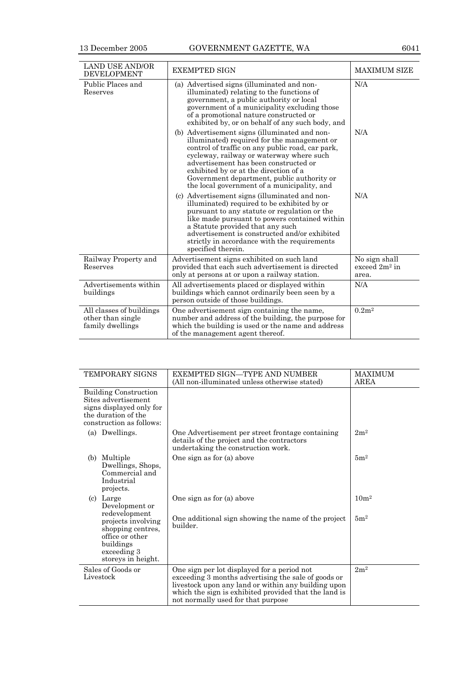| <b>LAND USE AND/OR</b><br><b>DEVELOPMENT</b>                      | <b>EXEMPTED SIGN</b>                                                                                                                                                                                                                                                                                                                                                        | <b>MAXIMUM SIZE</b>                        |
|-------------------------------------------------------------------|-----------------------------------------------------------------------------------------------------------------------------------------------------------------------------------------------------------------------------------------------------------------------------------------------------------------------------------------------------------------------------|--------------------------------------------|
| Public Places and<br>Reserves                                     | (a) Advertised signs (illuminated and non-<br>illuminated) relating to the functions of<br>government, a public authority or local<br>government of a municipality excluding those<br>of a promotional nature constructed or<br>exhibited by, or on behalf of any such body, and                                                                                            | N/A                                        |
|                                                                   | (b) Advertisement signs (illuminated and non-<br>illuminated) required for the management or<br>control of traffic on any public road, car park,<br>cycleway, railway or waterway where such<br>advertisement has been constructed or<br>exhibited by or at the direction of a<br>Government department, public authority or<br>the local government of a municipality, and | N/A                                        |
|                                                                   | (c) Advertisement signs (illuminated and non-<br>illuminated) required to be exhibited by or<br>pursuant to any statute or regulation or the<br>like made pursuant to powers contained within<br>a Statute provided that any such<br>advertisement is constructed and/or exhibited<br>strictly in accordance with the requirements<br>specified therein.                    | N/A                                        |
| Railway Property and<br>Reserves                                  | Advertisement signs exhibited on such land<br>provided that each such advertisement is directed<br>only at persons at or upon a railway station.                                                                                                                                                                                                                            | No sign shall<br>exceed $2m^2$ in<br>area. |
| Advertisements within<br>buildings                                | All advertisements placed or displayed within<br>buildings which cannot ordinarily been seen by a<br>person outside of those buildings.                                                                                                                                                                                                                                     | N/A                                        |
| All classes of buildings<br>other than single<br>family dwellings | One advertisement sign containing the name,<br>number and address of the building, the purpose for<br>which the building is used or the name and address<br>of the management agent thereof.                                                                                                                                                                                | 0.2m <sup>2</sup>                          |

| <b>TEMPORARY SIGNS</b>                                                                                                             | EXEMPTED SIGN—TYPE AND NUMBER<br>(All non-illuminated unless otherwise stated)                                                                                                                                                                           | <b>MAXIMUM</b><br>AREA |
|------------------------------------------------------------------------------------------------------------------------------------|----------------------------------------------------------------------------------------------------------------------------------------------------------------------------------------------------------------------------------------------------------|------------------------|
| <b>Building Construction</b><br>Sites advertisement<br>signs displayed only for<br>the duration of the<br>construction as follows: |                                                                                                                                                                                                                                                          |                        |
| (a) Dwellings.                                                                                                                     | One Advertisement per street frontage containing<br>details of the project and the contractors<br>undertaking the construction work.                                                                                                                     | 2m <sup>2</sup>        |
| Multiple<br>(b)<br>Dwellings, Shops,<br>Commercial and<br>Industrial<br>projects.                                                  | One sign as for (a) above                                                                                                                                                                                                                                | 5m <sup>2</sup>        |
| (c) Large<br>Development or                                                                                                        | One sign as for (a) above                                                                                                                                                                                                                                | 10 <sup>m²</sup>       |
| redevelopment<br>projects involving<br>shopping centres,<br>office or other<br>buildings<br>exceeding 3<br>storeys in height.      | One additional sign showing the name of the project<br>builder.                                                                                                                                                                                          | 5m <sup>2</sup>        |
| Sales of Goods or<br>Livestock                                                                                                     | One sign per lot displayed for a period not<br>exceeding 3 months advertising the sale of goods or<br>livestock upon any land or within any building upon<br>which the sign is exhibited provided that the land is<br>not normally used for that purpose | 2m <sup>2</sup>        |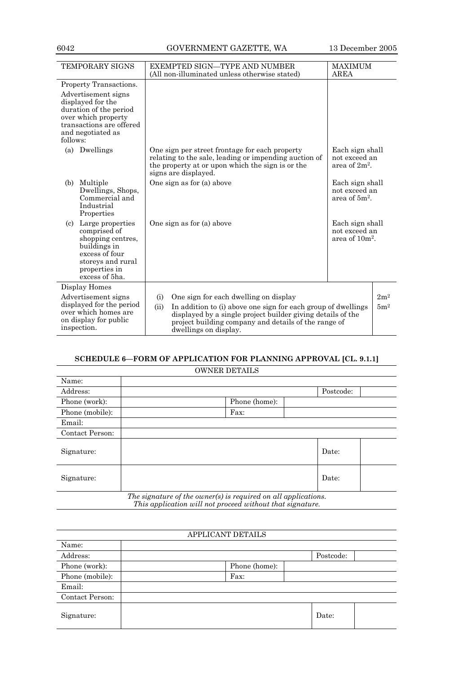# 6042 GOVERNMENT GAZETTE, WA 13 December 2005

| <b>TEMPORARY SIGNS</b>                                                                                                                                 | EXEMPTED SIGN—TYPE AND NUMBER<br>(All non-illuminated unless otherwise stated)                                                                                                                                                                                        | <b>MAXIMUM</b><br>AREA                                         |                 |
|--------------------------------------------------------------------------------------------------------------------------------------------------------|-----------------------------------------------------------------------------------------------------------------------------------------------------------------------------------------------------------------------------------------------------------------------|----------------------------------------------------------------|-----------------|
| Property Transactions.<br>Advertisement signs                                                                                                          |                                                                                                                                                                                                                                                                       |                                                                |                 |
| displayed for the<br>duration of the period<br>over which property<br>transactions are offered<br>and negotiated as<br>follows:                        |                                                                                                                                                                                                                                                                       |                                                                |                 |
| Dwellings<br>(a)                                                                                                                                       | One sign per street frontage for each property<br>relating to the sale, leading or impending auction of<br>the property at or upon which the sign is or the<br>signs are displayed.                                                                                   | Each sign shall<br>not exceed an<br>area of 2m <sup>2</sup> .  |                 |
| (b)<br>Multiple<br>Dwellings, Shops,<br>Commercial and<br>Industrial<br>Properties                                                                     | One sign as for (a) above                                                                                                                                                                                                                                             | Each sign shall<br>not exceed an<br>area of $5m^2$ .           |                 |
| Large properties<br>(c)<br>comprised of<br>shopping centres,<br>buildings in<br>excess of four<br>storeys and rural<br>properties in<br>excess of 5ha. | One sign as for (a) above                                                                                                                                                                                                                                             | Each sign shall<br>not exceed an<br>area of 10m <sup>2</sup> . |                 |
| Display Homes                                                                                                                                          |                                                                                                                                                                                                                                                                       |                                                                | 2m <sup>2</sup> |
| Advertisement signs<br>displayed for the period<br>over which homes are<br>on display for public<br>inspection.                                        | One sign for each dwelling on display<br>(i)<br>(ii)<br>In addition to (i) above one sign for each group of dwellings<br>displayed by a single project builder giving details of the<br>project building company and details of the range of<br>dwellings on display. |                                                                | 5m <sup>2</sup> |

# **SCHEDULE 6—FORM OF APPLICATION FOR PLANNING APPROVAL [CL. 9.1.1]**

| <b>OWNER DETAILS</b>                                                                                                        |               |           |
|-----------------------------------------------------------------------------------------------------------------------------|---------------|-----------|
| Name:                                                                                                                       |               |           |
| Address:                                                                                                                    |               | Postcode: |
| Phone (work):                                                                                                               | Phone (home): |           |
| Phone (mobile):                                                                                                             | Fax:          |           |
| Email:                                                                                                                      |               |           |
| Contact Person:                                                                                                             |               |           |
| Signature:                                                                                                                  |               | Date:     |
| Signature:                                                                                                                  |               | Date:     |
| The signature of the owner(s) is required on all applications.<br>This application will not proceed without that signature. |               |           |

APPLICANT DETAILS Name: Address: Postcode: Phone (work): Phone (home): Phone (mobile): Fax: Email: Contact Person: Signature:  $\qquad \qquad$  Date: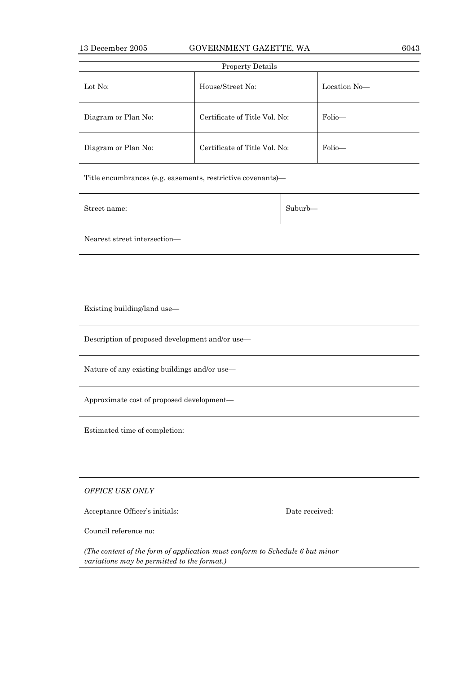| <b>Property Details</b> |                               |              |  |
|-------------------------|-------------------------------|--------------|--|
| Lot No:                 | House/Street No:              | Location No- |  |
| Diagram or Plan No:     | Certificate of Title Vol. No: | Folio-       |  |
| Diagram or Plan No:     | Certificate of Title Vol. No: | Folio-       |  |

Title encumbrances (e.g. easements, restrictive covenants)—

| Street name: | Suburb- |
|--------------|---------|
|              |         |

Nearest street intersection—

Existing building/land use—

Description of proposed development and/or use—

Nature of any existing buildings and/or use—

Approximate cost of proposed development—

Estimated time of completion:

*OFFICE USE ONLY*

Acceptance Officer's initials: Date received:

Council reference no:

*(The content of the form of application must conform to Schedule 6 but minor variations may be permitted to the format.)*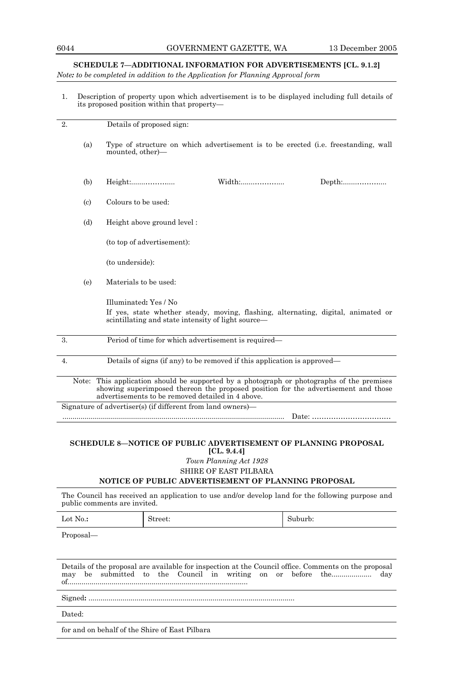## **SCHEDULE 7—ADDITIONAL INFORMATION FOR ADVERTISEMENTS [CL. 9.1.2]**

*Note: to be completed in addition to the Application for Planning Approval form* 

1. Description of property upon which advertisement is to be displayed including full details of its proposed position within that property—

| 2.                        | Details of proposed sign:                                                                                                                                                                                                      |
|---------------------------|--------------------------------------------------------------------------------------------------------------------------------------------------------------------------------------------------------------------------------|
| (a)                       | Type of structure on which advertisement is to be erected (i.e. freestanding, wall<br>mounted, other)—                                                                                                                         |
| (b)                       | Height:<br>Width:<br>$Depth:\ldots:\ldots:\ldots:\ldots$                                                                                                                                                                       |
| $\left( \text{c} \right)$ | Colours to be used:                                                                                                                                                                                                            |
| (d)                       | Height above ground level:                                                                                                                                                                                                     |
|                           | (to top of advertisement):                                                                                                                                                                                                     |
|                           | (to underside):                                                                                                                                                                                                                |
| (e)                       | Materials to be used:                                                                                                                                                                                                          |
|                           | Illuminated: Yes / No                                                                                                                                                                                                          |
|                           | If yes, state whether steady, moving, flashing, alternating, digital, animated or<br>scintillating and state intensity of light source—                                                                                        |
| 3.                        | Period of time for which advertisement is required-                                                                                                                                                                            |
| 4.                        | Details of signs (if any) to be removed if this application is approved—                                                                                                                                                       |
| Note:                     | This application should be supported by a photograph or photographs of the premises<br>showing superimposed thereon the proposed position for the advertisement and those<br>advertisements to be removed detailed in 4 above. |
|                           | Signature of advertiser(s) (if different from land owners)—                                                                                                                                                                    |
|                           |                                                                                                                                                                                                                                |

# **SCHEDULE 8—NOTICE OF PUBLIC ADVERTISEMENT OF PLANNING PROPOSAL [CL. 9.4.4]**

*Town Planning Act 1928*  SHIRE OF EAST PILBARA

# **NOTICE OF PUBLIC ADVERTISEMENT OF PLANNING PROPOSAL**

The Council has received an application to use and/or develop land for the following purpose and public comments are invited.

| Lot No.: | $\sim$<br>street: | Suburb: |
|----------|-------------------|---------|
|----------|-------------------|---------|

Proposal—

Details of the proposal are available for inspection at the Council office. Comments on the proposal may be submitted to the Council in writing on or before the.................... day of..........................................................................................

Signed**:** .......................................................................................................

Dated:

for and on behalf of the Shire of East Pilbara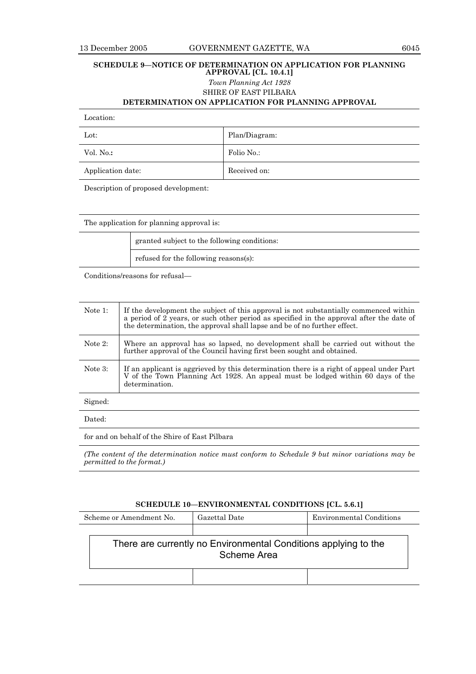# **SCHEDULE 9—NOTICE OF DETERMINATION ON APPLICATION FOR PLANNING APPROVAL [CL. 10.4.1]**  *Town Planning Act 1928*  SHIRE OF EAST PILBARA

**DETERMINATION ON APPLICATION FOR PLANNING APPROVAL** 

| Location: |  |
|-----------|--|
|           |  |

| $_{\rm Lot:}$     | Plan/Diagram: |
|-------------------|---------------|
| Vol. No.:         | Folio No.:    |
| Application date: | Received on:  |

Description of proposed development:

The application for planning approval is:

 granted subject to the following conditions: refused for the following reasons(s):

Conditions/reasons for refusal—

| Note 1:    | If the development the subject of this approval is not substantially commenced within<br>a period of 2 years, or such other period as specified in the approval after the date of<br>the determination, the approval shall lapse and be of no further effect. |
|------------|---------------------------------------------------------------------------------------------------------------------------------------------------------------------------------------------------------------------------------------------------------------|
| Note $2$ : | Where an approval has so lapsed, no development shall be carried out without the<br>further approval of the Council having first been sought and obtained.                                                                                                    |
| Note $3$ : | If an applicant is aggrieved by this determination there is a right of appeal under Part<br>V of the Town Planning Act 1928. An appeal must be lodged within 60 days of the<br>determination.                                                                 |
| Signed:    |                                                                                                                                                                                                                                                               |
| Dated:     |                                                                                                                                                                                                                                                               |

for and on behalf of the Shire of East Pilbara

*(The content of the determination notice must conform to Schedule 9 but minor variations may be permitted to the format.)*

|  | SCHEDULE 10-ENVIRONMENTAL CONDITIONS [CL. 5.6.1] |  |  |
|--|--------------------------------------------------|--|--|
|--|--------------------------------------------------|--|--|

| Scheme or Amendment No.<br>Gazettal Date                                       |  | Environmental Conditions |
|--------------------------------------------------------------------------------|--|--------------------------|
|                                                                                |  |                          |
| There are currently no Environmental Conditions applying to the<br>Scheme Area |  |                          |
|                                                                                |  |                          |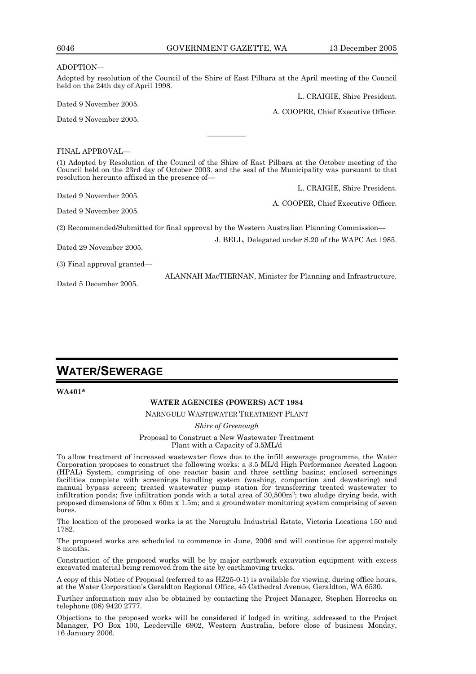| 6046                                | GOVERNMENT GAZETTE, WA                                                                                                                                                                                                                                        | 13 December 2005                    |
|-------------------------------------|---------------------------------------------------------------------------------------------------------------------------------------------------------------------------------------------------------------------------------------------------------------|-------------------------------------|
| ADOPTION-                           |                                                                                                                                                                                                                                                               |                                     |
| held on the 24th day of April 1998. | Adopted by resolution of the Council of the Shire of East Pilbara at the April meeting of the Council                                                                                                                                                         |                                     |
| Dated 9 November 2005.              |                                                                                                                                                                                                                                                               | L. CRAIGIE, Shire President.        |
| Dated 9 November 2005.              |                                                                                                                                                                                                                                                               | A. COOPER, Chief Executive Officer. |
|                                     |                                                                                                                                                                                                                                                               |                                     |
| FINAL APPROVAL—                     |                                                                                                                                                                                                                                                               |                                     |
|                                     | (1) Adopted by Resolution of the Council of the Shire of East Pilbara at the October meeting of the<br>Council held on the 23rd day of October 2003, and the seal of the Municipality was pursuant to that<br>resolution hereunto affixed in the presence of- |                                     |
|                                     |                                                                                                                                                                                                                                                               | L. CRAIGIE, Shire President.        |
| Dated 9 November 2005.              |                                                                                                                                                                                                                                                               | A. COOPER, Chief Executive Officer. |
| Dated 9 November 2005.              |                                                                                                                                                                                                                                                               |                                     |
|                                     | (2) Recommended/Submitted for final approval by the Western Australian Planning Commission—                                                                                                                                                                   |                                     |
| Dated 29 November 2005.             | J. BELL, Delegated under S.20 of the WAPC Act 1985.                                                                                                                                                                                                           |                                     |
| (3) Final approval granted—         |                                                                                                                                                                                                                                                               |                                     |
|                                     | ALANNAH MacTIERNAN, Minister for Planning and Infrastructure.                                                                                                                                                                                                 |                                     |

# **WATER/SEWERAGE**

Dated 5 December 2005.

# **WATER AGENCIES (POWERS) ACT 1984**

NARNGULU WASTEWATER TREATMENT PLANT

*Shire of Greenough* 

Proposal to Construct a New Wastewater Treatment Plant with a Capacity of 3.5ML/d

To allow treatment of increased wastewater flows due to the infill sewerage programme, the Water Corporation proposes to construct the following works: a 3.5 ML/d High Performance Aerated Lagoon (HPAL) System, comprising of one reactor basin and three settling basins; enclosed screenings facilities complete with screenings handling system (washing, compaction and dewatering) and manual bypass screen; treated wastewater pump station for transferring treated wastewater to infiltration ponds; five infiltration ponds with a total area of  $30,500m^2$ ; two sludge drying beds, with proposed dimensions of 50m x 60m x 1.5m; and a groundwater monitoring system comprising of seven bores.

The location of the proposed works is at the Narngulu Industrial Estate, Victoria Locations 150 and 1782.

The proposed works are scheduled to commence in June, 2006 and will continue for approximately 8 months.

Construction of the proposed works will be by major earthwork excavation equipment with excess excavated material being removed from the site by earthmoving trucks.

A copy of this Notice of Proposal (referred to as HZ25-0-1) is available for viewing, during office hours, at the Water Corporation's Geraldton Regional Office, 45 Cathedral Avenue, Geraldton, WA 6530.

Further information may also be obtained by contacting the Project Manager, Stephen Horrocks on telephone (08) 9420 2777.

Objections to the proposed works will be considered if lodged in writing, addressed to the Project Manager, PO Box 100, Leederville 6902, Western Australia, before close of business Monday, 16 January 2006.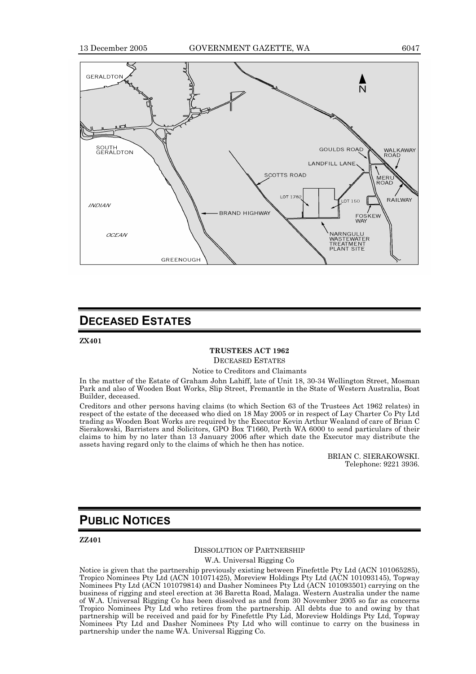

### **DECEASED ESTATES**

**ZX401** 

#### **TRUSTEES ACT 1962**

DECEASED ESTATES

Notice to Creditors and Claimants

In the matter of the Estate of Graham John Lahiff, late of Unit 18, 30-34 Wellington Street, Mosman Park and also of Wooden Boat Works, Slip Street, Fremantle in the State of Western Australia, Boat Builder, deceased.

Creditors and other persons having claims (to which Section 63 of the Trustees Act 1962 relates) in respect of the estate of the deceased who died on 18 May 2005 or in respect of Lay Charter Co Pty Ltd trading as Wooden Boat Works are required by the Executor Kevin Arthur Wealand of care of Brian C Sierakowski, Barristers and Solicitors, GPO Box T1660, Perth WA 6000 to send particulars of their claims to him by no later than 13 January 2006 after which date the Executor may distribute the assets having regard only to the claims of which he then has notice.

> BRIAN C. SIERAKOWSKI. Telephone: 9221 3936.

### **PUBLIC NOTICES**

**ZZ401** 

#### DISSOLUTION OF PARTNERSHIP

W.A. Universal Rigging Co

Notice is given that the partnership previously existing between Finefettle Pty Ltd (ACN 101065285), Tropico Nominees Pty Ltd (ACN 101071425), Moreview Holdings Pty Ltd (ACN 101093145), Topway Nominees Pty Ltd (ACN 101079814) and Dasher Nominees Pty Ltd (ACN 101093501) carrying on the business of rigging and steel erection at 36 Baretta Road, Malaga. Western Australia under the name of W.A. Universal Rigging Co has been dissolved as and from 30 November 2005 so far as concerns Tropico Nominees Pty Ltd who retires from the partnership. All debts due to and owing by that partnership will be received and paid for by Finefettle Pty Lid, Moreview Holdings Pty Ltd, Topway Nominees Pty Ltd and Dasher Nominees Pty Ltd who will continue to carry on the business in partnership under the name WA. Universal Rigging Co.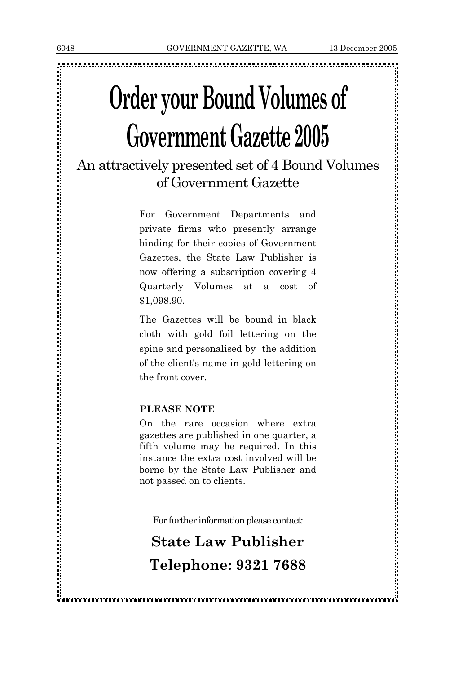<u>, 1981, 1981, 1982, 1983, 1983, 1983, 1983, 1983, 1983, 1983, 1983, 1983, 1983, 1983, 1983, 1983, 1983, 1983, 1983, 1983, 1983, 1983, 1983, 1983, 1983, 1983, 1983, 1983, 1983, 1983, 1983, 1983, 1983, 1983, 1983, 1983, 198</u>

# **Order your Bound Volumes of Government Gazette 2005**

## An attractively presented set of 4 Bound Volumes of Government Gazette

For Government Departments and private firms who presently arrange binding for their copies of Government Gazettes, the State Law Publisher is now offering a subscription covering 4 Quarterly Volumes at a cost of \$1,098.90.

The Gazettes will be bound in black cloth with gold foil lettering on the spine and personalised by the addition of the client's name in gold lettering on the front cover.

#### **PLEASE NOTE**

On the rare occasion where extra gazettes are published in one quarter, a fifth volume may be required. In this instance the extra cost involved will be borne by the State Law Publisher and not passed on to clients.

For further information please contact:

## **State Law Publisher Telephone: 9321 7688**

的复数人民的第三人民的英国的复数形式 医阿尔伯氏试验检尿 医阿尔伯氏试验检尿 医阿尔伯氏征 医阿尔伯氏征 医阿尔伯氏征 医阿尔伯氏征 医阿尔伯氏征 医阿尔伯氏征 医阿尔伯氏征 医阿尔伯氏征 医阿尔伯氏征 医阿尔伯氏征 医阿尔伯氏征 医阿尔伯氏征 医阿尔伯氏征 医阿尔伯氏征 医阿尔伯氏征 医阿尔伯氏征 医阿尔伯氏征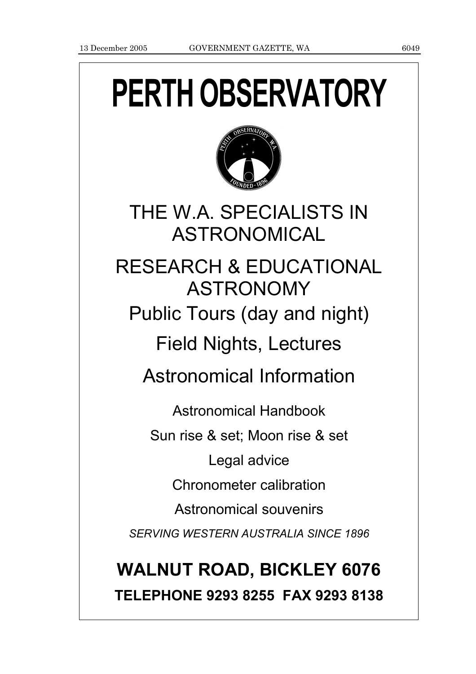# **PERTH OBSERVATORY**



THE W.A. SPECIALISTS IN ASTRONOMICAL

RESEARCH & EDUCATIONAL ASTRONOMY Public Tours (day and night) Field Nights, Lectures

Astronomical Information

Astronomical Handbook Sun rise & set; Moon rise & set Legal advice Chronometer calibration Astronomical souvenirs *SERVING WESTERN AUSTRALIA SINCE 1896*

## **WALNUT ROAD, BICKLEY 6076 TELEPHONE 9293 8255 FAX 9293 8138**